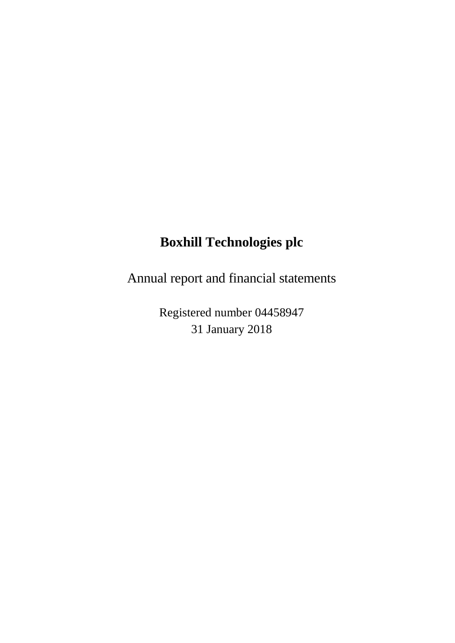# **Boxhill Technologies plc**

Annual report and financial statements

Registered number 04458947 31 January 2018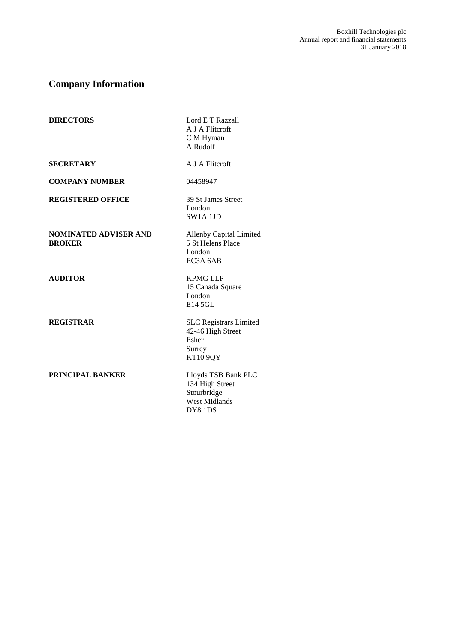# **Company Information**

| <b>DIRECTORS</b>                              | Lord E T Razzall<br>A J A Flitcroft<br>C M Hyman<br>A Rudolf                             |
|-----------------------------------------------|------------------------------------------------------------------------------------------|
| <b>SECRETARY</b>                              | A J A Flitcroft                                                                          |
| <b>COMPANY NUMBER</b>                         | 04458947                                                                                 |
| <b>REGISTERED OFFICE</b>                      | 39 St James Street<br>London<br>SW1A 1JD                                                 |
| <b>NOMINATED ADVISER AND</b><br><b>BROKER</b> | <b>Allenby Capital Limited</b><br>5 St Helens Place<br>London<br>EC3A 6AB                |
| <b>AUDITOR</b>                                | <b>KPMG LLP</b><br>15 Canada Square<br>London<br>E14 5GL                                 |
| <b>REGISTRAR</b>                              | <b>SLC Registrars Limited</b><br>42-46 High Street<br>Esher<br>Surrey<br>KT10 9QY        |
| PRINCIPAL BANKER                              | Lloyds TSB Bank PLC<br>134 High Street<br>Stourbridge<br><b>West Midlands</b><br>DY8 1DS |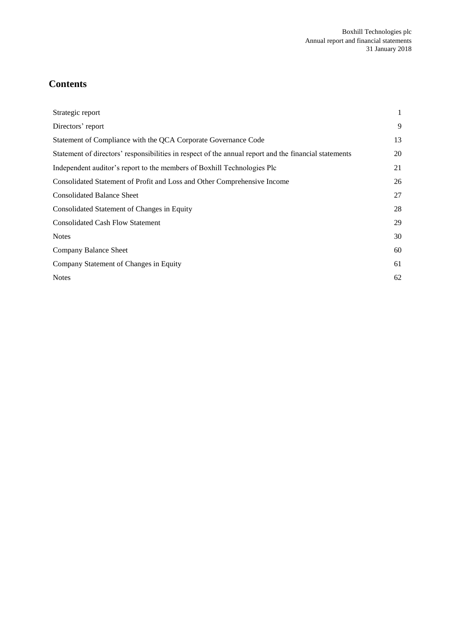# **Contents**

| Strategic report                                                                                      |    |
|-------------------------------------------------------------------------------------------------------|----|
| Directors' report                                                                                     | 9  |
| Statement of Compliance with the QCA Corporate Governance Code                                        | 13 |
| Statement of directors' responsibilities in respect of the annual report and the financial statements | 20 |
| Independent auditor's report to the members of Boxhill Technologies Plc                               | 21 |
| Consolidated Statement of Profit and Loss and Other Comprehensive Income                              | 26 |
| <b>Consolidated Balance Sheet</b>                                                                     | 27 |
| Consolidated Statement of Changes in Equity                                                           | 28 |
| <b>Consolidated Cash Flow Statement</b>                                                               | 29 |
| <b>Notes</b>                                                                                          | 30 |
| Company Balance Sheet                                                                                 | 60 |
| Company Statement of Changes in Equity                                                                | 61 |
| <b>Notes</b>                                                                                          | 62 |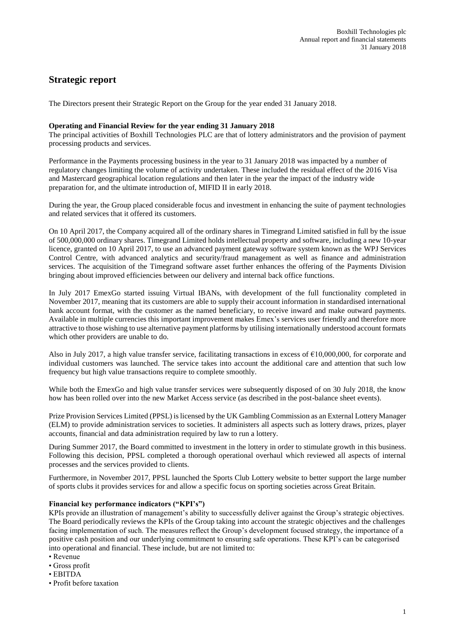# **Strategic report**

The Directors present their Strategic Report on the Group for the year ended 31 January 2018.

#### **Operating and Financial Review for the year ending 31 January 2018**

The principal activities of Boxhill Technologies PLC are that of lottery administrators and the provision of payment processing products and services.

Performance in the Payments processing business in the year to 31 January 2018 was impacted by a number of regulatory changes limiting the volume of activity undertaken. These included the residual effect of the 2016 Visa and Mastercard geographical location regulations and then later in the year the impact of the industry wide preparation for, and the ultimate introduction of, MIFID II in early 2018.

During the year, the Group placed considerable focus and investment in enhancing the suite of payment technologies and related services that it offered its customers.

On 10 April 2017, the Company acquired all of the ordinary shares in Timegrand Limited satisfied in full by the issue of 500,000,000 ordinary shares. Timegrand Limited holds intellectual property and software, including a new 10-year licence, granted on 10 April 2017, to use an advanced payment gateway software system known as the WPJ Services Control Centre, with advanced analytics and security/fraud management as well as finance and administration services. The acquisition of the Timegrand software asset further enhances the offering of the Payments Division bringing about improved efficiencies between our delivery and internal back office functions.

In July 2017 EmexGo started issuing Virtual IBANs, with development of the full functionality completed in November 2017, meaning that its customers are able to supply their account information in standardised international bank account format, with the customer as the named beneficiary, to receive inward and make outward payments. Available in multiple currencies this important improvement makes Emex's services user friendly and therefore more attractive to those wishing to use alternative payment platforms by utilising internationally understood account formats which other providers are unable to do.

Also in July 2017, a high value transfer service, facilitating transactions in excess of €10,000,000, for corporate and individual customers was launched. The service takes into account the additional care and attention that such low frequency but high value transactions require to complete smoothly.

While both the EmexGo and high value transfer services were subsequently disposed of on 30 July 2018, the know how has been rolled over into the new Market Access service (as described in the post-balance sheet events).

Prize Provision Services Limited (PPSL) is licensed by the UK Gambling Commission as an External Lottery Manager (ELM) to provide administration services to societies. It administers all aspects such as lottery draws, prizes, player accounts, financial and data administration required by law to run a lottery.

During Summer 2017, the Board committed to investment in the lottery in order to stimulate growth in this business. Following this decision, PPSL completed a thorough operational overhaul which reviewed all aspects of internal processes and the services provided to clients.

Furthermore, in November 2017, PPSL launched the Sports Club Lottery website to better support the large number of sports clubs it provides services for and allow a specific focus on sporting societies across Great Britain.

#### **Financial key performance indicators ("KPI's")**

KPIs provide an illustration of management's ability to successfully deliver against the Group's strategic objectives. The Board periodically reviews the KPIs of the Group taking into account the strategic objectives and the challenges facing implementation of such. The measures reflect the Group's development focused strategy, the importance of a positive cash position and our underlying commitment to ensuring safe operations. These KPI's can be categorised into operational and financial. These include, but are not limited to:

- Revenue
- Gross profit
- EBITDA
- Profit before taxation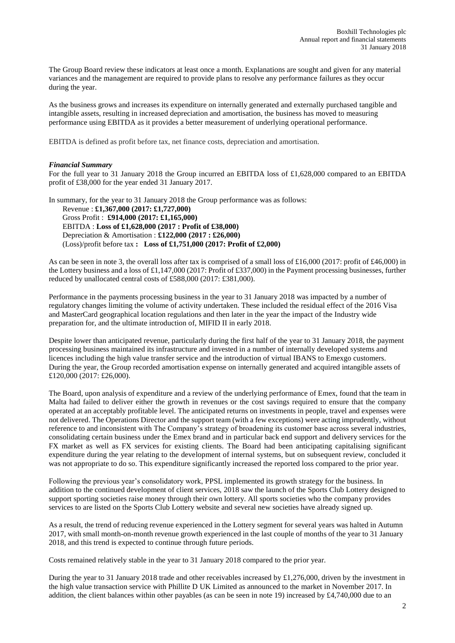The Group Board review these indicators at least once a month. Explanations are sought and given for any material variances and the management are required to provide plans to resolve any performance failures as they occur during the year.

As the business grows and increases its expenditure on internally generated and externally purchased tangible and intangible assets, resulting in increased depreciation and amortisation, the business has moved to measuring performance using EBITDA as it provides a better measurement of underlying operational performance.

EBITDA is defined as profit before tax, net finance costs, depreciation and amortisation.

#### *Financial Summary*

For the full year to 31 January 2018 the Group incurred an EBITDA loss of £1,628,000 compared to an EBITDA profit of £38,000 for the year ended 31 January 2017.

In summary, for the year to 31 January 2018 the Group performance was as follows: Revenue : **£1,367,000 (2017: £1,727,000)** Gross Profit : **£914,000 (2017: £1,165,000)** EBITDA : **Loss of £1,628,000 (2017 : Profit of £38,000)** Depreciation & Amortisation : **£122,000 (2017 : £26,000)** (Loss)/profit before tax **: Loss of £1,751,000 (2017: Profit of £2,000)**

As can be seen in note 3, the overall loss after tax is comprised of a small loss of £16,000 (2017: profit of £46,000) in the Lottery business and a loss of £1,147,000 (2017: Profit of £337,000) in the Payment processing businesses, further reduced by unallocated central costs of £588,000 (2017: £381,000).

Performance in the payments processing business in the year to 31 January 2018 was impacted by a number of regulatory changes limiting the volume of activity undertaken. These included the residual effect of the 2016 Visa and MasterCard geographical location regulations and then later in the year the impact of the Industry wide preparation for, and the ultimate introduction of, MIFID II in early 2018.

Despite lower than anticipated revenue, particularly during the first half of the year to 31 January 2018, the payment processing business maintained its infrastructure and invested in a number of internally developed systems and licences including the high value transfer service and the introduction of virtual IBANS to Emexgo customers. During the year, the Group recorded amortisation expense on internally generated and acquired intangible assets of £120,000 (2017: £26,000).

The Board, upon analysis of expenditure and a review of the underlying performance of Emex, found that the team in Malta had failed to deliver either the growth in revenues or the cost savings required to ensure that the company operated at an acceptably profitable level. The anticipated returns on investments in people, travel and expenses were not delivered. The Operations Director and the support team (with a few exceptions) were acting imprudently, without reference to and inconsistent with The Company's strategy of broadening its customer base across several industries, consolidating certain business under the Emex brand and in particular back end support and delivery services for the FX market as well as FX services for existing clients. The Board had been anticipating capitalising significant expenditure during the year relating to the development of internal systems, but on subsequent review, concluded it was not appropriate to do so. This expenditure significantly increased the reported loss compared to the prior year.

Following the previous year's consolidatory work, PPSL implemented its growth strategy for the business. In addition to the continued development of client services, 2018 saw the launch of the Sports Club Lottery designed to support sporting societies raise money through their own lottery. All sports societies who the company provides services to are listed on the Sports Club Lottery website and several new societies have already signed up.

As a result, the trend of reducing revenue experienced in the Lottery segment for several years was halted in Autumn 2017, with small month-on-month revenue growth experienced in the last couple of months of the year to 31 January 2018, and this trend is expected to continue through future periods.

Costs remained relatively stable in the year to 31 January 2018 compared to the prior year.

During the year to 31 January 2018 trade and other receivables increased by £1,276,000, driven by the investment in the high value transaction service with Phillite D UK Limited as announced to the market in November 2017. In addition, the client balances within other payables (as can be seen in note 19) increased by £4,740,000 due to an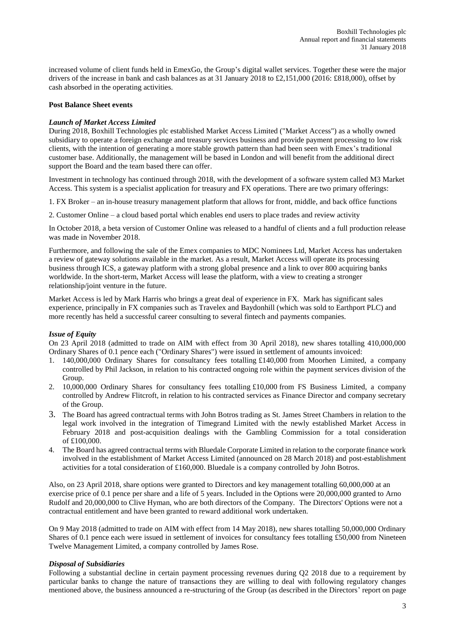increased volume of client funds held in EmexGo, the Group's digital wallet services. Together these were the major drivers of the increase in bank and cash balances as at 31 January 2018 to £2,151,000 (2016: £818,000), offset by cash absorbed in the operating activities.

#### **Post Balance Sheet events**

#### *Launch of Market Access Limited*

During 2018, Boxhill Technologies plc established Market Access Limited ("Market Access") as a wholly owned subsidiary to operate a foreign exchange and treasury services business and provide payment processing to low risk clients, with the intention of generating a more stable growth pattern than had been seen with Emex's traditional customer base. Additionally, the management will be based in London and will benefit from the additional direct support the Board and the team based there can offer.

Investment in technology has continued through 2018, with the development of a software system called M3 Market Access. This system is a specialist application for treasury and FX operations. There are two primary offerings:

1. FX Broker – an in-house treasury management platform that allows for front, middle, and back office functions

2. Customer Online – a cloud based portal which enables end users to place trades and review activity

In October 2018, a beta version of Customer Online was released to a handful of clients and a full production release was made in November 2018.

Furthermore, and following the sale of the Emex companies to MDC Nominees Ltd, Market Access has undertaken a review of gateway solutions available in the market. As a result, Market Access will operate its processing business through ICS, a gateway platform with a strong global presence and a link to over 800 acquiring banks worldwide. In the short-term, Market Access will lease the platform, with a view to creating a stronger relationship/joint venture in the future.

Market Access is led by Mark Harris who brings a great deal of experience in FX. Mark has significant sales experience, principally in FX companies such as Travelex and Baydonhill (which was sold to Earthport PLC) and more recently has held a successful career consulting to several fintech and payments companies.

#### *Issue of Equity*

On 23 April 2018 (admitted to trade on AIM with effect from 30 April 2018), new shares totalling 410,000,000 Ordinary Shares of 0.1 pence each ("Ordinary Shares") were issued in settlement of amounts invoiced:

- 1. 140,000,000 Ordinary Shares for consultancy fees totalling £140,000 from Moorhen Limited, a company controlled by Phil Jackson, in relation to his contracted ongoing role within the payment services division of the Group.
- 2. 10,000,000 Ordinary Shares for consultancy fees totalling £10,000 from FS Business Limited, a company controlled by Andrew Flitcroft, in relation to his contracted services as Finance Director and company secretary of the Group.
- 3. The Board has agreed contractual terms with John Botros trading as St. James Street Chambers in relation to the legal work involved in the integration of Timegrand Limited with the newly established Market Access in February 2018 and post-acquisition dealings with the Gambling Commission for a total consideration of £100,000.
- 4. The Board has agreed contractual terms with Bluedale Corporate Limited in relation to the corporate finance work involved in the establishment of Market Access Limited (announced on 28 March 2018) and post-establishment activities for a total consideration of £160,000. Bluedale is a company controlled by John Botros.

Also, on 23 April 2018, share options were granted to Directors and key management totalling 60,000,000 at an exercise price of 0.1 pence per share and a life of 5 years. Included in the Options were 20,000,000 granted to Arno Rudolf and 20,000,000 to Clive Hyman, who are both directors of the Company. The Directors' Options were not a contractual entitlement and have been granted to reward additional work undertaken.

On 9 May 2018 (admitted to trade on AIM with effect from 14 May 2018), new shares totalling 50,000,000 Ordinary Shares of 0.1 pence each were issued in settlement of invoices for consultancy fees totalling £50,000 from Nineteen Twelve Management Limited, a company controlled by James Rose.

#### *Disposal of Subsidiaries*

Following a substantial decline in certain payment processing revenues during Q2 2018 due to a requirement by particular banks to change the nature of transactions they are willing to deal with following regulatory changes mentioned above, the business announced a re-structuring of the Group (as described in the Directors' report on page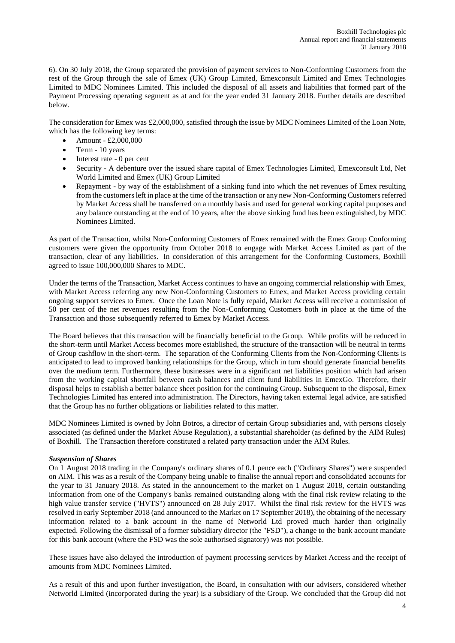6). On 30 July 2018, the Group separated the provision of payment services to Non-Conforming Customers from the rest of the Group through the sale of Emex (UK) Group Limited, Emexconsult Limited and Emex Technologies Limited to MDC Nominees Limited. This included the disposal of all assets and liabilities that formed part of the Payment Processing operating segment as at and for the year ended 31 January 2018. Further details are described below.

The consideration for Emex was £2,000,000, satisfied through the issue by MDC Nominees Limited of the Loan Note, which has the following key terms:

- Amount £2,000,000
- Term 10 years
- Interest rate 0 per cent
- Security A debenture over the issued share capital of Emex Technologies Limited, Emexconsult Ltd, Net World Limited and Emex (UK) Group Limited
- Repayment by way of the establishment of a sinking fund into which the net revenues of Emex resulting from the customers left in place at the time of the transaction or any new Non-Conforming Customers referred by Market Access shall be transferred on a monthly basis and used for general working capital purposes and any balance outstanding at the end of 10 years, after the above sinking fund has been extinguished, by MDC Nominees Limited.

As part of the Transaction, whilst Non-Conforming Customers of Emex remained with the Emex Group Conforming customers were given the opportunity from October 2018 to engage with Market Access Limited as part of the transaction, clear of any liabilities. In consideration of this arrangement for the Conforming Customers, Boxhill agreed to issue 100,000,000 Shares to MDC.

Under the terms of the Transaction, Market Access continues to have an ongoing commercial relationship with Emex, with Market Access referring any new Non-Conforming Customers to Emex, and Market Access providing certain ongoing support services to Emex. Once the Loan Note is fully repaid, Market Access will receive a commission of 50 per cent of the net revenues resulting from the Non-Conforming Customers both in place at the time of the Transaction and those subsequently referred to Emex by Market Access.

The Board believes that this transaction will be financially beneficial to the Group. While profits will be reduced in the short-term until Market Access becomes more established, the structure of the transaction will be neutral in terms of Group cashflow in the short-term. The separation of the Conforming Clients from the Non-Conforming Clients is anticipated to lead to improved banking relationships for the Group, which in turn should generate financial benefits over the medium term. Furthermore, these businesses were in a significant net liabilities position which had arisen from the working capital shortfall between cash balances and client fund liabilities in EmexGo. Therefore, their disposal helps to establish a better balance sheet position for the continuing Group. Subsequent to the disposal, Emex Technologies Limited has entered into administration. The Directors, having taken external legal advice, are satisfied that the Group has no further obligations or liabilities related to this matter.

MDC Nominees Limited is owned by John Botros, a director of certain Group subsidiaries and, with persons closely associated (as defined under the Market Abuse Regulation), a substantial shareholder (as defined by the AIM Rules) of Boxhill. The Transaction therefore constituted a related party transaction under the AIM Rules.

#### *Suspension of Shares*

On 1 August 2018 trading in the Company's ordinary shares of 0.1 pence each ("Ordinary Shares") were suspended on AIM. This was as a result of the Company being unable to finalise the annual report and consolidated accounts for the year to 31 January 2018. As stated in the announcement to the market on 1 August 2018, certain outstanding information from one of the Company's banks remained outstanding along with the final risk review relating to the high value transfer service ("HVTS") announced on 28 July 2017. Whilst the final risk review for the HVTS was resolved in early September 2018 (and announced to the Market on 17 September 2018), the obtaining of the necessary information related to a bank account in the name of Networld Ltd proved much harder than originally expected. Following the dismissal of a former subsidiary director (the "FSD"), a change to the bank account mandate for this bank account (where the FSD was the sole authorised signatory) was not possible.

These issues have also delayed the introduction of payment processing services by Market Access and the receipt of amounts from MDC Nominees Limited.

As a result of this and upon further investigation, the Board, in consultation with our advisers, considered whether Networld Limited (incorporated during the year) is a subsidiary of the Group. We concluded that the Group did not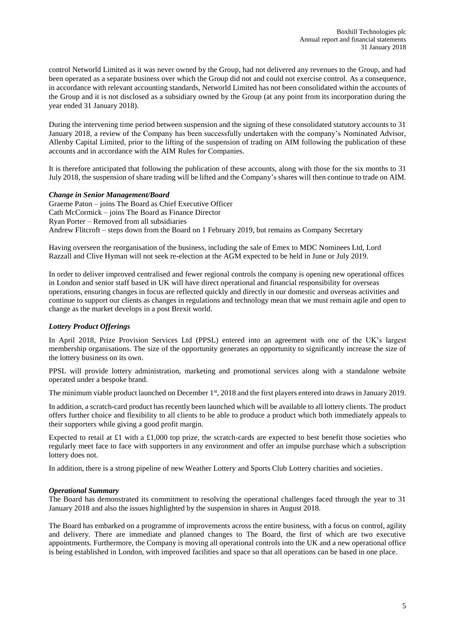control Networld Limited as it was never owned by the Group, had not delivered any revenues to the Group, and had been operated as a separate business over which the Group did not and could not exercise control. As a consequence, in accordance with relevant accounting standards, Networld Limited has not been consolidated within the accounts of the Group and it is not disclosed as a subsidiary owned by the Group (at any point from its incorporation during the year ended 31 January 2018).

During the intervening time period between suspension and the signing of these consolidated statutory accounts to 31 January 2018, a review of the Company has been successfully undertaken with the company's Nominated Advisor, Allenby Capital Limited, prior to the lifting of the suspension of trading on AIM following the publication of these accounts and in accordance with the AIM Rules for Companies.

It is therefore anticipated that following the publication of these accounts, along with those for the six months to 31 July 2018, the suspension of share trading will be lifted and the Company's shares will then continue to trade on AIM.

#### *Change in Senior Management/Board*

Graeme Paton – joins The Board as Chief Executive Officer Cath McCormick – joins The Board as Finance Director Ryan Porter – Removed from all subsidiaries Andrew Flitcroft – steps down from the Board on 1 February 2019, but remains as Company Secretary

Having overseen the reorganisation of the business, including the sale of Emex to MDC Nominees Ltd, Lord Razzall and Clive Hyman will not seek re-election at the AGM expected to be held in June or July 2019.

In order to deliver improved centralised and fewer regional controls the company is opening new operational offices in London and senior staff based in UK will have direct operational and financial responsibility for overseas operations, ensuring changes in focus are reflected quickly and directly in our domestic and overseas activities and continue to support our clients as changes in regulations and technology mean that we must remain agile and open to change as the market develops in a post Brexit world.

#### *Lottery Product Offerings*

In April 2018, Prize Provision Services Ltd (PPSL) entered into an agreement with one of the UK's largest membership organisations. The size of the opportunity generates an opportunity to significantly increase the size of the lottery business on its own.

PPSL will provide lottery administration, marketing and promotional services along with a standalone website operated under a bespoke brand.

The minimum viable product launched on December 1<sup>st</sup>, 2018 and the first players entered into draws in January 2019.

In addition, a scratch-card product has recently been launched which will be available to all lottery clients. The product offers further choice and flexibility to all clients to be able to produce a product which both immediately appeals to their supporters while giving a good profit margin.

Expected to retail at £1 with a £1,000 top prize, the scratch-cards are expected to best benefit those societies who regularly meet face to face with supporters in any environment and offer an impulse purchase which a subscription lottery does not.

In addition, there is a strong pipeline of new Weather Lottery and Sports Club Lottery charities and societies.

#### *Operational Summary*

The Board has demonstrated its commitment to resolving the operational challenges faced through the year to 31 January 2018 and also the issues highlighted by the suspension in shares in August 2018.

The Board has embarked on a programme of improvements across the entire business, with a focus on control, agility and delivery. There are immediate and planned changes to The Board, the first of which are two executive appointments. Furthermore, the Company is moving all operational controls into the UK and a new operational office is being established in London, with improved facilities and space so that all operations can be based in one place.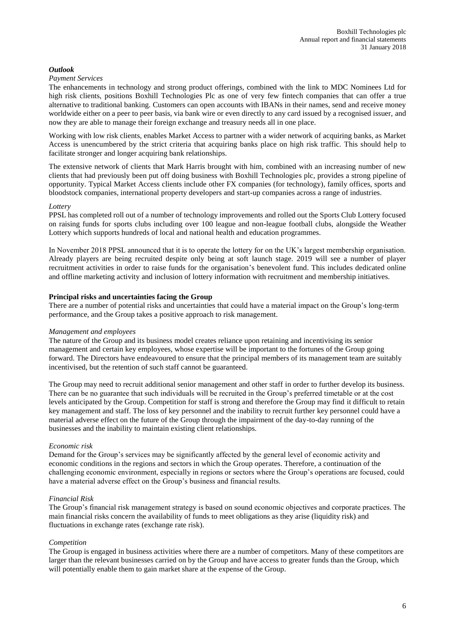### *Outlook*

#### *Payment Services*

The enhancements in technology and strong product offerings, combined with the link to MDC Nominees Ltd for high risk clients, positions Boxhill Technologies Plc as one of very few fintech companies that can offer a true alternative to traditional banking. Customers can open accounts with IBANs in their names, send and receive money worldwide either on a peer to peer basis, via bank wire or even directly to any card issued by a recognised issuer, and now they are able to manage their foreign exchange and treasury needs all in one place.

Working with low risk clients, enables Market Access to partner with a wider network of acquiring banks, as Market Access is unencumbered by the strict criteria that acquiring banks place on high risk traffic. This should help to facilitate stronger and longer acquiring bank relationships.

The extensive network of clients that Mark Harris brought with him, combined with an increasing number of new clients that had previously been put off doing business with Boxhill Technologies plc, provides a strong pipeline of opportunity. Typical Market Access clients include other FX companies (for technology), family offices, sports and bloodstock companies, international property developers and start-up companies across a range of industries.

#### *Lottery*

PPSL has completed roll out of a number of technology improvements and rolled out the Sports Club Lottery focused on raising funds for sports clubs including over 100 league and non-league football clubs, alongside the Weather Lottery which supports hundreds of local and national health and education programmes.

In November 2018 PPSL announced that it is to operate the lottery for on the UK's largest membership organisation. Already players are being recruited despite only being at soft launch stage. 2019 will see a number of player recruitment activities in order to raise funds for the organisation's benevolent fund. This includes dedicated online and offline marketing activity and inclusion of lottery information with recruitment and membership initiatives.

#### **Principal risks and uncertainties facing the Group**

There are a number of potential risks and uncertainties that could have a material impact on the Group's long-term performance, and the Group takes a positive approach to risk management.

#### *Management and employees*

The nature of the Group and its business model creates reliance upon retaining and incentivising its senior management and certain key employees, whose expertise will be important to the fortunes of the Group going forward. The Directors have endeavoured to ensure that the principal members of its management team are suitably incentivised, but the retention of such staff cannot be guaranteed.

The Group may need to recruit additional senior management and other staff in order to further develop its business. There can be no guarantee that such individuals will be recruited in the Group's preferred timetable or at the cost levels anticipated by the Group. Competition for staff is strong and therefore the Group may find it difficult to retain key management and staff. The loss of key personnel and the inability to recruit further key personnel could have a material adverse effect on the future of the Group through the impairment of the day-to-day running of the businesses and the inability to maintain existing client relationships.

#### *Economic risk*

Demand for the Group's services may be significantly affected by the general level of economic activity and economic conditions in the regions and sectors in which the Group operates. Therefore, a continuation of the challenging economic environment, especially in regions or sectors where the Group's operations are focused, could have a material adverse effect on the Group's business and financial results.

#### *Financial Risk*

The Group's financial risk management strategy is based on sound economic objectives and corporate practices. The main financial risks concern the availability of funds to meet obligations as they arise (liquidity risk) and fluctuations in exchange rates (exchange rate risk).

#### *Competition*

The Group is engaged in business activities where there are a number of competitors. Many of these competitors are larger than the relevant businesses carried on by the Group and have access to greater funds than the Group, which will potentially enable them to gain market share at the expense of the Group.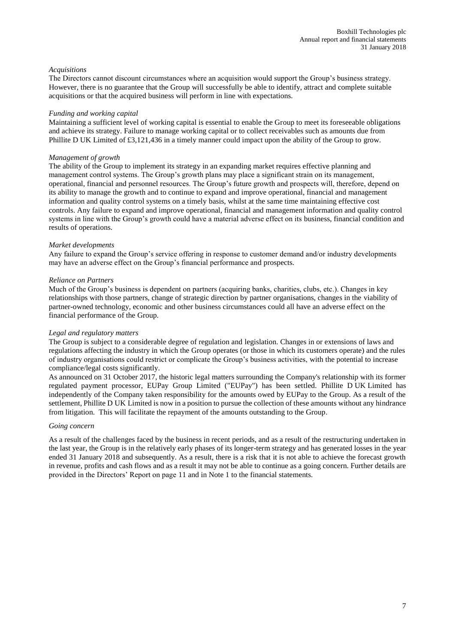#### *Acquisitions*

The Directors cannot discount circumstances where an acquisition would support the Group's business strategy. However, there is no guarantee that the Group will successfully be able to identify, attract and complete suitable acquisitions or that the acquired business will perform in line with expectations.

#### *Funding and working capital*

Maintaining a sufficient level of working capital is essential to enable the Group to meet its foreseeable obligations and achieve its strategy. Failure to manage working capital or to collect receivables such as amounts due from Phillite D UK Limited of £3,121,436 in a timely manner could impact upon the ability of the Group to grow.

#### *Management of growth*

The ability of the Group to implement its strategy in an expanding market requires effective planning and management control systems. The Group's growth plans may place a significant strain on its management, operational, financial and personnel resources. The Group's future growth and prospects will, therefore, depend on its ability to manage the growth and to continue to expand and improve operational, financial and management information and quality control systems on a timely basis, whilst at the same time maintaining effective cost controls. Any failure to expand and improve operational, financial and management information and quality control systems in line with the Group's growth could have a material adverse effect on its business, financial condition and results of operations.

#### *Market developments*

Any failure to expand the Group's service offering in response to customer demand and/or industry developments may have an adverse effect on the Group's financial performance and prospects.

#### *Reliance on Partners*

Much of the Group's business is dependent on partners (acquiring banks, charities, clubs, etc.). Changes in key relationships with those partners, change of strategic direction by partner organisations, changes in the viability of partner-owned technology, economic and other business circumstances could all have an adverse effect on the financial performance of the Group.

#### *Legal and regulatory matters*

The Group is subject to a considerable degree of regulation and legislation. Changes in or extensions of laws and regulations affecting the industry in which the Group operates (or those in which its customers operate) and the rules of industry organisations could restrict or complicate the Group's business activities, with the potential to increase compliance/legal costs significantly.

As announced on 31 October 2017, the historic legal matters surrounding the Company's relationship with its former regulated payment processor, EUPay Group Limited ("EUPay") has been settled. Phillite D UK Limited has independently of the Company taken responsibility for the amounts owed by EUPay to the Group. As a result of the settlement, Phillite D UK Limited is now in a position to pursue the collection of these amounts without any hindrance from litigation. This will facilitate the repayment of the amounts outstanding to the Group.

#### *Going concern*

As a result of the challenges faced by the business in recent periods, and as a result of the restructuring undertaken in the last year, the Group is in the relatively early phases of its longer-term strategy and has generated losses in the year ended 31 January 2018 and subsequently. As a result, there is a risk that it is not able to achieve the forecast growth in revenue, profits and cash flows and as a result it may not be able to continue as a going concern. Further details are provided in the Directors' Report on page 11 and in Note 1 to the financial statements.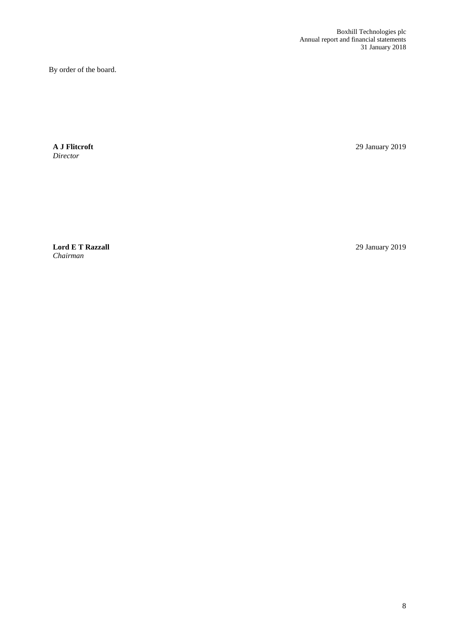Boxhill Technologies plc Annual report and financial statements 31 January 2018

By order of the board.

**A J Flitcroft** *Director*

29 January 2019

**Lord E T Razzall** *Chairman*

29 January 2019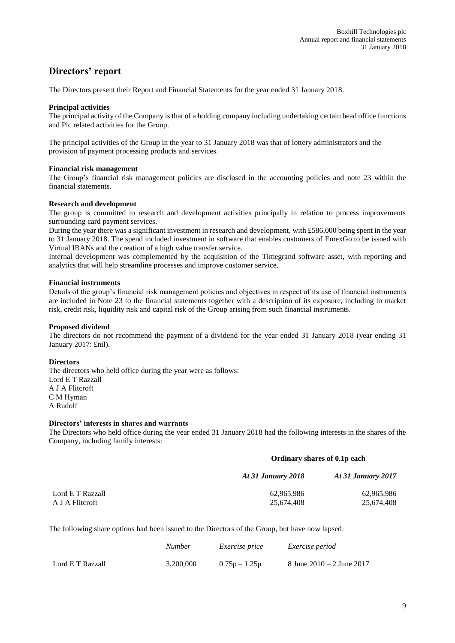# **Directors' report**

The Directors present their Report and Financial Statements for the year ended 31 January 2018.

#### **Principal activities**

The principal activity of the Company is that of a holding company including undertaking certain head office functions and Plc related activities for the Group.

The principal activities of the Group in the year to 31 January 2018 was that of lottery administrators and the provision of payment processing products and services.

#### **Financial risk management**

The Group's financial risk management policies are disclosed in the accounting policies and note 23 within the financial statements.

#### **Research and development**

The group is committed to research and development activities principally in relation to process improvements surrounding card payment services.

During the year there was a significant investment in research and development, with £586,000 being spent in the year to 31 January 2018. The spend included investment in software that enables customers of EmexGo to be issued with Virtual IBANs and the creation of a high value transfer service.

Internal development was complemented by the acquisition of the Timegrand software asset, with reporting and analytics that will help streamline processes and improve customer service.

#### **Financial instruments**

Details of the group's financial risk management policies and objectives in respect of its use of financial instruments are included in Note 23 to the financial statements together with a description of its exposure, including to market risk, credit risk, liquidity risk and capital risk of the Group arising from such financial instruments.

#### **Proposed dividend**

The directors do not recommend the payment of a dividend for the year ended 31 January 2018 (year ending 31 January 2017: £nil).

#### **Directors**

The directors who held office during the year were as follows: Lord E T Razzall A J A Flitcroft C M Hyman A Rudolf

#### **Directors' interests in shares and warrants**

The Directors who held office during the year ended 31 January 2018 had the following interests in the shares of the Company, including family interests:

|                  | Ordinary shares of 0.1p each |                    |
|------------------|------------------------------|--------------------|
|                  | At 31 January 2018           | At 31 January 2017 |
| Lord E T Razzall | 62,965,986                   | 62,965,986         |
| A J A Flitcroft  | 25.674.408                   | 25,674,408         |

The following share options had been issued to the Directors of the Group, but have now lapsed:

|                  | <b>Number</b> | <i>Exercise price</i> | <i>Exercise period</i>        |
|------------------|---------------|-----------------------|-------------------------------|
| Lord E T Razzall | 3.200.000     | $0.75p - 1.25p$       | 8 June $2010 - 2$ June $2017$ |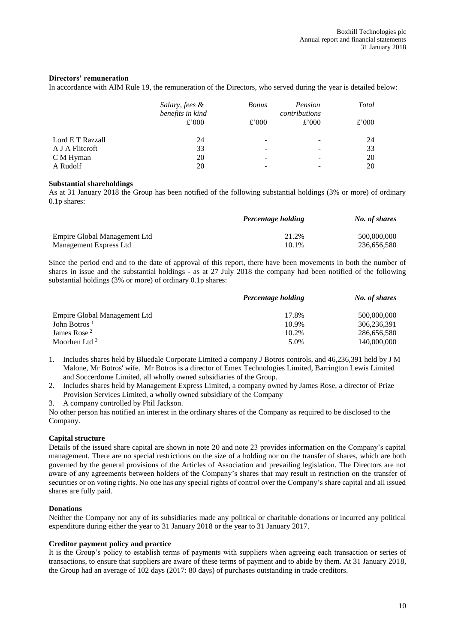# **Directors' remuneration**

In accordance with AIM Rule 19, the remuneration of the Directors, who served during the year is detailed below:

|                  | Salary, fees &<br>benefits in kind | <i>Bonus</i> | Pension<br>contributions | Total |
|------------------|------------------------------------|--------------|--------------------------|-------|
|                  | £'000                              | £'000        | £'000                    | £'000 |
| Lord E T Razzall | 24                                 |              | $\overline{\phantom{0}}$ | 24    |
| A J A Flitcroft  | 33                                 |              | $\qquad \qquad$          | 33    |
| C M Hyman        | 20                                 |              | $\overline{\phantom{0}}$ | 20    |
| A Rudolf         | 20                                 |              |                          | 20    |

#### **Substantial shareholdings**

As at 31 January 2018 the Group has been notified of the following substantial holdings (3% or more) of ordinary 0.1p shares:

|                              | Percentage holding | No. of shares |
|------------------------------|--------------------|---------------|
| Empire Global Management Ltd | 21.2%              | 500,000,000   |
| Management Express Ltd       | 10.1%              | 236.656.580   |

Since the period end and to the date of approval of this report, there have been movements in both the number of shares in issue and the substantial holdings - as at 27 July 2018 the company had been notified of the following substantial holdings (3% or more) of ordinary 0.1p shares:

|                              | Percentage holding | No. of shares |
|------------------------------|--------------------|---------------|
| Empire Global Management Ltd | 17.8%              | 500,000,000   |
| John Botros <sup>1</sup>     | 10.9%              | 306.236.391   |
| James Rose <sup>2</sup>      | 10.2%              | 286,656,580   |
| Moorhen Ltd <sup>3</sup>     | 5.0%               | 140,000,000   |

- 1. Includes shares held by Bluedale Corporate Limited a company J Botros controls, and 46,236,391 held by J M Malone, Mr Botros' wife. Mr Botros is a director of Emex Technologies Limited, Barrington Lewis Limited and Soccerdome Limited, all wholly owned subsidiaries of the Group.
- 2. Includes shares held by Management Express Limited, a company owned by James Rose, a director of Prize Provision Services Limited, a wholly owned subsidiary of the Company

3. A company controlled by Phil Jackson.

No other person has notified an interest in the ordinary shares of the Company as required to be disclosed to the Company.

#### **Capital structure**

Details of the issued share capital are shown in note 20 and note 23 provides information on the Company's capital management. There are no special restrictions on the size of a holding nor on the transfer of shares, which are both governed by the general provisions of the Articles of Association and prevailing legislation. The Directors are not aware of any agreements between holders of the Company's shares that may result in restriction on the transfer of securities or on voting rights. No one has any special rights of control over the Company's share capital and all issued shares are fully paid.

#### **Donations**

Neither the Company nor any of its subsidiaries made any political or charitable donations or incurred any political expenditure during either the year to 31 January 2018 or the year to 31 January 2017.

#### **Creditor payment policy and practice**

It is the Group's policy to establish terms of payments with suppliers when agreeing each transaction or series of transactions, to ensure that suppliers are aware of these terms of payment and to abide by them. At 31 January 2018, the Group had an average of 102 days (2017: 80 days) of purchases outstanding in trade creditors.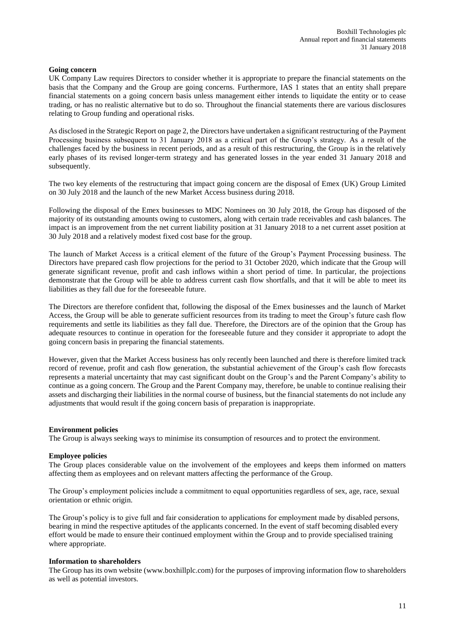#### **Going concern**

UK Company Law requires Directors to consider whether it is appropriate to prepare the financial statements on the basis that the Company and the Group are going concerns. Furthermore, IAS 1 states that an entity shall prepare financial statements on a going concern basis unless management either intends to liquidate the entity or to cease trading, or has no realistic alternative but to do so. Throughout the financial statements there are various disclosures relating to Group funding and operational risks.

As disclosed in the Strategic Report on page 2, the Directors have undertaken a significant restructuring of the Payment Processing business subsequent to 31 January 2018 as a critical part of the Group's strategy. As a result of the challenges faced by the business in recent periods, and as a result of this restructuring, the Group is in the relatively early phases of its revised longer-term strategy and has generated losses in the year ended 31 January 2018 and subsequently.

The two key elements of the restructuring that impact going concern are the disposal of Emex (UK) Group Limited on 30 July 2018 and the launch of the new Market Access business during 2018.

Following the disposal of the Emex businesses to MDC Nominees on 30 July 2018, the Group has disposed of the majority of its outstanding amounts owing to customers, along with certain trade receivables and cash balances. The impact is an improvement from the net current liability position at 31 January 2018 to a net current asset position at 30 July 2018 and a relatively modest fixed cost base for the group.

The launch of Market Access is a critical element of the future of the Group's Payment Processing business. The Directors have prepared cash flow projections for the period to 31 October 2020, which indicate that the Group will generate significant revenue, profit and cash inflows within a short period of time. In particular, the projections demonstrate that the Group will be able to address current cash flow shortfalls, and that it will be able to meet its liabilities as they fall due for the foreseeable future.

The Directors are therefore confident that, following the disposal of the Emex businesses and the launch of Market Access, the Group will be able to generate sufficient resources from its trading to meet the Group's future cash flow requirements and settle its liabilities as they fall due. Therefore, the Directors are of the opinion that the Group has adequate resources to continue in operation for the foreseeable future and they consider it appropriate to adopt the going concern basis in preparing the financial statements.

However, given that the Market Access business has only recently been launched and there is therefore limited track record of revenue, profit and cash flow generation, the substantial achievement of the Group's cash flow forecasts represents a material uncertainty that may cast significant doubt on the Group's and the Parent Company's ability to continue as a going concern. The Group and the Parent Company may, therefore, be unable to continue realising their assets and discharging their liabilities in the normal course of business, but the financial statements do not include any adjustments that would result if the going concern basis of preparation is inappropriate.

#### **Environment policies**

The Group is always seeking ways to minimise its consumption of resources and to protect the environment.

#### **Employee policies**

The Group places considerable value on the involvement of the employees and keeps them informed on matters affecting them as employees and on relevant matters affecting the performance of the Group.

The Group's employment policies include a commitment to equal opportunities regardless of sex, age, race, sexual orientation or ethnic origin.

The Group's policy is to give full and fair consideration to applications for employment made by disabled persons, bearing in mind the respective aptitudes of the applicants concerned. In the event of staff becoming disabled every effort would be made to ensure their continued employment within the Group and to provide specialised training where appropriate.

#### **Information to shareholders**

The Group has its own website (www.boxhillplc.com) for the purposes of improving information flow to shareholders as well as potential investors.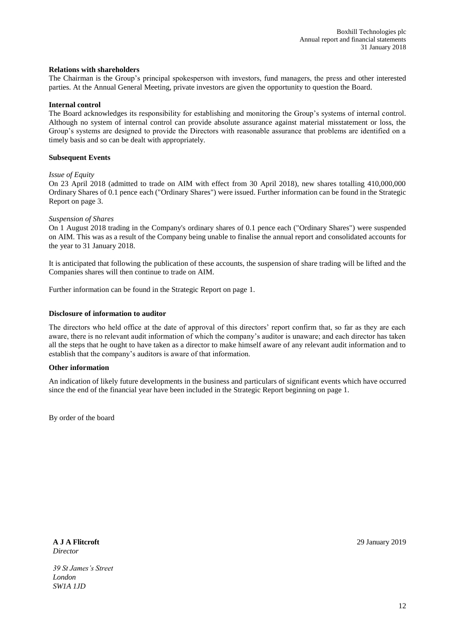#### **Relations with shareholders**

The Chairman is the Group's principal spokesperson with investors, fund managers, the press and other interested parties. At the Annual General Meeting, private investors are given the opportunity to question the Board.

#### **Internal control**

The Board acknowledges its responsibility for establishing and monitoring the Group's systems of internal control. Although no system of internal control can provide absolute assurance against material misstatement or loss, the Group's systems are designed to provide the Directors with reasonable assurance that problems are identified on a timely basis and so can be dealt with appropriately.

#### **Subsequent Events**

#### *Issue of Equity*

On 23 April 2018 (admitted to trade on AIM with effect from 30 April 2018), new shares totalling 410,000,000 Ordinary Shares of 0.1 pence each ("Ordinary Shares") were issued. Further information can be found in the Strategic Report on page 3.

#### *Suspension of Shares*

On 1 August 2018 trading in the Company's ordinary shares of 0.1 pence each ("Ordinary Shares") were suspended on AIM. This was as a result of the Company being unable to finalise the annual report and consolidated accounts for the year to 31 January 2018.

It is anticipated that following the publication of these accounts, the suspension of share trading will be lifted and the Companies shares will then continue to trade on AIM.

Further information can be found in the Strategic Report on page 1.

## **Disclosure of information to auditor**

The directors who held office at the date of approval of this directors' report confirm that, so far as they are each aware, there is no relevant audit information of which the company's auditor is unaware; and each director has taken all the steps that he ought to have taken as a director to make himself aware of any relevant audit information and to establish that the company's auditors is aware of that information.

# **Other information**

An indication of likely future developments in the business and particulars of significant events which have occurred since the end of the financial year have been included in the Strategic Report beginning on page 1.

By order of the board

**A J A Flitcroft** *Director*

29 January 2019

*39 St James's Street London SW1A 1JD*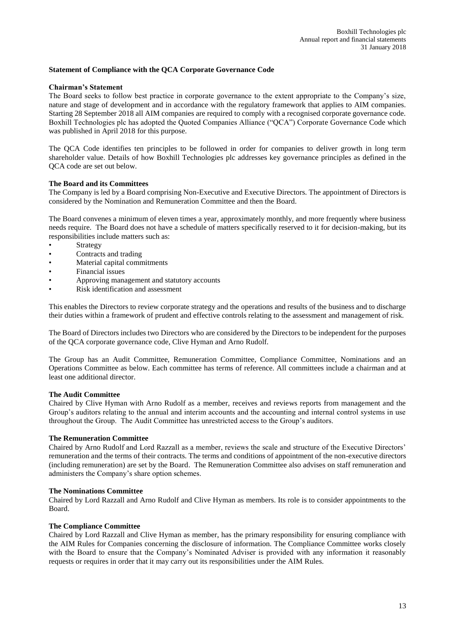#### **Statement of Compliance with the QCA Corporate Governance Code**

#### **Chairman's Statement**

The Board seeks to follow best practice in corporate governance to the extent appropriate to the Company's size, nature and stage of development and in accordance with the regulatory framework that applies to AIM companies. Starting 28 September 2018 all AIM companies are required to comply with a recognised corporate governance code. Boxhill Technologies plc has adopted the Quoted Companies Alliance ("QCA") Corporate Governance Code which was published in April 2018 for this purpose.

The QCA Code identifies ten principles to be followed in order for companies to deliver growth in long term shareholder value. Details of how Boxhill Technologies plc addresses key governance principles as defined in the QCA code are set out below.

#### **The Board and its Committees**

The Company is led by a Board comprising Non-Executive and Executive Directors. The appointment of Directors is considered by the Nomination and Remuneration Committee and then the Board.

The Board convenes a minimum of eleven times a year, approximately monthly, and more frequently where business needs require. The Board does not have a schedule of matters specifically reserved to it for decision-making, but its responsibilities include matters such as:

- **Strategy**
- Contracts and trading
- Material capital commitments
- Financial issues
- Approving management and statutory accounts
- Risk identification and assessment

This enables the Directors to review corporate strategy and the operations and results of the business and to discharge their duties within a framework of prudent and effective controls relating to the assessment and management of risk.

The Board of Directors includes two Directors who are considered by the Directors to be independent for the purposes of the QCA corporate governance code, Clive Hyman and Arno Rudolf.

The Group has an Audit Committee, Remuneration Committee, Compliance Committee, Nominations and an Operations Committee as below. Each committee has terms of reference. All committees include a chairman and at least one additional director.

#### **The Audit Committee**

Chaired by Clive Hyman with Arno Rudolf as a member, receives and reviews reports from management and the Group's auditors relating to the annual and interim accounts and the accounting and internal control systems in use throughout the Group. The Audit Committee has unrestricted access to the Group's auditors.

#### **The Remuneration Committee**

Chaired by Arno Rudolf and Lord Razzall as a member, reviews the scale and structure of the Executive Directors' remuneration and the terms of their contracts. The terms and conditions of appointment of the non-executive directors (including remuneration) are set by the Board. The Remuneration Committee also advises on staff remuneration and administers the Company's share option schemes.

#### **The Nominations Committee**

Chaired by Lord Razzall and Arno Rudolf and Clive Hyman as members. Its role is to consider appointments to the Board.

#### **The Compliance Committee**

Chaired by Lord Razzall and Clive Hyman as member, has the primary responsibility for ensuring compliance with the AIM Rules for Companies concerning the disclosure of information. The Compliance Committee works closely with the Board to ensure that the Company's Nominated Adviser is provided with any information it reasonably requests or requires in order that it may carry out its responsibilities under the AIM Rules.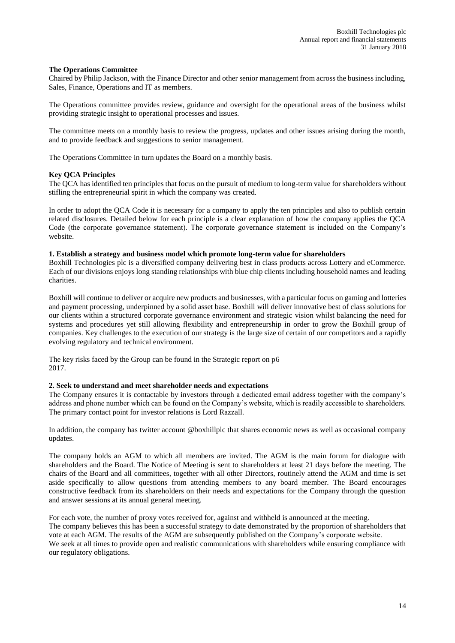#### **The Operations Committee**

Chaired by Philip Jackson, with the Finance Director and other senior management from across the business including, Sales, Finance, Operations and IT as members.

The Operations committee provides review, guidance and oversight for the operational areas of the business whilst providing strategic insight to operational processes and issues.

The committee meets on a monthly basis to review the progress, updates and other issues arising during the month, and to provide feedback and suggestions to senior management.

The Operations Committee in turn updates the Board on a monthly basis.

#### **Key QCA Principles**

The QCA has identified ten principles that focus on the pursuit of medium to long-term value for shareholders without stifling the entrepreneurial spirit in which the company was created.

In order to adopt the QCA Code it is necessary for a company to apply the ten principles and also to publish certain related disclosures. Detailed below for each principle is a clear explanation of how the company applies the QCA Code (the corporate governance statement). The corporate governance statement is included on the Company's website.

#### **1. Establish a strategy and business model which promote long-term value for shareholders**

Boxhill Technologies plc is a diversified company delivering best in class products across Lottery and eCommerce. Each of our divisions enjoys long standing relationships with blue chip clients including household names and leading charities.

Boxhill will continue to deliver or acquire new products and businesses, with a particular focus on gaming and lotteries and payment processing, underpinned by a solid asset base. Boxhill will deliver innovative best of class solutions for our clients within a structured corporate governance environment and strategic vision whilst balancing the need for systems and procedures yet still allowing flexibility and entrepreneurship in order to grow the Boxhill group of companies. Key challenges to the execution of our strategy is the large size of certain of our competitors and a rapidly evolving regulatory and technical environment.

The key risks faced by the Group can be found in the Strategic report on p6 2017.

#### **2. Seek to understand and meet shareholder needs and expectations**

The Company ensures it is contactable by investors through a dedicated email address together with the company's address and phone number which can be found on the Company's website, which is readily accessible to shareholders. The primary contact point for investor relations is Lord Razzall.

In addition, the company has twitter account @boxhillplc that shares economic news as well as occasional company updates.

The company holds an AGM to which all members are invited. The AGM is the main forum for dialogue with shareholders and the Board. The Notice of Meeting is sent to shareholders at least 21 days before the meeting. The chairs of the Board and all committees, together with all other Directors, routinely attend the AGM and time is set aside specifically to allow questions from attending members to any board member. The Board encourages constructive feedback from its shareholders on their needs and expectations for the Company through the question and answer sessions at its annual general meeting.

For each vote, the number of proxy votes received for, against and withheld is announced at the meeting. The company believes this has been a successful strategy to date demonstrated by the proportion of shareholders that vote at each AGM. The results of the AGM are subsequently published on the Company's corporate website. We seek at all times to provide open and realistic communications with shareholders while ensuring compliance with our regulatory obligations.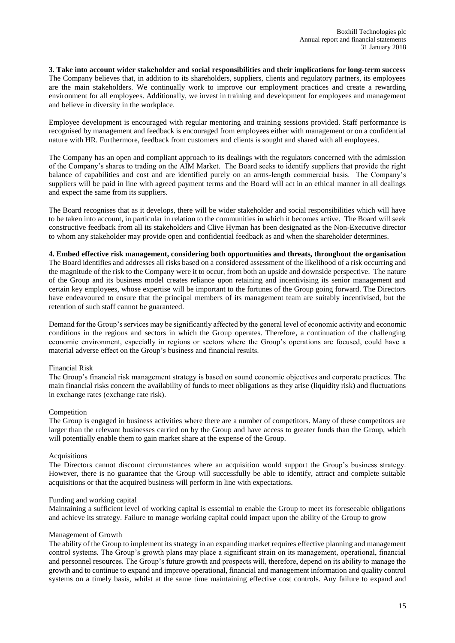**3. Take into account wider stakeholder and social responsibilities and their implications for long-term success** The Company believes that, in addition to its shareholders, suppliers, clients and regulatory partners, its employees are the main stakeholders. We continually work to improve our employment practices and create a rewarding environment for all employees. Additionally, we invest in training and development for employees and management and believe in diversity in the workplace.

Employee development is encouraged with regular mentoring and training sessions provided. Staff performance is recognised by management and feedback is encouraged from employees either with management or on a confidential nature with HR. Furthermore, feedback from customers and clients is sought and shared with all employees.

The Company has an open and compliant approach to its dealings with the regulators concerned with the admission of the Company's shares to trading on the AIM Market. The Board seeks to identify suppliers that provide the right balance of capabilities and cost and are identified purely on an arms-length commercial basis. The Company's suppliers will be paid in line with agreed payment terms and the Board will act in an ethical manner in all dealings and expect the same from its suppliers.

The Board recognises that as it develops, there will be wider stakeholder and social responsibilities which will have to be taken into account, in particular in relation to the communities in which it becomes active. The Board will seek constructive feedback from all its stakeholders and Clive Hyman has been designated as the Non-Executive director to whom any stakeholder may provide open and confidential feedback as and when the shareholder determines.

**4. Embed effective risk management, considering both opportunities and threats, throughout the organisation** The Board identifies and addresses all risks based on a considered assessment of the likelihood of a risk occurring and the magnitude of the risk to the Company were it to occur, from both an upside and downside perspective. The nature of the Group and its business model creates reliance upon retaining and incentivising its senior management and certain key employees, whose expertise will be important to the fortunes of the Group going forward. The Directors have endeavoured to ensure that the principal members of its management team are suitably incentivised, but the retention of such staff cannot be guaranteed.

Demand for the Group's services may be significantly affected by the general level of economic activity and economic conditions in the regions and sectors in which the Group operates. Therefore, a continuation of the challenging economic environment, especially in regions or sectors where the Group's operations are focused, could have a material adverse effect on the Group's business and financial results.

#### Financial Risk

The Group's financial risk management strategy is based on sound economic objectives and corporate practices. The main financial risks concern the availability of funds to meet obligations as they arise (liquidity risk) and fluctuations in exchange rates (exchange rate risk).

#### Competition

The Group is engaged in business activities where there are a number of competitors. Many of these competitors are larger than the relevant businesses carried on by the Group and have access to greater funds than the Group, which will potentially enable them to gain market share at the expense of the Group.

#### Acquisitions

The Directors cannot discount circumstances where an acquisition would support the Group's business strategy. However, there is no guarantee that the Group will successfully be able to identify, attract and complete suitable acquisitions or that the acquired business will perform in line with expectations.

#### Funding and working capital

Maintaining a sufficient level of working capital is essential to enable the Group to meet its foreseeable obligations and achieve its strategy. Failure to manage working capital could impact upon the ability of the Group to grow

#### Management of Growth

The ability of the Group to implement its strategy in an expanding market requires effective planning and management control systems. The Group's growth plans may place a significant strain on its management, operational, financial and personnel resources. The Group's future growth and prospects will, therefore, depend on its ability to manage the growth and to continue to expand and improve operational, financial and management information and quality control systems on a timely basis, whilst at the same time maintaining effective cost controls. Any failure to expand and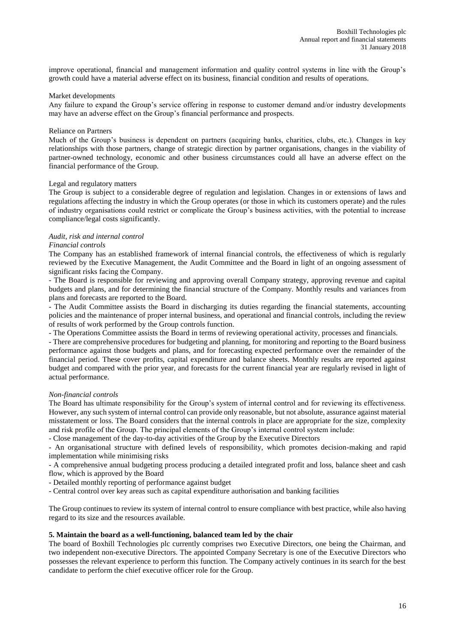improve operational, financial and management information and quality control systems in line with the Group's growth could have a material adverse effect on its business, financial condition and results of operations.

#### Market developments

Any failure to expand the Group's service offering in response to customer demand and/or industry developments may have an adverse effect on the Group's financial performance and prospects.

#### Reliance on Partners

Much of the Group's business is dependent on partners (acquiring banks, charities, clubs, etc.). Changes in key relationships with those partners, change of strategic direction by partner organisations, changes in the viability of partner-owned technology, economic and other business circumstances could all have an adverse effect on the financial performance of the Group.

#### Legal and regulatory matters

The Group is subject to a considerable degree of regulation and legislation. Changes in or extensions of laws and regulations affecting the industry in which the Group operates (or those in which its customers operate) and the rules of industry organisations could restrict or complicate the Group's business activities, with the potential to increase compliance/legal costs significantly.

#### *Audit, risk and internal control*

#### *Financial controls*

The Company has an established framework of internal financial controls, the effectiveness of which is regularly reviewed by the Executive Management, the Audit Committee and the Board in light of an ongoing assessment of significant risks facing the Company.

- The Board is responsible for reviewing and approving overall Company strategy, approving revenue and capital budgets and plans, and for determining the financial structure of the Company. Monthly results and variances from plans and forecasts are reported to the Board.

- The Audit Committee assists the Board in discharging its duties regarding the financial statements, accounting policies and the maintenance of proper internal business, and operational and financial controls, including the review of results of work performed by the Group controls function.

- The Operations Committee assists the Board in terms of reviewing operational activity, processes and financials.

- There are comprehensive procedures for budgeting and planning, for monitoring and reporting to the Board business performance against those budgets and plans, and for forecasting expected performance over the remainder of the financial period. These cover profits, capital expenditure and balance sheets. Monthly results are reported against budget and compared with the prior year, and forecasts for the current financial year are regularly revised in light of actual performance.

#### *Non-financial controls*

The Board has ultimate responsibility for the Group's system of internal control and for reviewing its effectiveness. However, any such system of internal control can provide only reasonable, but not absolute, assurance against material misstatement or loss. The Board considers that the internal controls in place are appropriate for the size, complexity and risk profile of the Group. The principal elements of the Group's internal control system include:

- Close management of the day-to-day activities of the Group by the Executive Directors

- An organisational structure with defined levels of responsibility, which promotes decision-making and rapid implementation while minimising risks

- A comprehensive annual budgeting process producing a detailed integrated profit and loss, balance sheet and cash flow, which is approved by the Board

- Detailed monthly reporting of performance against budget

- Central control over key areas such as capital expenditure authorisation and banking facilities

The Group continues to review its system of internal control to ensure compliance with best practice, while also having regard to its size and the resources available.

#### **5. Maintain the board as a well-functioning, balanced team led by the chair**

The board of Boxhill Technologies plc currently comprises two Executive Directors, one being the Chairman, and two independent non-executive Directors. The appointed Company Secretary is one of the Executive Directors who possesses the relevant experience to perform this function. The Company actively continues in its search for the best candidate to perform the chief executive officer role for the Group.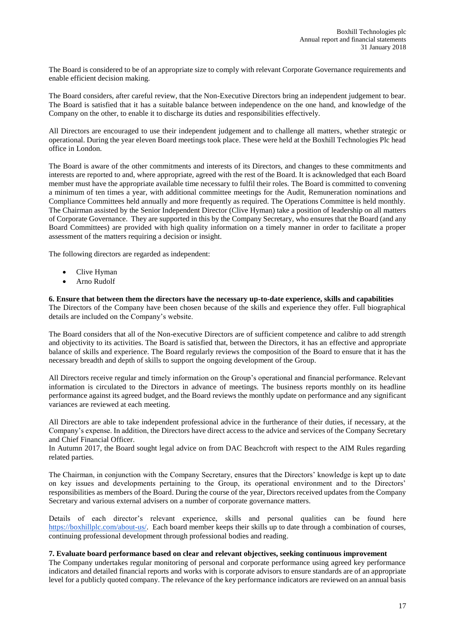The Board is considered to be of an appropriate size to comply with relevant Corporate Governance requirements and enable efficient decision making.

The Board considers, after careful review, that the Non-Executive Directors bring an independent judgement to bear. The Board is satisfied that it has a suitable balance between independence on the one hand, and knowledge of the Company on the other, to enable it to discharge its duties and responsibilities effectively.

All Directors are encouraged to use their independent judgement and to challenge all matters, whether strategic or operational. During the year eleven Board meetings took place. These were held at the Boxhill Technologies Plc head office in London.

The Board is aware of the other commitments and interests of its Directors, and changes to these commitments and interests are reported to and, where appropriate, agreed with the rest of the Board. It is acknowledged that each Board member must have the appropriate available time necessary to fulfil their roles. The Board is committed to convening a minimum of ten times a year, with additional committee meetings for the Audit, Remuneration nominations and Compliance Committees held annually and more frequently as required. The Operations Committee is held monthly. The Chairman assisted by the Senior Independent Director (Clive Hyman) take a position of leadership on all matters of Corporate Governance. They are supported in this by the Company Secretary, who ensures that the Board (and any Board Committees) are provided with high quality information on a timely manner in order to facilitate a proper assessment of the matters requiring a decision or insight.

The following directors are regarded as independent:

- Clive Hyman
- Arno Rudolf

**6. Ensure that between them the directors have the necessary up-to-date experience, skills and capabilities** 

The Directors of the Company have been chosen because of the skills and experience they offer. Full biographical details are included on the Company's website.

The Board considers that all of the Non-executive Directors are of sufficient competence and calibre to add strength and objectivity to its activities. The Board is satisfied that, between the Directors, it has an effective and appropriate balance of skills and experience. The Board regularly reviews the composition of the Board to ensure that it has the necessary breadth and depth of skills to support the ongoing development of the Group.

All Directors receive regular and timely information on the Group's operational and financial performance. Relevant information is circulated to the Directors in advance of meetings. The business reports monthly on its headline performance against its agreed budget, and the Board reviews the monthly update on performance and any significant variances are reviewed at each meeting.

All Directors are able to take independent professional advice in the furtherance of their duties, if necessary, at the Company's expense. In addition, the Directors have direct access to the advice and services of the Company Secretary and Chief Financial Officer.

In Autumn 2017, the Board sought legal advice on from DAC Beachcroft with respect to the AIM Rules regarding related parties.

The Chairman, in conjunction with the Company Secretary, ensures that the Directors' knowledge is kept up to date on key issues and developments pertaining to the Group, its operational environment and to the Directors' responsibilities as members of the Board. During the course of the year, Directors received updates from the Company Secretary and various external advisers on a number of corporate governance matters.

Details of each director's relevant experience, skills and personal qualities can be found here [https://boxhillplc.com/about-us/.](https://boxhillplc.com/about-us/) Each board member keeps their skills up to date through a combination of courses, continuing professional development through professional bodies and reading.

#### **7. Evaluate board performance based on clear and relevant objectives, seeking continuous improvement**

The Company undertakes regular monitoring of personal and corporate performance using agreed key performance indicators and detailed financial reports and works with is corporate advisors to ensure standards are of an appropriate level for a publicly quoted company. The relevance of the key performance indicators are reviewed on an annual basis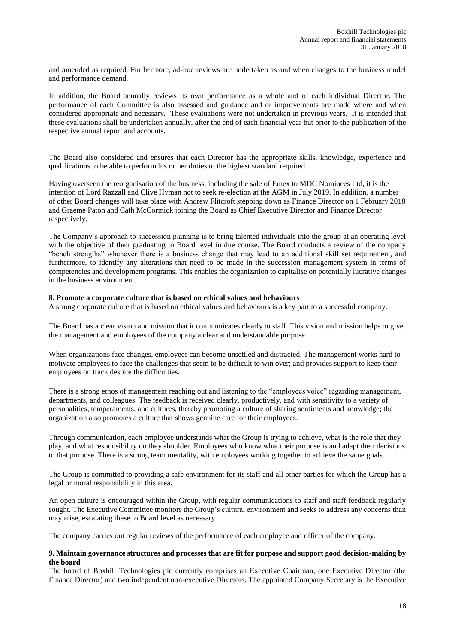and amended as required. Furthermore, ad-hoc reviews are undertaken as and when changes to the business model and performance demand.

In addition, the Board annually reviews its own performance as a whole and of each individual Director. The performance of each Committee is also assessed and guidance and or improvements are made where and when considered appropriate and necessary. These evaluations were not undertaken in previous years. It is intended that these evaluations shall be undertaken annually, after the end of each financial year but prior to the publication of the respective annual report and accounts.

The Board also considered and ensures that each Director has the appropriate skills, knowledge, experience and qualifications to be able to perform his or her duties to the highest standard required.

Having overseen the reorganisation of the business, including the sale of Emex to MDC Nominees Ltd, it is the intention of Lord Razzall and Clive Hyman not to seek re-election at the AGM in July 2019. In addition, a number of other Board changes will take place with Andrew Flitcroft stepping down as Finance Director on 1 February 2018 and Graeme Paton and Cath McCormick joining the Board as Chief Executive Director and Finance Director respectively.

The Company's approach to succession planning is to bring talented individuals into the group at an operating level with the objective of their graduating to Board level in due course. The Board conducts a review of the company "bench strengths" whenever there is a business change that may lead to an additional skill set requirement, and furthermore, to identify any alterations that need to be made in the succession management system in terms of competencies and development programs. This enables the organization to capitalise on potentially lucrative changes in the business environment.

#### **8. Promote a corporate culture that is based on ethical values and behaviours**

A strong corporate culture that is based on ethical values and behaviours is a key part to a successful company.

The Board has a clear vision and mission that it communicates clearly to staff. This vision and mission helps to give the management and employees of the company a clear and understandable purpose.

When organizations face changes, employees can become unsettled and distracted. The management works hard to motivate employees to face the challenges that seem to be difficult to win over; and provides support to keep their employees on track despite the difficulties.

There is a strong ethos of management reaching out and listening to the "employees voice" regarding management, departments, and colleagues. The feedback is received clearly, productively, and with sensitivity to a variety of personalities, temperaments, and cultures, thereby promoting a culture of sharing sentiments and knowledge; the organization also promotes a culture that shows genuine care for their employees.

Through communication, each employee understands what the Group is trying to achieve, what is the role that they play, and what responsibility do they shoulder. Employees who know what their purpose is and adapt their decisions to that purpose. There is a strong team mentality, with employees working together to achieve the same goals.

The Group is committed to providing a safe environment for its staff and all other parties for which the Group has a legal or moral responsibility in this area.

An open culture is encouraged within the Group, with regular communications to staff and staff feedback regularly sought. The Executive Committee monitors the Group's cultural environment and seeks to address any concerns than may arise, escalating these to Board level as necessary.

The company carries out regular reviews of the performance of each employee and officer of the company.

#### **9. Maintain governance structures and processes that are fit for purpose and support good decision-making by the board**

The board of Boxhill Technologies plc currently comprises an Executive Chairman, one Executive Director (the Finance Director) and two independent non-executive Directors. The appointed Company Secretary is the Executive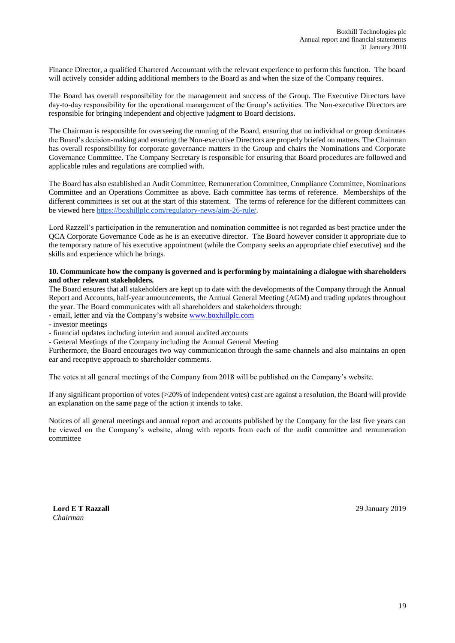Finance Director, a qualified Chartered Accountant with the relevant experience to perform this function. The board will actively consider adding additional members to the Board as and when the size of the Company requires.

The Board has overall responsibility for the management and success of the Group. The Executive Directors have day-to-day responsibility for the operational management of the Group's activities. The Non-executive Directors are responsible for bringing independent and objective judgment to Board decisions.

The Chairman is responsible for overseeing the running of the Board, ensuring that no individual or group dominates the Board's decision-making and ensuring the Non-executive Directors are properly briefed on matters. The Chairman has overall responsibility for corporate governance matters in the Group and chairs the Nominations and Corporate Governance Committee. The Company Secretary is responsible for ensuring that Board procedures are followed and applicable rules and regulations are complied with.

The Board has also established an Audit Committee, Remuneration Committee, Compliance Committee, Nominations Committee and an Operations Committee as above. Each committee has terms of reference. Memberships of the different committees is set out at the start of this statement. The terms of reference for the different committees can be viewed here [https://boxhillplc.com/regulatory-news/aim-26-rule/.](https://boxhillplc.com/regulatory-news/aim-26-rule/)

Lord Razzell's participation in the remuneration and nomination committee is not regarded as best practice under the QCA Corporate Governance Code as he is an executive director. The Board however consider it appropriate due to the temporary nature of his executive appointment (while the Company seeks an appropriate chief executive) and the skills and experience which he brings.

#### **10. Communicate how the company is governed and is performing by maintaining a dialogue with shareholders and other relevant stakeholders.**

The Board ensures that all stakeholders are kept up to date with the developments of the Company through the Annual Report and Accounts, half-year announcements, the Annual General Meeting (AGM) and trading updates throughout the year. The Board communicates with all shareholders and stakeholders through:

- email, letter and via the Company's website [www.boxhillplc.com](http://www.boxhillplc.com/)

- investor meetings
- financial updates including interim and annual audited accounts
- General Meetings of the Company including the Annual General Meeting

Furthermore, the Board encourages two way communication through the same channels and also maintains an open ear and receptive approach to shareholder comments.

The votes at all general meetings of the Company from 2018 will be published on the Company's website.

If any significant proportion of votes (>20% of independent votes) cast are against a resolution, the Board will provide an explanation on the same page of the action it intends to take.

Notices of all general meetings and annual report and accounts published by the Company for the last five years can be viewed on the Company's website, along with reports from each of the audit committee and remuneration committee

**Lord E T Razzall** *Chairman*

29 January 2019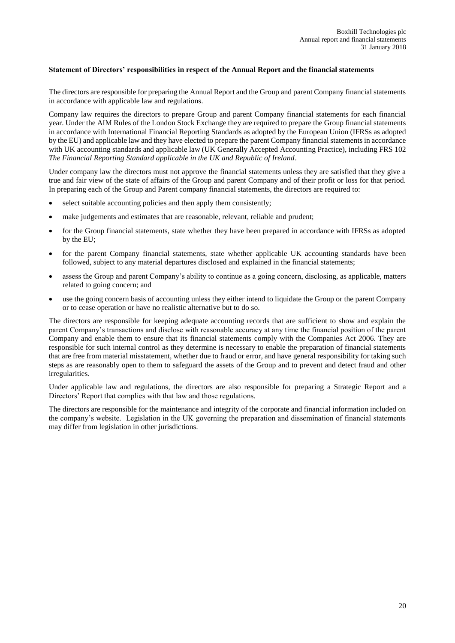#### **Statement of Directors' responsibilities in respect of the Annual Report and the financial statements**

The directors are responsible for preparing the Annual Report and the Group and parent Company financial statements in accordance with applicable law and regulations.

Company law requires the directors to prepare Group and parent Company financial statements for each financial year. Under the AIM Rules of the London Stock Exchange they are required to prepare the Group financial statements in accordance with International Financial Reporting Standards as adopted by the European Union (IFRSs as adopted by the EU) and applicable law and they have elected to prepare the parent Company financial statements in accordance with UK accounting standards and applicable law (UK Generally Accepted Accounting Practice), including FRS 102 *The Financial Reporting Standard applicable in the UK and Republic of Ireland*.

Under company law the directors must not approve the financial statements unless they are satisfied that they give a true and fair view of the state of affairs of the Group and parent Company and of their profit or loss for that period. In preparing each of the Group and Parent company financial statements, the directors are required to:

- select suitable accounting policies and then apply them consistently;
- make judgements and estimates that are reasonable, relevant, reliable and prudent;
- for the Group financial statements, state whether they have been prepared in accordance with IFRSs as adopted by the EU;
- for the parent Company financial statements, state whether applicable UK accounting standards have been followed, subject to any material departures disclosed and explained in the financial statements;
- assess the Group and parent Company's ability to continue as a going concern, disclosing, as applicable, matters related to going concern; and
- use the going concern basis of accounting unless they either intend to liquidate the Group or the parent Company or to cease operation or have no realistic alternative but to do so.

The directors are responsible for keeping adequate accounting records that are sufficient to show and explain the parent Company's transactions and disclose with reasonable accuracy at any time the financial position of the parent Company and enable them to ensure that its financial statements comply with the Companies Act 2006. They are responsible for such internal control as they determine is necessary to enable the preparation of financial statements that are free from material misstatement, whether due to fraud or error, and have general responsibility for taking such steps as are reasonably open to them to safeguard the assets of the Group and to prevent and detect fraud and other irregularities.

Under applicable law and regulations, the directors are also responsible for preparing a Strategic Report and a Directors' Report that complies with that law and those regulations.

The directors are responsible for the maintenance and integrity of the corporate and financial information included on the company's website. Legislation in the UK governing the preparation and dissemination of financial statements may differ from legislation in other jurisdictions.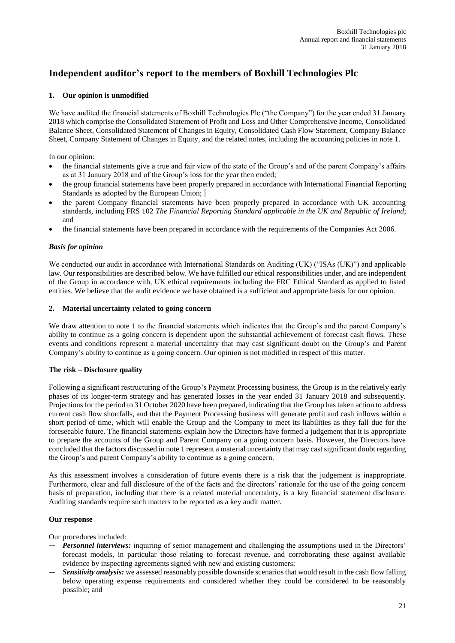# **Independent auditor's report to the members of Boxhill Technologies Plc**

# **1. Our opinion is unmodified**

We have audited the financial statements of Boxhill Technologies Plc ("the Company") for the year ended 31 January 2018 which comprise the Consolidated Statement of Profit and Loss and Other Comprehensive Income, Consolidated Balance Sheet, Consolidated Statement of Changes in Equity, Consolidated Cash Flow Statement, Company Balance Sheet, Company Statement of Changes in Equity, and the related notes, including the accounting policies in note 1.

In our opinion:

- the financial statements give a true and fair view of the state of the Group's and of the parent Company's affairs as at 31 January 2018 and of the Group's loss for the year then ended;
- the group financial statements have been properly prepared in accordance with International Financial Reporting Standards as adopted by the European Union;
- the parent Company financial statements have been properly prepared in accordance with UK accounting standards, including FRS 102 *The Financial Reporting Standard applicable in the UK and Republic of Ireland*; and
- the financial statements have been prepared in accordance with the requirements of the Companies Act 2006.

#### *Basis for opinion*

We conducted our audit in accordance with International Standards on Auditing (UK) ("ISAs (UK)") and applicable law. Our responsibilities are described below. We have fulfilled our ethical responsibilities under, and are independent of the Group in accordance with, UK ethical requirements including the FRC Ethical Standard as applied to listed entities. We believe that the audit evidence we have obtained is a sufficient and appropriate basis for our opinion.

#### **2. Material uncertainty related to going concern**

We draw attention to note 1 to the financial statements which indicates that the Group's and the parent Company's ability to continue as a going concern is dependent upon the substantial achievement of forecast cash flows. These events and conditions represent a material uncertainty that may cast significant doubt on the Group's and Parent Company's ability to continue as a going concern. Our opinion is not modified in respect of this matter.

#### **The risk – Disclosure quality**

Following a significant restructuring of the Group's Payment Processing business, the Group is in the relatively early phases of its longer-term strategy and has generated losses in the year ended 31 January 2018 and subsequently. Projections for the period to 31 October 2020 have been prepared, indicating that the Group has taken action to address current cash flow shortfalls, and that the Payment Processing business will generate profit and cash inflows within a short period of time, which will enable the Group and the Company to meet its liabilities as they fall due for the foreseeable future. The financial statements explain how the Directors have formed a judgement that it is appropriate to prepare the accounts of the Group and Parent Company on a going concern basis. However, the Directors have concluded that the factors discussed in note 1 represent a material uncertainty that may cast significant doubt regarding the Group's and parent Company's ability to continue as a going concern.

As this assessment involves a consideration of future events there is a risk that the judgement is inappropriate. Furthermore, clear and full disclosure of the of the facts and the directors' rationale for the use of the going concern basis of preparation, including that there is a related material uncertainty, is a key financial statement disclosure. Auditing standards require such matters to be reported as a key audit matter.

#### **Our response**

Our procedures included:

- *Personnel interviews:* inquiring of senior management and challenging the assumptions used in the Directors' forecast models, in particular those relating to forecast revenue, and corroborating these against available evidence by inspecting agreements signed with new and existing customers;
- *Sensitivity analysis:* we assessed reasonably possible downside scenarios that would result in the cash flow falling below operating expense requirements and considered whether they could be considered to be reasonably possible; and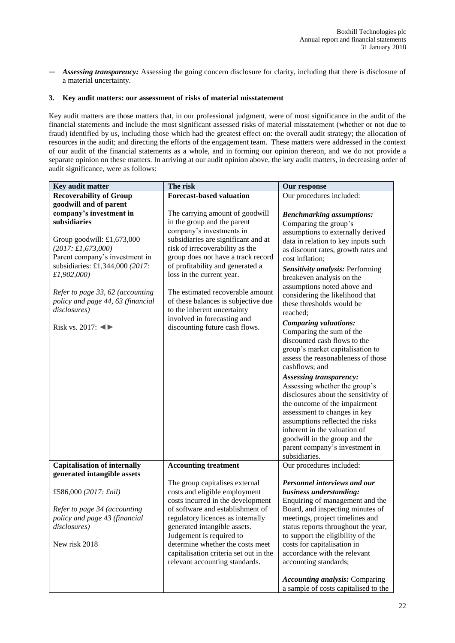— *Assessing transparency:* Assessing the going concern disclosure for clarity, including that there is disclosure of a material uncertainty.

#### **3. Key audit matters: our assessment of risks of material misstatement**

Key audit matters are those matters that, in our professional judgment, were of most significance in the audit of the financial statements and include the most significant assessed risks of material misstatement (whether or not due to fraud) identified by us, including those which had the greatest effect on: the overall audit strategy; the allocation of resources in the audit; and directing the efforts of the engagement team. These matters were addressed in the context of our audit of the financial statements as a whole, and in forming our opinion thereon, and we do not provide a separate opinion on these matters. In arriving at our audit opinion above, the key audit matters, in decreasing order of audit significance, were as follows:

| Key audit matter                    | The risk                               | <b>Our response</b>                   |
|-------------------------------------|----------------------------------------|---------------------------------------|
| <b>Recoverability of Group</b>      | <b>Forecast-based valuation</b>        | Our procedures included:              |
| goodwill and of parent              |                                        |                                       |
| company's investment in             | The carrying amount of goodwill        | <b>Benchmarking assumptions:</b>      |
| subsidiaries                        | in the group and the parent            | Comparing the group's                 |
|                                     | company's investments in               | assumptions to externally derived     |
| Group goodwill: £1,673,000          | subsidiaries are significant and at    |                                       |
| $(2017: \pounds1, 673, 000)$        | risk of irrecoverability as the        | data in relation to key inputs such   |
|                                     |                                        | as discount rates, growth rates and   |
| Parent company's investment in      | group does not have a track record     | cost inflation;                       |
| subsidiaries: £1,344,000 (2017:     | of profitability and generated a       | Sensitivity analysis: Performing      |
| £1,902,000)                         | loss in the current year.              | breakeven analysis on the             |
|                                     |                                        | assumptions noted above and           |
| Refer to page 33, 62 (accounting    | The estimated recoverable amount       | considering the likelihood that       |
| policy and page 44, 63 (financial   | of these balances is subjective due    | these thresholds would be             |
| disclosures)                        | to the inherent uncertainty            | reached:                              |
|                                     | involved in forecasting and            | <b>Comparing valuations:</b>          |
| Risk vs. 2017: ◀▶                   | discounting future cash flows.         | Comparing the sum of the              |
|                                     |                                        | discounted cash flows to the          |
|                                     |                                        | group's market capitalisation to      |
|                                     |                                        | assess the reasonableness of those    |
|                                     |                                        |                                       |
|                                     |                                        | cashflows; and                        |
|                                     |                                        | Assessing transparency:               |
|                                     |                                        | Assessing whether the group's         |
|                                     |                                        | disclosures about the sensitivity of  |
|                                     |                                        | the outcome of the impairment         |
|                                     |                                        | assessment to changes in key          |
|                                     |                                        | assumptions reflected the risks       |
|                                     |                                        | inherent in the valuation of          |
|                                     |                                        | goodwill in the group and the         |
|                                     |                                        | parent company's investment in        |
|                                     |                                        | subsidiaries.                         |
| <b>Capitalisation of internally</b> | <b>Accounting treatment</b>            | Our procedures included:              |
| generated intangible assets         |                                        |                                       |
|                                     | The group capitalises external         | Personnel interviews and our          |
| £586,000 (2017: £nil)               | costs and eligible employment          | business understanding:               |
|                                     | costs incurred in the development      | Enquiring of management and the       |
| Refer to page 34 (accounting        | of software and establishment of       | Board, and inspecting minutes of      |
| policy and page 43 (financial       | regulatory licences as internally      | meetings, project timelines and       |
|                                     | generated intangible assets.           |                                       |
| disclosures)                        |                                        | status reports throughout the year,   |
|                                     | Judgement is required to               | to support the eligibility of the     |
| New risk 2018                       | determine whether the costs meet       | costs for capitalisation in           |
|                                     | capitalisation criteria set out in the | accordance with the relevant          |
|                                     | relevant accounting standards.         | accounting standards;                 |
|                                     |                                        |                                       |
|                                     |                                        | <b>Accounting analysis: Comparing</b> |
|                                     |                                        | a sample of costs capitalised to the  |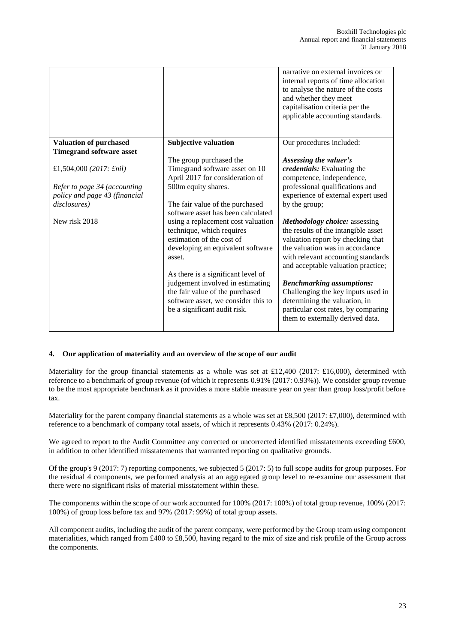| <b>Valuation of purchased</b><br><b>Subjective valuation</b><br>Our procedures included:<br><b>Timegrand software asset</b><br>The group purchased the<br>Assessing the valuer's<br>Timegrand software asset on 10<br><i>credentials:</i> Evaluating the<br>£1,504,000 (2017: £nil)<br>April 2017 for consideration of<br>competence, independence,<br>500m equity shares.<br>professional qualifications and<br>Refer to page 34 (accounting<br>policy and page 43 (financial<br>experience of external expert used<br>by the group;<br>disclosures)<br>The fair value of the purchased<br>software asset has been calculated<br>New risk 2018<br>using a replacement cost valuation<br>Methodology choice: assessing<br>technique, which requires<br>the results of the intangible asset<br>estimation of the cost of<br>valuation report by checking that<br>the valuation was in accordance<br>developing an equivalent software |
|--------------------------------------------------------------------------------------------------------------------------------------------------------------------------------------------------------------------------------------------------------------------------------------------------------------------------------------------------------------------------------------------------------------------------------------------------------------------------------------------------------------------------------------------------------------------------------------------------------------------------------------------------------------------------------------------------------------------------------------------------------------------------------------------------------------------------------------------------------------------------------------------------------------------------------------|
|                                                                                                                                                                                                                                                                                                                                                                                                                                                                                                                                                                                                                                                                                                                                                                                                                                                                                                                                      |
|                                                                                                                                                                                                                                                                                                                                                                                                                                                                                                                                                                                                                                                                                                                                                                                                                                                                                                                                      |
|                                                                                                                                                                                                                                                                                                                                                                                                                                                                                                                                                                                                                                                                                                                                                                                                                                                                                                                                      |
|                                                                                                                                                                                                                                                                                                                                                                                                                                                                                                                                                                                                                                                                                                                                                                                                                                                                                                                                      |
|                                                                                                                                                                                                                                                                                                                                                                                                                                                                                                                                                                                                                                                                                                                                                                                                                                                                                                                                      |
|                                                                                                                                                                                                                                                                                                                                                                                                                                                                                                                                                                                                                                                                                                                                                                                                                                                                                                                                      |
|                                                                                                                                                                                                                                                                                                                                                                                                                                                                                                                                                                                                                                                                                                                                                                                                                                                                                                                                      |
|                                                                                                                                                                                                                                                                                                                                                                                                                                                                                                                                                                                                                                                                                                                                                                                                                                                                                                                                      |
|                                                                                                                                                                                                                                                                                                                                                                                                                                                                                                                                                                                                                                                                                                                                                                                                                                                                                                                                      |
|                                                                                                                                                                                                                                                                                                                                                                                                                                                                                                                                                                                                                                                                                                                                                                                                                                                                                                                                      |
|                                                                                                                                                                                                                                                                                                                                                                                                                                                                                                                                                                                                                                                                                                                                                                                                                                                                                                                                      |
|                                                                                                                                                                                                                                                                                                                                                                                                                                                                                                                                                                                                                                                                                                                                                                                                                                                                                                                                      |
| with relevant accounting standards<br>asset.<br>and acceptable valuation practice;                                                                                                                                                                                                                                                                                                                                                                                                                                                                                                                                                                                                                                                                                                                                                                                                                                                   |
| As there is a significant level of                                                                                                                                                                                                                                                                                                                                                                                                                                                                                                                                                                                                                                                                                                                                                                                                                                                                                                   |
| judgement involved in estimating<br><b>Benchmarking assumptions:</b>                                                                                                                                                                                                                                                                                                                                                                                                                                                                                                                                                                                                                                                                                                                                                                                                                                                                 |
| the fair value of the purchased<br>Challenging the key inputs used in                                                                                                                                                                                                                                                                                                                                                                                                                                                                                                                                                                                                                                                                                                                                                                                                                                                                |
| software asset, we consider this to<br>determining the valuation, in                                                                                                                                                                                                                                                                                                                                                                                                                                                                                                                                                                                                                                                                                                                                                                                                                                                                 |
| particular cost rates, by comparing<br>be a significant audit risk.<br>them to externally derived data.                                                                                                                                                                                                                                                                                                                                                                                                                                                                                                                                                                                                                                                                                                                                                                                                                              |

# **4. Our application of materiality and an overview of the scope of our audit**

Materiality for the group financial statements as a whole was set at £12,400 (2017: £16,000), determined with reference to a benchmark of group revenue (of which it represents 0.91% (2017: 0.93%)). We consider group revenue to be the most appropriate benchmark as it provides a more stable measure year on year than group loss/profit before tax.

Materiality for the parent company financial statements as a whole was set at £8,500 (2017: £7,000), determined with reference to a benchmark of company total assets, of which it represents 0.43% (2017: 0.24%).

We agreed to report to the Audit Committee any corrected or uncorrected identified misstatements exceeding £600, in addition to other identified misstatements that warranted reporting on qualitative grounds.

Of the group's 9 (2017: 7) reporting components, we subjected 5 (2017: 5) to full scope audits for group purposes. For the residual 4 components, we performed analysis at an aggregated group level to re-examine our assessment that there were no significant risks of material misstatement within these.

The components within the scope of our work accounted for 100% (2017: 100%) of total group revenue, 100% (2017: 100%) of group loss before tax and 97% (2017: 99%) of total group assets.

All component audits, including the audit of the parent company, were performed by the Group team using component materialities, which ranged from £400 to £8,500, having regard to the mix of size and risk profile of the Group across the components.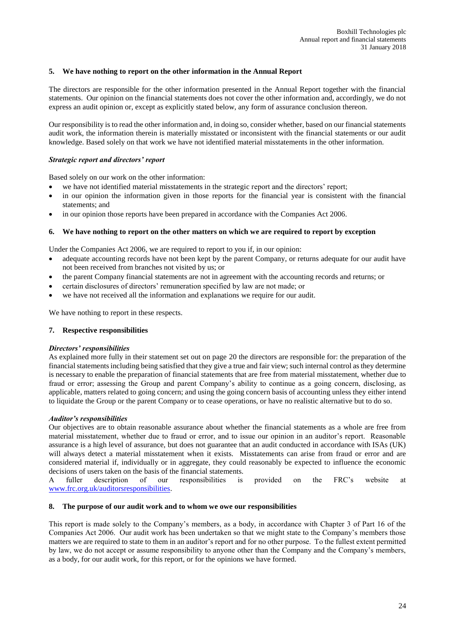# **5. We have nothing to report on the other information in the Annual Report**

The directors are responsible for the other information presented in the Annual Report together with the financial statements. Our opinion on the financial statements does not cover the other information and, accordingly, we do not express an audit opinion or, except as explicitly stated below, any form of assurance conclusion thereon.

Our responsibility is to read the other information and, in doing so, consider whether, based on our financial statements audit work, the information therein is materially misstated or inconsistent with the financial statements or our audit knowledge. Based solely on that work we have not identified material misstatements in the other information.

# *Strategic report and directors' report*

Based solely on our work on the other information:

- we have not identified material misstatements in the strategic report and the directors' report;
- in our opinion the information given in those reports for the financial year is consistent with the financial statements; and
- in our opinion those reports have been prepared in accordance with the Companies Act 2006.

# **6. We have nothing to report on the other matters on which we are required to report by exception**

Under the Companies Act 2006, we are required to report to you if, in our opinion:

- adequate accounting records have not been kept by the parent Company, or returns adequate for our audit have not been received from branches not visited by us; or
- the parent Company financial statements are not in agreement with the accounting records and returns; or
- certain disclosures of directors' remuneration specified by law are not made; or
- we have not received all the information and explanations we require for our audit.

We have nothing to report in these respects.

#### **7. Respective responsibilities**

#### *Directors' responsibilities*

As explained more fully in their statement set out on page 20 the directors are responsible for: the preparation of the financial statements including being satisfied that they give a true and fair view; such internal control as they determine is necessary to enable the preparation of financial statements that are free from material misstatement, whether due to fraud or error; assessing the Group and parent Company's ability to continue as a going concern, disclosing, as applicable, matters related to going concern; and using the going concern basis of accounting unless they either intend to liquidate the Group or the parent Company or to cease operations, or have no realistic alternative but to do so.

#### *Auditor's responsibilities*

Our objectives are to obtain reasonable assurance about whether the financial statements as a whole are free from material misstatement, whether due to fraud or error, and to issue our opinion in an auditor's report. Reasonable assurance is a high level of assurance, but does not guarantee that an audit conducted in accordance with ISAs (UK) will always detect a material misstatement when it exists. Misstatements can arise from fraud or error and are considered material if, individually or in aggregate, they could reasonably be expected to influence the economic decisions of users taken on the basis of the financial statements.

A fuller description of our responsibilities is provided on the FRC's website at [www.frc.org.uk/auditorsresponsibilities.](http://www.frc.org.uk/auditorsresponsibilities)

#### **8. The purpose of our audit work and to whom we owe our responsibilities**

This report is made solely to the Company's members, as a body, in accordance with Chapter 3 of Part 16 of the Companies Act 2006. Our audit work has been undertaken so that we might state to the Company's members those matters we are required to state to them in an auditor's report and for no other purpose. To the fullest extent permitted by law, we do not accept or assume responsibility to anyone other than the Company and the Company's members, as a body, for our audit work, for this report, or for the opinions we have formed.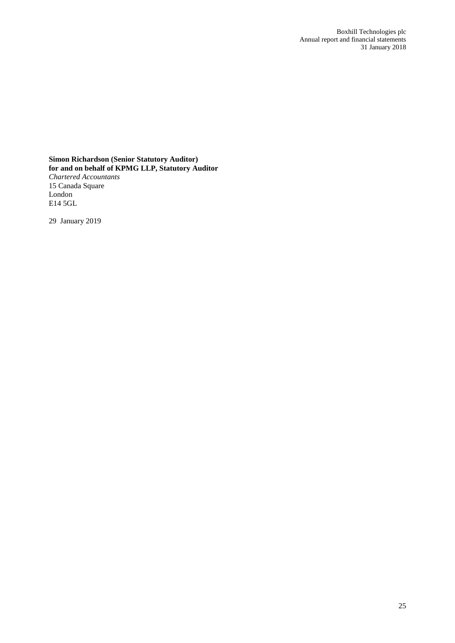Boxhill Technologies plc Annual report and financial statements 31 January 2018

**Simon Richardson (Senior Statutory Auditor) for and on behalf of KPMG LLP, Statutory Auditor**  *Chartered Accountants* 

15 Canada Square London E14 5GL

29 January 2019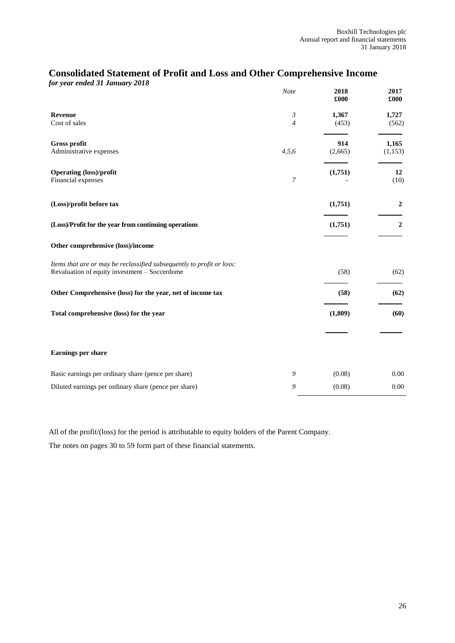# **Consolidated Statement of Profit and Loss and Other Comprehensive Income**

*for year ended 31 January 2018*

|                                                                                                                        | <b>Note</b>         | 2018<br>£000   | 2017<br>£000      |
|------------------------------------------------------------------------------------------------------------------------|---------------------|----------------|-------------------|
| <b>Revenue</b><br>Cost of sales                                                                                        | 3<br>$\overline{4}$ | 1,367<br>(453) | 1,727<br>(562)    |
| <b>Gross profit</b><br>Administrative expenses                                                                         | 4,5,6               | 914<br>(2,665) | 1,165<br>(1, 153) |
| <b>Operating (loss)/profit</b><br>Financial expenses                                                                   | 7                   | (1,751)        | 12<br>(10)        |
| (Loss)/profit before tax                                                                                               |                     | (1,751)        | 2                 |
| (Loss)/Profit for the year from continuing operations                                                                  |                     | (1,751)        | $\overline{2}$    |
| Other comprehensive (loss)/income                                                                                      |                     |                |                   |
| Items that are or may be reclassified subsequently to profit or loss:<br>Revaluation of equity investment - Soccerdome |                     | (58)           | (62)              |
| Other Comprehensive (loss) for the year, net of income tax                                                             |                     | (58)           | (62)              |
| Total comprehensive (loss) for the year                                                                                |                     | (1,809)        | (60)              |
| Earnings per share                                                                                                     |                     |                |                   |
| Basic earnings per ordinary share (pence per share)                                                                    | $\boldsymbol{9}$    | (0.08)         | 0.00              |
| Diluted earnings per ordinary share (pence per share)                                                                  | 9                   | (0.08)         | 0.00              |

All of the profit/(loss) for the period is attributable to equity holders of the Parent Company.

The notes on pages 30 to 59 form part of these financial statements.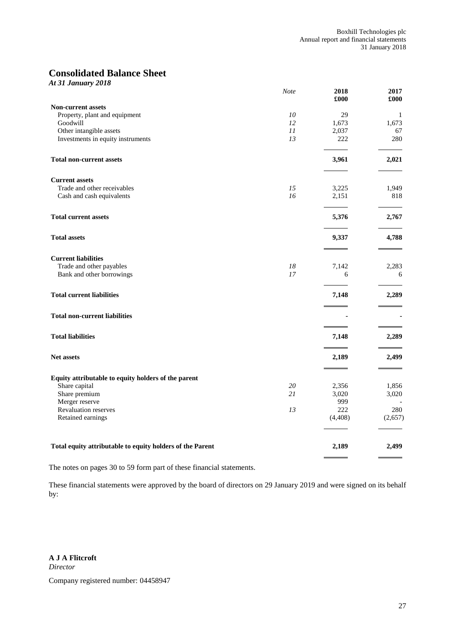# **Consolidated Balance Sheet**

|  | At 31 January 2018 |  |
|--|--------------------|--|
|--|--------------------|--|

|                                                           | <b>Note</b> | 2018<br>£000 | 2017<br>£000 |
|-----------------------------------------------------------|-------------|--------------|--------------|
| Non-current assets                                        |             |              |              |
| Property, plant and equipment                             | 10          | 29           | $\mathbf{1}$ |
| Goodwill                                                  | 12          | 1,673        | 1,673        |
| Other intangible assets                                   | 11          | 2,037        | 67           |
| Investments in equity instruments                         | 13          | 222          | 280          |
| <b>Total non-current assets</b>                           |             | 3,961        | 2,021        |
| <b>Current assets</b>                                     |             |              |              |
| Trade and other receivables                               | 15          | 3,225        | 1,949        |
| Cash and cash equivalents                                 | 16          | 2,151        | 818          |
| <b>Total current assets</b>                               |             | 5,376        | 2,767        |
| <b>Total assets</b>                                       |             | 9,337        | 4,788        |
| <b>Current liabilities</b>                                |             |              |              |
| Trade and other payables                                  | 18          | 7,142        | 2,283        |
| Bank and other borrowings                                 | 17          | 6            | 6            |
| <b>Total current liabilities</b>                          |             | 7,148        | 2,289        |
| <b>Total non-current liabilities</b>                      |             | ٠            |              |
| <b>Total liabilities</b>                                  |             | 7,148        | 2,289        |
| Net assets                                                |             | 2,189        | 2,499        |
| Equity attributable to equity holders of the parent       |             |              |              |
| Share capital                                             | 20          | 2,356        | 1,856        |
| Share premium                                             | 21          | 3,020        | 3,020        |
| Merger reserve                                            |             | 999          |              |
| <b>Revaluation reserves</b>                               | 13          | 222          | 280          |
| Retained earnings                                         |             | (4, 408)     | (2,657)      |
| Total equity attributable to equity holders of the Parent |             | 2,189        | 2,499        |
|                                                           |             |              |              |

The notes on pages 30 to 59 form part of these financial statements.

These financial statements were approved by the board of directors on 29 January 2019 and were signed on its behalf by: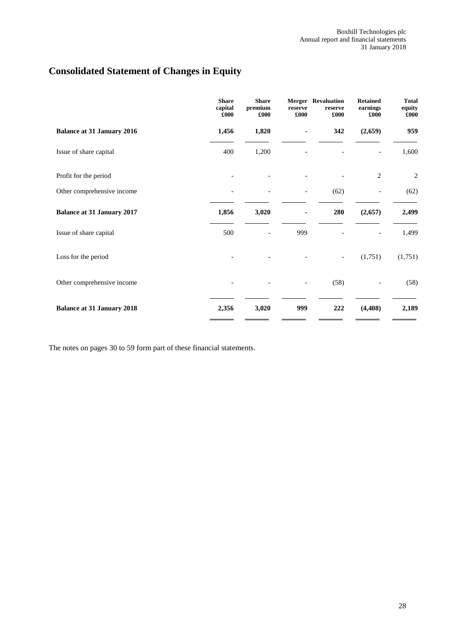# **Consolidated Statement of Changes in Equity**

|                                   | <b>Share</b><br>capital<br>£000 | <b>Share</b><br>premium<br>£000 | reserve<br>£000 | <b>Merger Revaluation</b><br>reserve<br>£000 | <b>Retained</b><br>earnings<br>£000 | <b>Total</b><br>equity<br>£000 |
|-----------------------------------|---------------------------------|---------------------------------|-----------------|----------------------------------------------|-------------------------------------|--------------------------------|
| <b>Balance at 31 January 2016</b> | 1,456                           | 1,820                           |                 | 342                                          | (2,659)                             | 959                            |
| Issue of share capital            | 400                             | 1,200                           |                 |                                              |                                     | 1,600                          |
| Profit for the period             |                                 |                                 |                 |                                              | $\overline{c}$                      | $\sqrt{2}$                     |
| Other comprehensive income        |                                 |                                 |                 | (62)                                         |                                     | (62)                           |
| <b>Balance at 31 January 2017</b> | 1,856                           | 3,020                           |                 | 280                                          | (2,657)                             | 2,499                          |
| Issue of share capital            | 500                             |                                 | 999             |                                              |                                     | 1,499                          |
| Loss for the period               |                                 |                                 |                 |                                              | (1,751)                             | (1,751)                        |
| Other comprehensive income        |                                 |                                 |                 | (58)                                         |                                     | (58)                           |
| <b>Balance at 31 January 2018</b> | 2,356                           | 3,020                           | 999             | 222                                          | (4, 408)                            | 2,189                          |

The notes on pages 30 to 59 form part of these financial statements.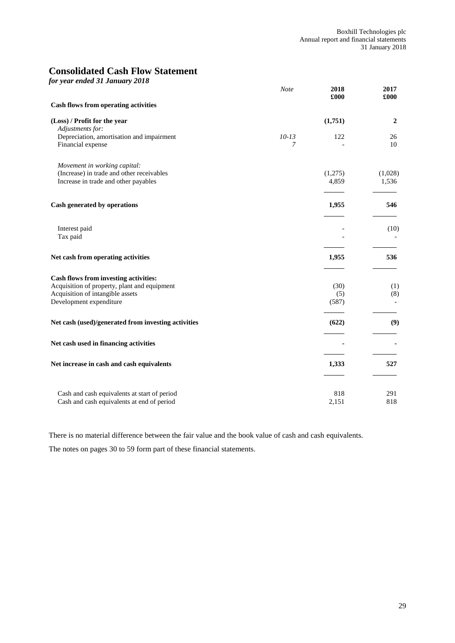# **Consolidated Cash Flow Statement**

*for year ended 31 January 2018*

|                                                                           | <b>Note</b>  | 2018<br>£000 | 2017<br>£000 |
|---------------------------------------------------------------------------|--------------|--------------|--------------|
| <b>Cash flows from operating activities</b>                               |              |              |              |
| (Loss) / Profit for the year<br>Adjustments for:                          |              | (1,751)      | $\mathbf{2}$ |
| Depreciation, amortisation and impairment<br>Financial expense            | $10-13$<br>7 | 122          | 26<br>10     |
| Movement in working capital:<br>(Increase) in trade and other receivables |              | (1,275)      | (1,028)      |
| Increase in trade and other payables                                      |              | 4,859        | 1,536        |
| Cash generated by operations                                              |              | 1,955        | 546          |
| Interest paid<br>Tax paid                                                 |              |              | (10)         |
| Net cash from operating activities                                        |              | 1,955        | 536          |
| Cash flows from investing activities:                                     |              |              |              |
| Acquisition of property, plant and equipment                              |              | (30)         | (1)          |
| Acquisition of intangible assets<br>Development expenditure               |              | (5)<br>(587) | (8)          |
| Net cash (used)/generated from investing activities                       |              | (622)        | (9)          |
| Net cash used in financing activities                                     |              |              |              |
| Net increase in cash and cash equivalents                                 |              | 1,333        | 527          |
| Cash and cash equivalents at start of period                              |              | 818          | 291          |
| Cash and cash equivalents at end of period                                |              | 2,151        | 818          |

There is no material difference between the fair value and the book value of cash and cash equivalents.

The notes on pages 30 to 59 form part of these financial statements.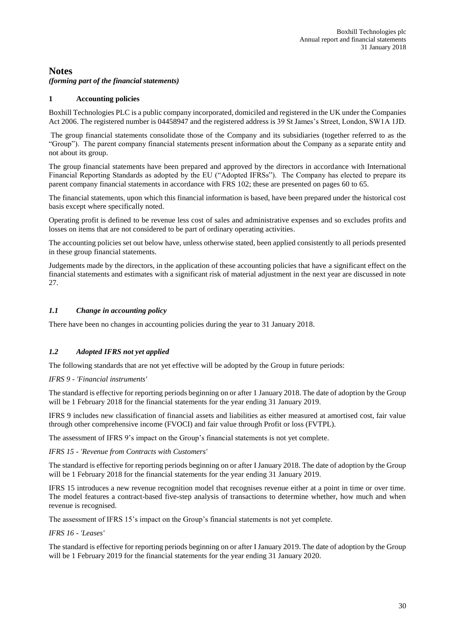# **Notes** *(forming part of the financial statements)*

# **1 Accounting policies**

Boxhill Technologies PLC is a public company incorporated, domiciled and registered in the UK under the Companies Act 2006. The registered number is 04458947 and the registered address is 39 St James's Street, London, SW1A 1JD.

The group financial statements consolidate those of the Company and its subsidiaries (together referred to as the "Group"). The parent company financial statements present information about the Company as a separate entity and not about its group.

The group financial statements have been prepared and approved by the directors in accordance with International Financial Reporting Standards as adopted by the EU ("Adopted IFRSs"). The Company has elected to prepare its parent company financial statements in accordance with FRS 102; these are presented on pages 60 to 65.

The financial statements, upon which this financial information is based, have been prepared under the historical cost basis except where specifically noted.

Operating profit is defined to be revenue less cost of sales and administrative expenses and so excludes profits and losses on items that are not considered to be part of ordinary operating activities.

The accounting policies set out below have, unless otherwise stated, been applied consistently to all periods presented in these group financial statements.

Judgements made by the directors, in the application of these accounting policies that have a significant effect on the financial statements and estimates with a significant risk of material adjustment in the next year are discussed in note 27.

# *1.1 Change in accounting policy*

There have been no changes in accounting policies during the year to 31 January 2018.

# *1.2 Adopted IFRS not yet applied*

The following standards that are not yet effective will be adopted by the Group in future periods:

#### *IFRS 9 - 'Financial instruments'*

The standard is effective for reporting periods beginning on or after 1 January 2018. The date of adoption by the Group will be 1 February 2018 for the financial statements for the year ending 31 January 2019.

IFRS 9 includes new classification of financial assets and liabilities as either measured at amortised cost, fair value through other comprehensive income (FVOCI) and fair value through Profit or loss (FVTPL).

The assessment of IFRS 9's impact on the Group's financial statements is not yet complete.

*IFRS 15 - 'Revenue from Contracts with Customers'* 

The standard is effective for reporting periods beginning on or after I January 2018. The date of adoption by the Group will be 1 February 2018 for the financial statements for the year ending 31 January 2019.

IFRS 15 introduces a new revenue recognition model that recognises revenue either at a point in time or over time. The model features a contract-based five-step analysis of transactions to determine whether, how much and when revenue is recognised.

The assessment of IFRS 15's impact on the Group's financial statements is not yet complete.

#### *IFRS 16 - 'Leases'*

The standard is effective for reporting periods beginning on or after I January 2019. The date of adoption by the Group will be 1 February 2019 for the financial statements for the year ending 31 January 2020.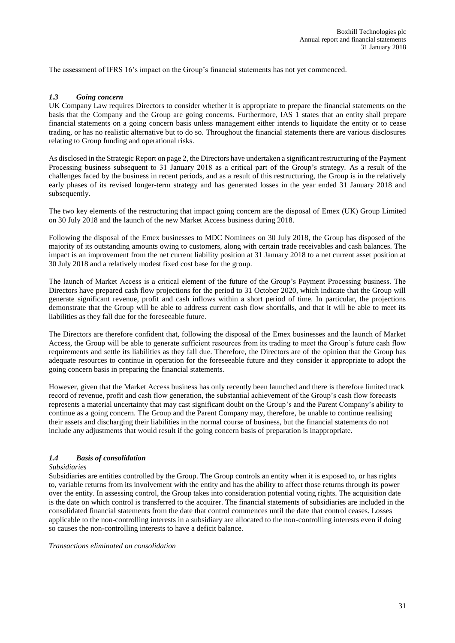The assessment of IFRS 16's impact on the Group's financial statements has not yet commenced.

#### *1.3 Going concern*

UK Company Law requires Directors to consider whether it is appropriate to prepare the financial statements on the basis that the Company and the Group are going concerns. Furthermore, IAS 1 states that an entity shall prepare financial statements on a going concern basis unless management either intends to liquidate the entity or to cease trading, or has no realistic alternative but to do so. Throughout the financial statements there are various disclosures relating to Group funding and operational risks.

As disclosed in the Strategic Report on page 2, the Directors have undertaken a significant restructuring of the Payment Processing business subsequent to 31 January 2018 as a critical part of the Group's strategy. As a result of the challenges faced by the business in recent periods, and as a result of this restructuring, the Group is in the relatively early phases of its revised longer-term strategy and has generated losses in the year ended 31 January 2018 and subsequently.

The two key elements of the restructuring that impact going concern are the disposal of Emex (UK) Group Limited on 30 July 2018 and the launch of the new Market Access business during 2018.

Following the disposal of the Emex businesses to MDC Nominees on 30 July 2018, the Group has disposed of the majority of its outstanding amounts owing to customers, along with certain trade receivables and cash balances. The impact is an improvement from the net current liability position at 31 January 2018 to a net current asset position at 30 July 2018 and a relatively modest fixed cost base for the group.

The launch of Market Access is a critical element of the future of the Group's Payment Processing business. The Directors have prepared cash flow projections for the period to 31 October 2020, which indicate that the Group will generate significant revenue, profit and cash inflows within a short period of time. In particular, the projections demonstrate that the Group will be able to address current cash flow shortfalls, and that it will be able to meet its liabilities as they fall due for the foreseeable future.

The Directors are therefore confident that, following the disposal of the Emex businesses and the launch of Market Access, the Group will be able to generate sufficient resources from its trading to meet the Group's future cash flow requirements and settle its liabilities as they fall due. Therefore, the Directors are of the opinion that the Group has adequate resources to continue in operation for the foreseeable future and they consider it appropriate to adopt the going concern basis in preparing the financial statements.

However, given that the Market Access business has only recently been launched and there is therefore limited track record of revenue, profit and cash flow generation, the substantial achievement of the Group's cash flow forecasts represents a material uncertainty that may cast significant doubt on the Group's and the Parent Company's ability to continue as a going concern. The Group and the Parent Company may, therefore, be unable to continue realising their assets and discharging their liabilities in the normal course of business, but the financial statements do not include any adjustments that would result if the going concern basis of preparation is inappropriate.

#### *1.4 Basis of consolidation*

#### *Subsidiaries*

Subsidiaries are entities controlled by the Group. The Group controls an entity when it is exposed to, or has rights to, variable returns from its involvement with the entity and has the ability to affect those returns through its power over the entity. In assessing control, the Group takes into consideration potential voting rights. The acquisition date is the date on which control is transferred to the acquirer. The financial statements of subsidiaries are included in the consolidated financial statements from the date that control commences until the date that control ceases. Losses applicable to the non-controlling interests in a subsidiary are allocated to the non-controlling interests even if doing so causes the non-controlling interests to have a deficit balance.

#### *Transactions eliminated on consolidation*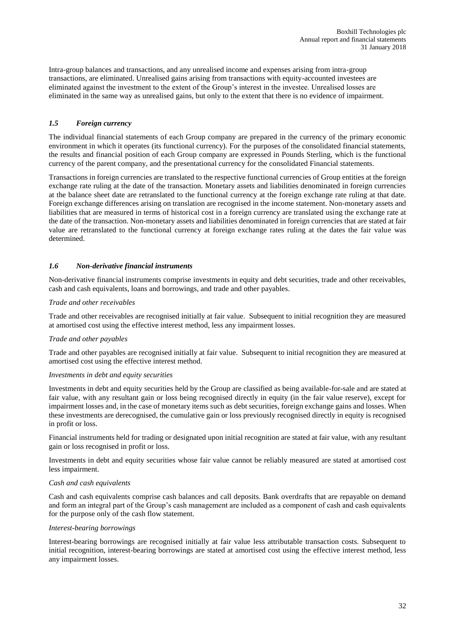Intra-group balances and transactions, and any unrealised income and expenses arising from intra-group transactions, are eliminated. Unrealised gains arising from transactions with equity-accounted investees are eliminated against the investment to the extent of the Group's interest in the investee. Unrealised losses are eliminated in the same way as unrealised gains, but only to the extent that there is no evidence of impairment.

# *1.5 Foreign currency*

The individual financial statements of each Group company are prepared in the currency of the primary economic environment in which it operates (its functional currency). For the purposes of the consolidated financial statements, the results and financial position of each Group company are expressed in Pounds Sterling, which is the functional currency of the parent company, and the presentational currency for the consolidated Financial statements.

Transactions in foreign currencies are translated to the respective functional currencies of Group entities at the foreign exchange rate ruling at the date of the transaction. Monetary assets and liabilities denominated in foreign currencies at the balance sheet date are retranslated to the functional currency at the foreign exchange rate ruling at that date. Foreign exchange differences arising on translation are recognised in the income statement. Non-monetary assets and liabilities that are measured in terms of historical cost in a foreign currency are translated using the exchange rate at the date of the transaction. Non-monetary assets and liabilities denominated in foreign currencies that are stated at fair value are retranslated to the functional currency at foreign exchange rates ruling at the dates the fair value was determined.

# *1.6 Non-derivative financial instruments*

Non-derivative financial instruments comprise investments in equity and debt securities, trade and other receivables, cash and cash equivalents, loans and borrowings, and trade and other payables.

#### *Trade and other receivables*

Trade and other receivables are recognised initially at fair value. Subsequent to initial recognition they are measured at amortised cost using the effective interest method, less any impairment losses.

#### *Trade and other payables*

Trade and other payables are recognised initially at fair value. Subsequent to initial recognition they are measured at amortised cost using the effective interest method.

#### *Investments in debt and equity securities*

Investments in debt and equity securities held by the Group are classified as being available-for-sale and are stated at fair value, with any resultant gain or loss being recognised directly in equity (in the fair value reserve), except for impairment losses and, in the case of monetary items such as debt securities, foreign exchange gains and losses. When these investments are derecognised, the cumulative gain or loss previously recognised directly in equity is recognised in profit or loss.

Financial instruments held for trading or designated upon initial recognition are stated at fair value, with any resultant gain or loss recognised in profit or loss.

Investments in debt and equity securities whose fair value cannot be reliably measured are stated at amortised cost less impairment.

#### *Cash and cash equivalents*

Cash and cash equivalents comprise cash balances and call deposits. Bank overdrafts that are repayable on demand and form an integral part of the Group's cash management are included as a component of cash and cash equivalents for the purpose only of the cash flow statement.

#### *Interest-bearing borrowings*

Interest-bearing borrowings are recognised initially at fair value less attributable transaction costs. Subsequent to initial recognition, interest-bearing borrowings are stated at amortised cost using the effective interest method, less any impairment losses.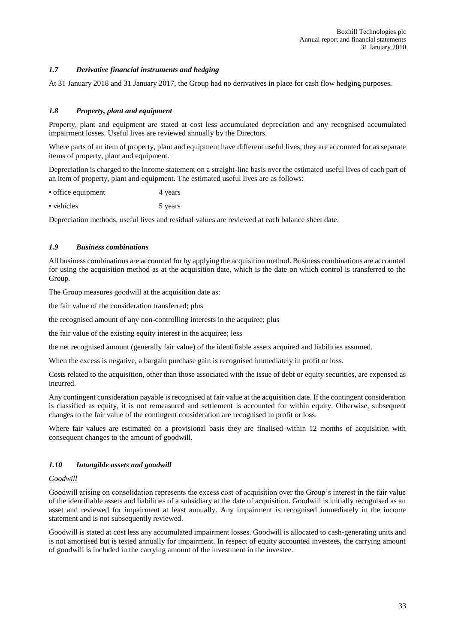### *1.7 Derivative financial instruments and hedging*

At 31 January 2018 and 31 January 2017, the Group had no derivatives in place for cash flow hedging purposes.

# *1.8 Property, plant and equipment*

Property, plant and equipment are stated at cost less accumulated depreciation and any recognised accumulated impairment losses. Useful lives are reviewed annually by the Directors.

Where parts of an item of property, plant and equipment have different useful lives, they are accounted for as separate items of property, plant and equipment.

Depreciation is charged to the income statement on a straight-line basis over the estimated useful lives of each part of an item of property, plant and equipment. The estimated useful lives are as follows:

| • office equipment | 4 years |
|--------------------|---------|
|--------------------|---------|

• vehicles 5 years

Depreciation methods, useful lives and residual values are reviewed at each balance sheet date.

# *1.9 Business combinations*

All business combinations are accounted for by applying the acquisition method. Business combinations are accounted for using the acquisition method as at the acquisition date, which is the date on which control is transferred to the Group.

The Group measures goodwill at the acquisition date as:

the fair value of the consideration transferred; plus

the recognised amount of any non-controlling interests in the acquiree; plus

the fair value of the existing equity interest in the acquiree; less

the net recognised amount (generally fair value) of the identifiable assets acquired and liabilities assumed.

When the excess is negative, a bargain purchase gain is recognised immediately in profit or loss.

Costs related to the acquisition, other than those associated with the issue of debt or equity securities, are expensed as incurred.

Any contingent consideration payable is recognised at fair value at the acquisition date. If the contingent consideration is classified as equity, it is not remeasured and settlement is accounted for within equity. Otherwise, subsequent changes to the fair value of the contingent consideration are recognised in profit or loss.

Where fair values are estimated on a provisional basis they are finalised within 12 months of acquisition with consequent changes to the amount of goodwill.

#### *1.10 Intangible assets and goodwill*

#### *Goodwill*

Goodwill arising on consolidation represents the excess cost of acquisition over the Group's interest in the fair value of the identifiable assets and liabilities of a subsidiary at the date of acquisition. Goodwill is initially recognised as an asset and reviewed for impairment at least annually. Any impairment is recognised immediately in the income statement and is not subsequently reviewed.

Goodwill is stated at cost less any accumulated impairment losses. Goodwill is allocated to cash-generating units and is not amortised but is tested annually for impairment. In respect of equity accounted investees, the carrying amount of goodwill is included in the carrying amount of the investment in the investee.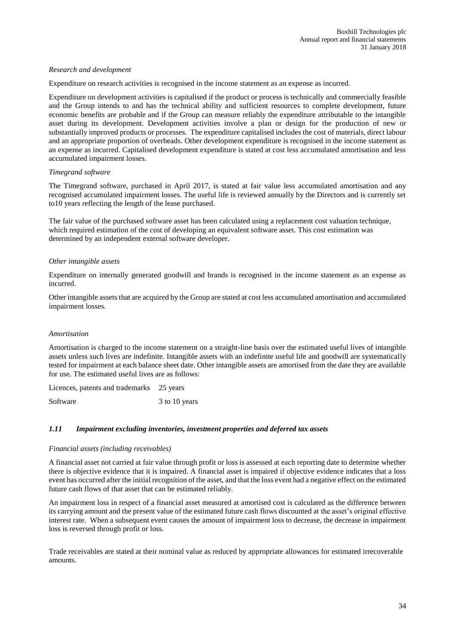#### *Research and development*

Expenditure on research activities is recognised in the income statement as an expense as incurred.

Expenditure on development activities is capitalised if the product or process is technically and commercially feasible and the Group intends to and has the technical ability and sufficient resources to complete development, future economic benefits are probable and if the Group can measure reliably the expenditure attributable to the intangible asset during its development. Development activities involve a plan or design for the production of new or substantially improved products or processes. The expenditure capitalised includes the cost of materials, direct labour and an appropriate proportion of overheads. Other development expenditure is recognised in the income statement as an expense as incurred. Capitalised development expenditure is stated at cost less accumulated amortisation and less accumulated impairment losses.

#### *Timegrand software*

The Timegrand software, purchased in April 2017, is stated at fair value less accumulated amortisation and any recognised accumulated impairment losses. The useful life is reviewed annually by the Directors and is currently set to10 years reflecting the length of the lease purchased.

The fair value of the purchased software asset has been calculated using a replacement cost valuation technique, which required estimation of the cost of developing an equivalent software asset. This cost estimation was determined by an independent external software developer.

#### *Other intangible assets*

Expenditure on internally generated goodwill and brands is recognised in the income statement as an expense as incurred.

Other intangible assets that are acquired by the Group are stated at cost less accumulated amortisation and accumulated impairment losses.

#### *Amortisation*

Amortisation is charged to the income statement on a straight-line basis over the estimated useful lives of intangible assets unless such lives are indefinite. Intangible assets with an indefinite useful life and goodwill are systematically tested for impairment at each balance sheet date. Other intangible assets are amortised from the date they are available for use. The estimated useful lives are as follows:

Licences, patents and trademarks 25 years Software 3 to 10 years

#### *1.11 Impairment excluding inventories, investment properties and deferred tax assets*

#### *Financial assets (including receivables)*

A financial asset not carried at fair value through profit or loss is assessed at each reporting date to determine whether there is objective evidence that it is impaired. A financial asset is impaired if objective evidence indicates that a loss event has occurred after the initial recognition of the asset, and that the loss event had a negative effect on the estimated future cash flows of that asset that can be estimated reliably.

An impairment loss in respect of a financial asset measured at amortised cost is calculated as the difference between its carrying amount and the present value of the estimated future cash flows discounted at the asset's original effective interest rate. When a subsequent event causes the amount of impairment loss to decrease, the decrease in impairment loss is reversed through profit or loss.

Trade receivables are stated at their nominal value as reduced by appropriate allowances for estimated irrecoverable amounts.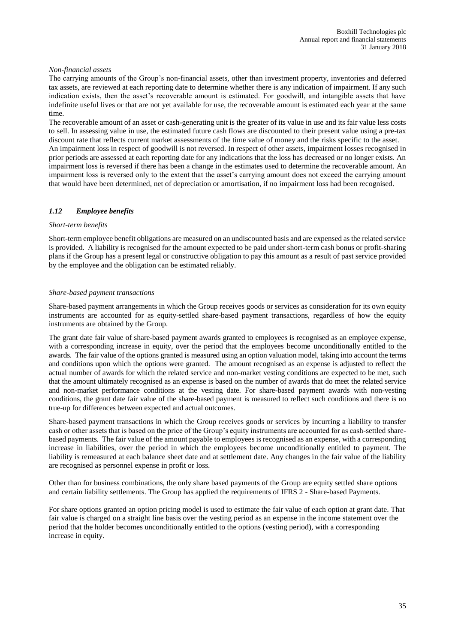#### *Non-financial assets*

The carrying amounts of the Group's non-financial assets, other than investment property, inventories and deferred tax assets, are reviewed at each reporting date to determine whether there is any indication of impairment. If any such indication exists, then the asset's recoverable amount is estimated. For goodwill, and intangible assets that have indefinite useful lives or that are not yet available for use, the recoverable amount is estimated each year at the same time.

The recoverable amount of an asset or cash-generating unit is the greater of its value in use and its fair value less costs to sell. In assessing value in use, the estimated future cash flows are discounted to their present value using a pre-tax discount rate that reflects current market assessments of the time value of money and the risks specific to the asset. An impairment loss in respect of goodwill is not reversed. In respect of other assets, impairment losses recognised in prior periods are assessed at each reporting date for any indications that the loss has decreased or no longer exists. An impairment loss is reversed if there has been a change in the estimates used to determine the recoverable amount. An impairment loss is reversed only to the extent that the asset's carrying amount does not exceed the carrying amount that would have been determined, net of depreciation or amortisation, if no impairment loss had been recognised.

# *1.12 Employee benefits*

#### *Short-term benefits*

Short-term employee benefit obligations are measured on an undiscounted basis and are expensed as the related service is provided. A liability is recognised for the amount expected to be paid under short-term cash bonus or profit-sharing plans if the Group has a present legal or constructive obligation to pay this amount as a result of past service provided by the employee and the obligation can be estimated reliably.

#### *Share-based payment transactions*

Share-based payment arrangements in which the Group receives goods or services as consideration for its own equity instruments are accounted for as equity-settled share-based payment transactions, regardless of how the equity instruments are obtained by the Group.

The grant date fair value of share-based payment awards granted to employees is recognised as an employee expense, with a corresponding increase in equity, over the period that the employees become unconditionally entitled to the awards. The fair value of the options granted is measured using an option valuation model, taking into account the terms and conditions upon which the options were granted. The amount recognised as an expense is adjusted to reflect the actual number of awards for which the related service and non-market vesting conditions are expected to be met, such that the amount ultimately recognised as an expense is based on the number of awards that do meet the related service and non-market performance conditions at the vesting date. For share-based payment awards with non-vesting conditions, the grant date fair value of the share-based payment is measured to reflect such conditions and there is no true-up for differences between expected and actual outcomes.

Share-based payment transactions in which the Group receives goods or services by incurring a liability to transfer cash or other assets that is based on the price of the Group's equity instruments are accounted for as cash-settled sharebased payments. The fair value of the amount payable to employees is recognised as an expense, with a corresponding increase in liabilities, over the period in which the employees become unconditionally entitled to payment. The liability is remeasured at each balance sheet date and at settlement date. Any changes in the fair value of the liability are recognised as personnel expense in profit or loss.

Other than for business combinations, the only share based payments of the Group are equity settled share options and certain liability settlements. The Group has applied the requirements of IFRS 2 - Share-based Payments.

For share options granted an option pricing model is used to estimate the fair value of each option at grant date. That fair value is charged on a straight line basis over the vesting period as an expense in the income statement over the period that the holder becomes unconditionally entitled to the options (vesting period), with a corresponding increase in equity.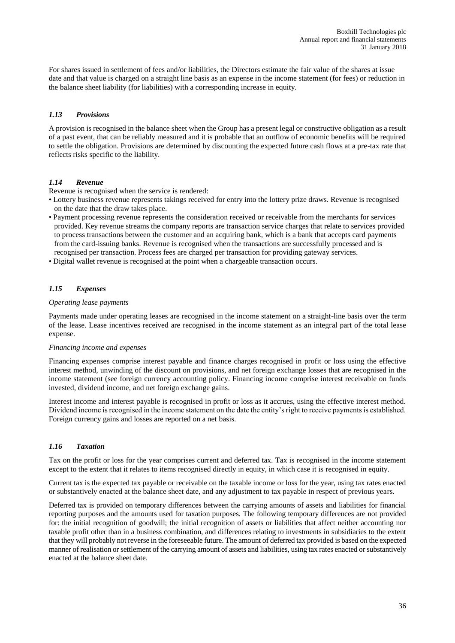For shares issued in settlement of fees and/or liabilities, the Directors estimate the fair value of the shares at issue date and that value is charged on a straight line basis as an expense in the income statement (for fees) or reduction in the balance sheet liability (for liabilities) with a corresponding increase in equity.

# *1.13 Provisions*

A provision is recognised in the balance sheet when the Group has a present legal or constructive obligation as a result of a past event, that can be reliably measured and it is probable that an outflow of economic benefits will be required to settle the obligation. Provisions are determined by discounting the expected future cash flows at a pre-tax rate that reflects risks specific to the liability.

#### *1.14 Revenue*

Revenue is recognised when the service is rendered:

- Lottery business revenue represents takings received for entry into the lottery prize draws. Revenue is recognised on the date that the draw takes place.
- Payment processing revenue represents the consideration received or receivable from the merchants for services provided. Key revenue streams the company reports are transaction service charges that relate to services provided to process transactions between the customer and an acquiring bank, which is a bank that accepts card payments from the card-issuing banks. Revenue is recognised when the transactions are successfully processed and is recognised per transaction. Process fees are charged per transaction for providing gateway services.
- Digital wallet revenue is recognised at the point when a chargeable transaction occurs.

# *1.15 Expenses*

#### *Operating lease payments*

Payments made under operating leases are recognised in the income statement on a straight-line basis over the term of the lease. Lease incentives received are recognised in the income statement as an integral part of the total lease expense.

#### *Financing income and expenses*

Financing expenses comprise interest payable and finance charges recognised in profit or loss using the effective interest method, unwinding of the discount on provisions, and net foreign exchange losses that are recognised in the income statement (see foreign currency accounting policy. Financing income comprise interest receivable on funds invested, dividend income, and net foreign exchange gains.

Interest income and interest payable is recognised in profit or loss as it accrues, using the effective interest method. Dividend income is recognised in the income statement on the date the entity's right to receive payments is established. Foreign currency gains and losses are reported on a net basis.

# *1.16 Taxation*

Tax on the profit or loss for the year comprises current and deferred tax. Tax is recognised in the income statement except to the extent that it relates to items recognised directly in equity, in which case it is recognised in equity.

Current tax is the expected tax payable or receivable on the taxable income or loss for the year, using tax rates enacted or substantively enacted at the balance sheet date, and any adjustment to tax payable in respect of previous years.

Deferred tax is provided on temporary differences between the carrying amounts of assets and liabilities for financial reporting purposes and the amounts used for taxation purposes. The following temporary differences are not provided for: the initial recognition of goodwill; the initial recognition of assets or liabilities that affect neither accounting nor taxable profit other than in a business combination, and differences relating to investments in subsidiaries to the extent that they will probably not reverse in the foreseeable future. The amount of deferred tax provided is based on the expected manner of realisation or settlement of the carrying amount of assets and liabilities, using tax rates enacted or substantively enacted at the balance sheet date.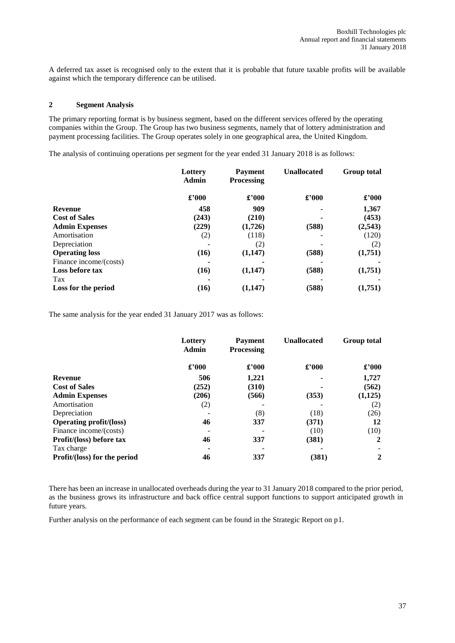A deferred tax asset is recognised only to the extent that it is probable that future taxable profits will be available against which the temporary difference can be utilised.

## **2 Segment Analysis**

The primary reporting format is by business segment, based on the different services offered by the operating companies within the Group. The Group has two business segments, namely that of lottery administration and payment processing facilities. The Group operates solely in one geographical area, the United Kingdom.

The analysis of continuing operations per segment for the year ended 31 January 2018 is as follows:

|                        | Lottery<br><b>Admin</b> | <b>Payment</b><br><b>Processing</b> | <b>Unallocated</b> | Group total    |
|------------------------|-------------------------|-------------------------------------|--------------------|----------------|
|                        | £'000                   | £2000                               | £'000              | $\pounds$ '000 |
| <b>Revenue</b>         | 458                     | 909                                 |                    | 1,367          |
| <b>Cost of Sales</b>   | (243)                   | (210)                               |                    | (453)          |
| <b>Admin Expenses</b>  | (229)                   | (1,726)                             | (588)              | (2,543)        |
| Amortisation           | (2)                     | (118)                               |                    | (120)          |
| Depreciation           |                         | (2)                                 |                    | (2)            |
| <b>Operating loss</b>  | (16)                    | (1,147)                             | (588)              | (1,751)        |
| Finance income/(costs) | ۰                       |                                     |                    |                |
| Loss before tax        | (16)                    | (1,147)                             | (588)              | (1,751)        |
| Tax                    |                         |                                     |                    |                |
| Loss for the period    | (16)                    | (1,147)                             | (588)              | (1,751)        |

The same analysis for the year ended 31 January 2017 was as follows:

|                                     | Lottery<br><b>Admin</b> | <b>Payment</b><br><b>Processing</b> | <b>Unallocated</b> | <b>Group total</b> |
|-------------------------------------|-------------------------|-------------------------------------|--------------------|--------------------|
|                                     | £'000                   | £'000                               | £2000              | $\pounds$ '000     |
| Revenue                             | 506                     | 1,221                               |                    | 1,727              |
| <b>Cost of Sales</b>                | (252)                   | (310)                               |                    | (562)              |
| <b>Admin Expenses</b>               | (206)                   | (566)                               | (353)              | (1,125)            |
| Amortisation                        | (2)                     |                                     |                    | (2)                |
| Depreciation                        |                         | (8)                                 | (18)               | (26)               |
| <b>Operating profit/(loss)</b>      | 46                      | 337                                 | (371)              | 12                 |
| Finance income/(costs)              |                         |                                     | (10)               | (10)               |
| Profit/(loss) before tax            | 46                      | 337                                 | (381)              | $\mathbf{2}$       |
| Tax charge                          |                         |                                     |                    |                    |
| <b>Profit/(loss) for the period</b> | 46                      | 337                                 | (381)              | 2                  |

There has been an increase in unallocated overheads during the year to 31 January 2018 compared to the prior period, as the business grows its infrastructure and back office central support functions to support anticipated growth in future years.

Further analysis on the performance of each segment can be found in the Strategic Report on p1.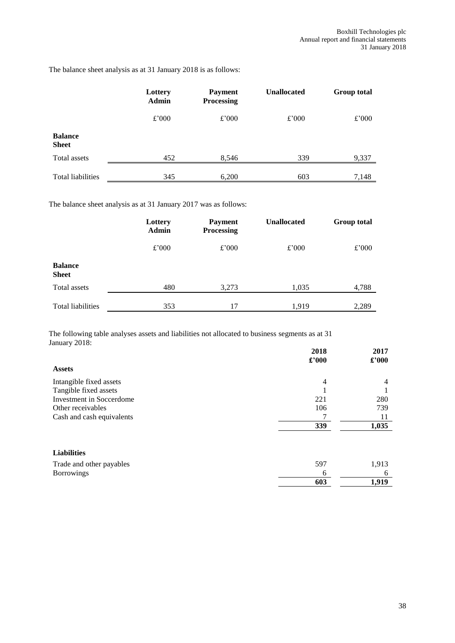The balance sheet analysis as at 31 January 2018 is as follows:

|                                | Lottery<br><b>Admin</b> | Payment<br>Processing | <b>Unallocated</b> | <b>Group total</b> |
|--------------------------------|-------------------------|-----------------------|--------------------|--------------------|
|                                | £'000                   | £'000                 | £'000              | £'000              |
| <b>Balance</b><br><b>Sheet</b> |                         |                       |                    |                    |
| Total assets                   | 452                     | 8,546                 | 339                | 9,337              |
| <b>Total liabilities</b>       | 345                     | 6,200                 | 603                | 7,148              |

The balance sheet analysis as at 31 January 2017 was as follows:

|                                | Lottery<br><b>Admin</b> | <b>Payment</b><br><b>Processing</b> | <b>Unallocated</b> | <b>Group total</b> |
|--------------------------------|-------------------------|-------------------------------------|--------------------|--------------------|
|                                | £'000                   | £'000                               | £'000              | £'000              |
| <b>Balance</b><br><b>Sheet</b> |                         |                                     |                    |                    |
| Total assets                   | 480                     | 3,273                               | 1,035              | 4,788              |
| <b>Total liabilities</b>       | 353                     | 17                                  | 1,919              | 2,289              |

The following table analyses assets and liabilities not allocated to business segments as at 31 January 2018:

|                           | 2018           | 2017           |
|---------------------------|----------------|----------------|
|                           | $\pounds$ '000 | $\pounds$ '000 |
| <b>Assets</b>             |                |                |
| Intangible fixed assets   | 4              | 4              |
| Tangible fixed assets     |                |                |
| Investment in Soccerdome  | 221            | 280            |
| Other receivables         | 106            | 739            |
| Cash and cash equivalents |                | 11             |
|                           | 339            | 1,035          |
|                           |                |                |
| <b>Liabilities</b>        |                |                |
| Trade and other payables  | 597            | 1,913          |
| <b>Borrowings</b>         | 6              | 6              |
|                           | 603            | 1,919          |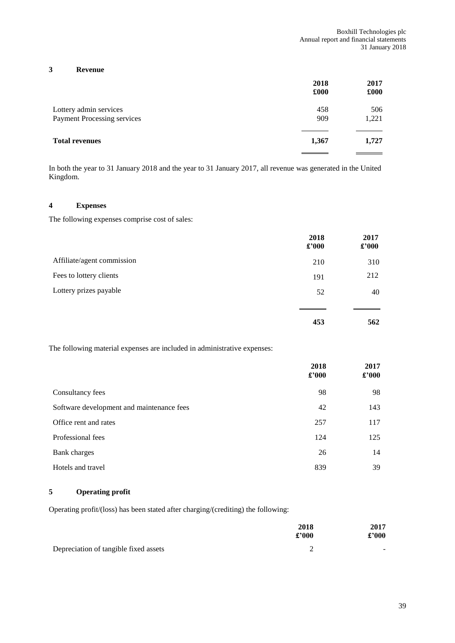#### **3 Revenue**

|                                    | 2018<br>£000 | 2017<br>£000 |
|------------------------------------|--------------|--------------|
| Lottery admin services             | 458          | 506          |
| <b>Payment Processing services</b> | 909          | 1,221        |
| <b>Total revenues</b>              | 1,367        | 1,727        |
|                                    |              |              |

In both the year to 31 January 2018 and the year to 31 January 2017, all revenue was generated in the United Kingdom.

# **4 Expenses**

The following expenses comprise cost of sales:

|                            | 2018<br>£'000 | 2017<br>£'000 |
|----------------------------|---------------|---------------|
| Affiliate/agent commission | 210           | 310           |
| Fees to lottery clients    | 191           | 212           |
| Lottery prizes payable     | 52            | 40            |
|                            | 453           | 562           |

The following material expenses are included in administrative expenses:

|                                           | 2018<br>$\pounds$ '000 | 2017<br>$\pounds$ '000 |
|-------------------------------------------|------------------------|------------------------|
| Consultancy fees                          | 98                     | 98                     |
| Software development and maintenance fees | 42                     | 143                    |
| Office rent and rates                     | 257                    | 117                    |
| Professional fees                         | 124                    | 125                    |
| Bank charges                              | 26                     | 14                     |
| Hotels and travel                         | 839                    | 39                     |

# **5 Operating profit**

Operating profit/(loss) has been stated after charging/(crediting) the following:

|                                       | 2018<br>£'000 | 2017<br>$\pounds$ '000 |
|---------------------------------------|---------------|------------------------|
| Depreciation of tangible fixed assets |               | - 1                    |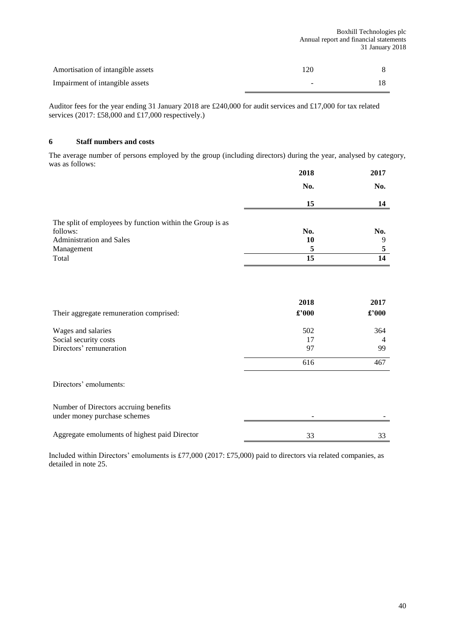| Amortisation of intangible assets | 120 |  |
|-----------------------------------|-----|--|
| Impairment of intangible assets   | -   |  |

Auditor fees for the year ending 31 January 2018 are £240,000 for audit services and £17,000 for tax related services (2017: £58,000 and £17,000 respectively.)

# **6 Staff numbers and costs**

The average number of persons employed by the group (including directors) during the year, analysed by category, was as follows:

|                                                           | 2018 | 2017 |
|-----------------------------------------------------------|------|------|
|                                                           | No.  | No.  |
|                                                           | 15   | 14   |
| The split of employees by function within the Group is as |      |      |
| follows:                                                  | No.  | No.  |
| <b>Administration and Sales</b>                           | 10   | Q    |
| Management                                                |      |      |
| Total                                                     | 15   | 14   |

| Their aggregate remuneration comprised: | 2018<br>$\pounds$ '000 | 2017<br>$\pounds$ '000 |
|-----------------------------------------|------------------------|------------------------|
| Wages and salaries                      | 502                    | 364                    |
| Social security costs                   | 17                     |                        |
| Directors' remuneration                 | 97                     | 99                     |
|                                         | 616                    | 467                    |

Directors' emoluments:

| Number of Directors accruing benefits<br>under money purchase schemes | - |  |
|-----------------------------------------------------------------------|---|--|
| Aggregate emoluments of highest paid Director                         |   |  |

Included within Directors' emoluments is £77,000 (2017: £75,000) paid to directors via related companies, as detailed in note 25.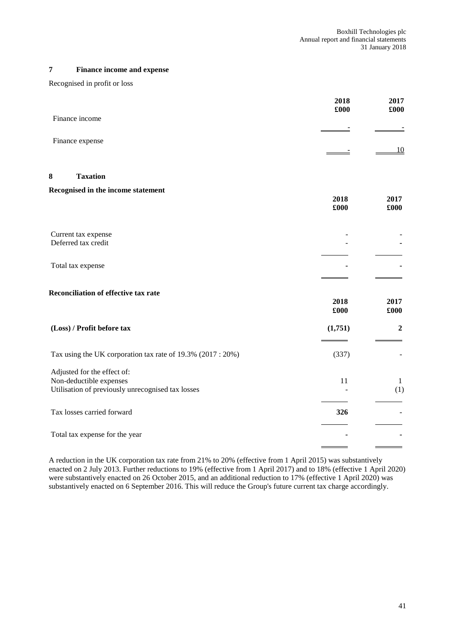# **7 Finance income and expense**

Recognised in profit or loss

|                                                                                                             | 2018<br>£000 | 2017<br>£000     |
|-------------------------------------------------------------------------------------------------------------|--------------|------------------|
| Finance income                                                                                              |              |                  |
| Finance expense                                                                                             |              | 10               |
|                                                                                                             |              |                  |
| <b>Taxation</b><br>8                                                                                        |              |                  |
| Recognised in the income statement                                                                          | 2018<br>£000 | 2017<br>£000     |
| Current tax expense<br>Deferred tax credit                                                                  |              |                  |
| Total tax expense                                                                                           |              |                  |
| <b>Reconciliation of effective tax rate</b>                                                                 | 2018<br>£000 | 2017<br>£000     |
| (Loss) / Profit before tax                                                                                  | (1,751)      | $\boldsymbol{2}$ |
| Tax using the UK corporation tax rate of 19.3% (2017:20%)                                                   | (337)        |                  |
| Adjusted for the effect of:<br>Non-deductible expenses<br>Utilisation of previously unrecognised tax losses | 11           | 1<br>(1)         |
| Tax losses carried forward                                                                                  | 326          |                  |
| Total tax expense for the year                                                                              |              |                  |
|                                                                                                             |              |                  |

A reduction in the UK corporation tax rate from 21% to 20% (effective from 1 April 2015) was substantively enacted on 2 July 2013. Further reductions to 19% (effective from 1 April 2017) and to 18% (effective 1 April 2020) were substantively enacted on 26 October 2015, and an additional reduction to 17% (effective 1 April 2020) was substantively enacted on 6 September 2016. This will reduce the Group's future current tax charge accordingly.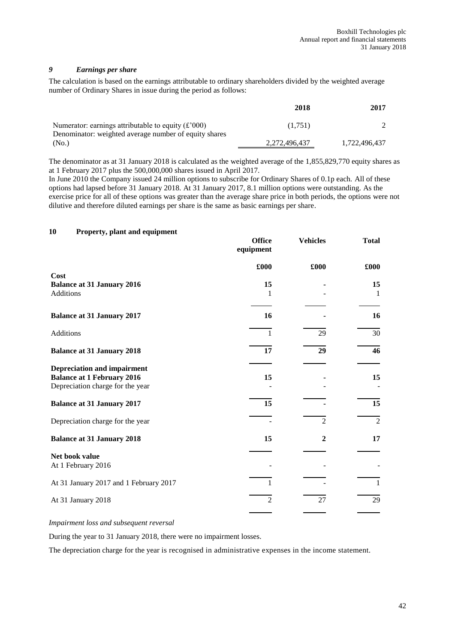# *9 Earnings per share*

The calculation is based on the earnings attributable to ordinary shareholders divided by the weighted average number of Ordinary Shares in issue during the period as follows:

|                                                                                                               | 2018          | 2017          |
|---------------------------------------------------------------------------------------------------------------|---------------|---------------|
| Numerator: earnings attributable to equity $(f'000)$<br>Denominator: weighted average number of equity shares | (1,751)       |               |
| (N <sub>0</sub> )                                                                                             | 2,272,496,437 | 1,722,496,437 |

The denominator as at 31 January 2018 is calculated as the weighted average of the 1,855,829,770 equity shares as at 1 February 2017 plus the 500,000,000 shares issued in April 2017.

In June 2010 the Company issued 24 million options to subscribe for Ordinary Shares of 0.1p each. All of these options had lapsed before 31 January 2018. At 31 January 2017, 8.1 million options were outstanding. As the exercise price for all of these options was greater than the average share price in both periods, the options were not dilutive and therefore diluted earnings per share is the same as basic earnings per share.

# **10 Property, plant and equipment**

|                                                                                                      | <b>Office</b><br>equipment | <b>Vehicles</b> | <b>Total</b>       |
|------------------------------------------------------------------------------------------------------|----------------------------|-----------------|--------------------|
|                                                                                                      | £000                       | £000            | £000               |
| Cost<br><b>Balance at 31 January 2016</b><br>Additions                                               | 15<br>1                    |                 | 15<br>$\mathbf{1}$ |
| <b>Balance at 31 January 2017</b>                                                                    | 16                         |                 | 16                 |
| Additions                                                                                            | 1                          | 29              | 30                 |
| <b>Balance at 31 January 2018</b>                                                                    | 17                         | 29              | 46                 |
| Depreciation and impairment<br><b>Balance at 1 February 2016</b><br>Depreciation charge for the year | 15                         |                 | 15                 |
| <b>Balance at 31 January 2017</b>                                                                    | 15                         |                 | 15                 |
| Depreciation charge for the year                                                                     |                            | $\overline{2}$  | $\overline{2}$     |
| <b>Balance at 31 January 2018</b>                                                                    | 15                         | $\mathbf{2}$    | 17                 |
| Net book value<br>At 1 February 2016                                                                 |                            |                 |                    |
| At 31 January 2017 and 1 February 2017                                                               | 1                          |                 | $\mathbf{1}$       |
| At 31 January 2018                                                                                   | $\overline{2}$             | 27              | 29                 |
|                                                                                                      |                            |                 |                    |

#### *Impairment loss and subsequent reversal*

During the year to 31 January 2018, there were no impairment losses.

The depreciation charge for the year is recognised in administrative expenses in the income statement.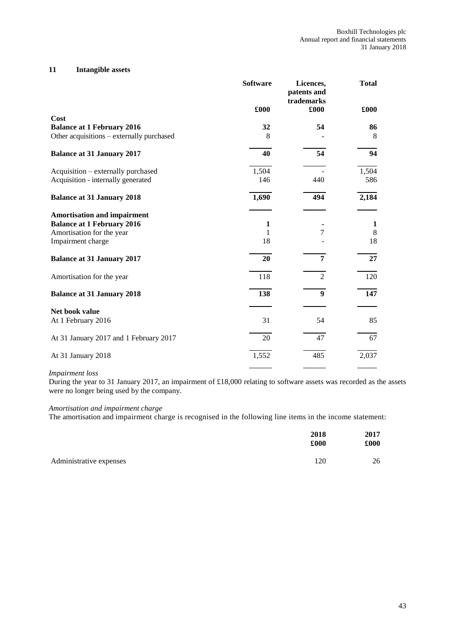# **11 Intangible assets**

|                                           | <b>Software</b> | Licences,<br>patents and<br>trademarks | <b>Total</b> |
|-------------------------------------------|-----------------|----------------------------------------|--------------|
|                                           | £000            | £000                                   | £000         |
| Cost                                      |                 |                                        |              |
| <b>Balance at 1 February 2016</b>         | 32              | 54                                     | 86           |
| Other acquisitions – externally purchased | 8               |                                        | 8            |
| <b>Balance at 31 January 2017</b>         | 40              | 54                                     | 94           |
| Acquisition – externally purchased        | 1,504           |                                        | 1,504        |
| Acquisition - internally generated        | 146             | 440                                    | 586          |
| <b>Balance at 31 January 2018</b>         | 1,690           | 494                                    | 2,184        |
| <b>Amortisation and impairment</b>        |                 |                                        |              |
| <b>Balance at 1 February 2016</b>         | 1               |                                        | 1            |
| Amortisation for the year                 | 1               | 7                                      | $\,8\,$      |
| Impairment charge                         | 18              |                                        | 18           |
| <b>Balance at 31 January 2017</b>         | 20              | $\overline{7}$                         | 27           |
| Amortisation for the year                 | 118             | 2                                      | 120          |
| <b>Balance at 31 January 2018</b>         | 138             | 9                                      | 147          |
| Net book value                            |                 |                                        |              |
| At 1 February 2016                        | 31              | 54                                     | 85           |
| At 31 January 2017 and 1 February 2017    | 20              | 47                                     | 67           |
| At 31 January 2018                        | 1,552           | 485                                    | 2,037        |

# *Impairment loss*

During the year to 31 January 2017, an impairment of £18,000 relating to software assets was recorded as the assets were no longer being used by the company.

# *Amortisation and impairment charge*

The amortisation and impairment charge is recognised in the following line items in the income statement:

|                         | 2018<br>£000 | 2017<br>£000 |
|-------------------------|--------------|--------------|
| Administrative expenses | 120          | 26           |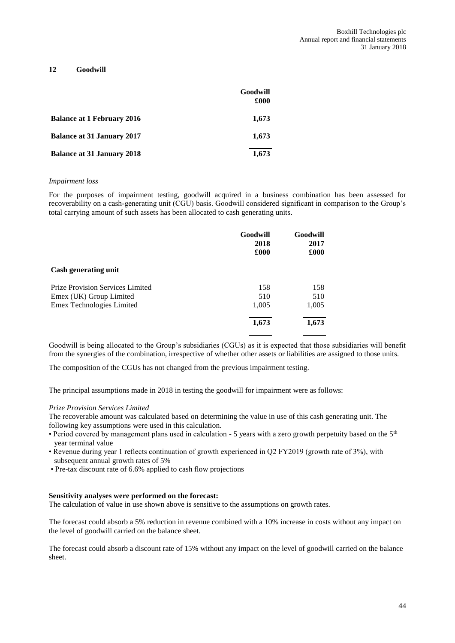#### **12 Goodwill**

|                                   | Goodwill<br>£000 |
|-----------------------------------|------------------|
| <b>Balance at 1 February 2016</b> | 1,673            |
| <b>Balance at 31 January 2017</b> | 1,673            |
| <b>Balance at 31 January 2018</b> | 1,673            |

#### *Impairment loss*

For the purposes of impairment testing, goodwill acquired in a business combination has been assessed for recoverability on a cash-generating unit (CGU) basis. Goodwill considered significant in comparison to the Group's total carrying amount of such assets has been allocated to cash generating units.

|                                         | Goodwill<br>2018<br>£000 | Goodwill<br>2017<br>£000 |
|-----------------------------------------|--------------------------|--------------------------|
| <b>Cash generating unit</b>             |                          |                          |
| <b>Prize Provision Services Limited</b> | 158                      | 158                      |
| Emex (UK) Group Limited                 | 510                      | 510                      |
| Emex Technologies Limited               | 1,005                    | 1,005                    |
|                                         | 1,673                    | 1,673                    |

Goodwill is being allocated to the Group's subsidiaries (CGUs) as it is expected that those subsidiaries will benefit from the synergies of the combination, irrespective of whether other assets or liabilities are assigned to those units.

The composition of the CGUs has not changed from the previous impairment testing.

The principal assumptions made in 2018 in testing the goodwill for impairment were as follows:

#### *Prize Provision Services Limited*

The recoverable amount was calculated based on determining the value in use of this cash generating unit. The following key assumptions were used in this calculation.

- Period covered by management plans used in calculation 5 years with a zero growth perpetuity based on the  $5<sup>th</sup>$ year terminal value
- Revenue during year 1 reflects continuation of growth experienced in Q2 FY2019 (growth rate of 3%), with subsequent annual growth rates of 5%
- Pre-tax discount rate of 6.6% applied to cash flow projections

#### **Sensitivity analyses were performed on the forecast:**

The calculation of value in use shown above is sensitive to the assumptions on growth rates.

The forecast could absorb a 5% reduction in revenue combined with a 10% increase in costs without any impact on the level of goodwill carried on the balance sheet.

The forecast could absorb a discount rate of 15% without any impact on the level of goodwill carried on the balance sheet.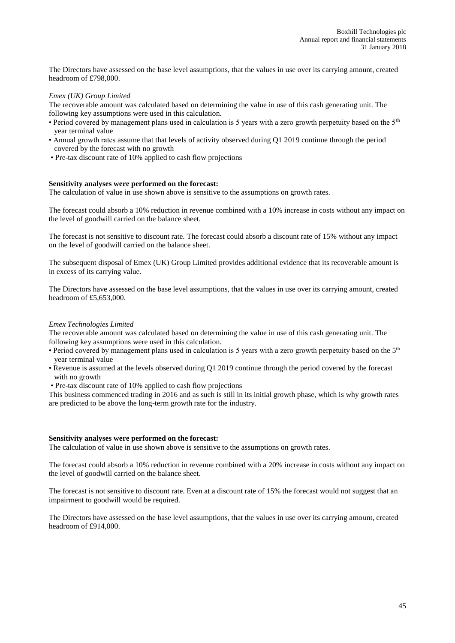The Directors have assessed on the base level assumptions, that the values in use over its carrying amount, created headroom of £798,000.

#### *Emex (UK) Group Limited*

The recoverable amount was calculated based on determining the value in use of this cash generating unit. The following key assumptions were used in this calculation.

- Period covered by management plans used in calculation is 5 years with a zero growth perpetuity based on the  $5<sup>th</sup>$ year terminal value
- Annual growth rates assume that that levels of activity observed during Q1 2019 continue through the period covered by the forecast with no growth
- Pre-tax discount rate of 10% applied to cash flow projections

#### **Sensitivity analyses were performed on the forecast:**

The calculation of value in use shown above is sensitive to the assumptions on growth rates.

The forecast could absorb a 10% reduction in revenue combined with a 10% increase in costs without any impact on the level of goodwill carried on the balance sheet.

The forecast is not sensitive to discount rate. The forecast could absorb a discount rate of 15% without any impact on the level of goodwill carried on the balance sheet.

The subsequent disposal of Emex (UK) Group Limited provides additional evidence that its recoverable amount is in excess of its carrying value.

The Directors have assessed on the base level assumptions, that the values in use over its carrying amount, created headroom of £5,653,000.

### *Emex Technologies Limited*

The recoverable amount was calculated based on determining the value in use of this cash generating unit. The following key assumptions were used in this calculation.

- Period covered by management plans used in calculation is 5 years with a zero growth perpetuity based on the 5<sup>th</sup> year terminal value
- Revenue is assumed at the levels observed during Q1 2019 continue through the period covered by the forecast with no growth
- Pre-tax discount rate of 10% applied to cash flow projections

This business commenced trading in 2016 and as such is still in its initial growth phase, which is why growth rates are predicted to be above the long-term growth rate for the industry.

#### **Sensitivity analyses were performed on the forecast:**

The calculation of value in use shown above is sensitive to the assumptions on growth rates.

The forecast could absorb a 10% reduction in revenue combined with a 20% increase in costs without any impact on the level of goodwill carried on the balance sheet.

The forecast is not sensitive to discount rate. Even at a discount rate of 15% the forecast would not suggest that an impairment to goodwill would be required.

The Directors have assessed on the base level assumptions, that the values in use over its carrying amount, created headroom of £914,000.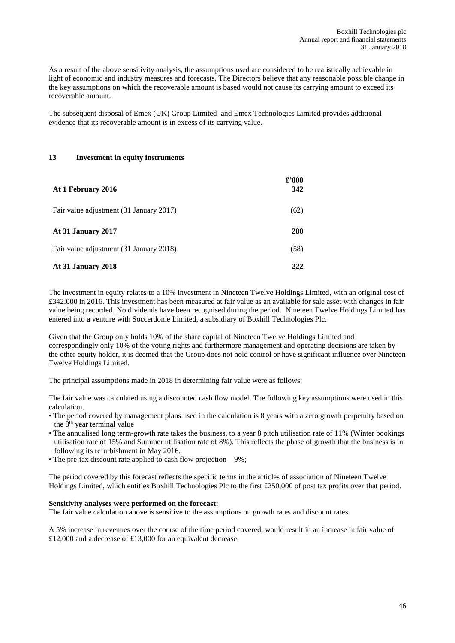As a result of the above sensitivity analysis, the assumptions used are considered to be realistically achievable in light of economic and industry measures and forecasts. The Directors believe that any reasonable possible change in the key assumptions on which the recoverable amount is based would not cause its carrying amount to exceed its recoverable amount.

The subsequent disposal of Emex (UK) Group Limited and Emex Technologies Limited provides additional evidence that its recoverable amount is in excess of its carrying value.

# **13 Investment in equity instruments**

| At 1 February 2016                      | $\pmb{\pounds}^{\pmb{\cdot}} 000$<br>342 |
|-----------------------------------------|------------------------------------------|
| Fair value adjustment (31 January 2017) | (62)                                     |
| <b>At 31 January 2017</b>               | 280                                      |
| Fair value adjustment (31 January 2018) | (58)                                     |
| At 31 January 2018                      | 222                                      |

The investment in equity relates to a 10% investment in Nineteen Twelve Holdings Limited, with an original cost of £342,000 in 2016. This investment has been measured at fair value as an available for sale asset with changes in fair value being recorded. No dividends have been recognised during the period. Nineteen Twelve Holdings Limited has entered into a venture with Soccerdome Limited, a subsidiary of Boxhill Technologies Plc.

Given that the Group only holds 10% of the share capital of Nineteen Twelve Holdings Limited and correspondingly only 10% of the voting rights and furthermore management and operating decisions are taken by the other equity holder, it is deemed that the Group does not hold control or have significant influence over Nineteen Twelve Holdings Limited.

The principal assumptions made in 2018 in determining fair value were as follows:

The fair value was calculated using a discounted cash flow model. The following key assumptions were used in this calculation.

- The period covered by management plans used in the calculation is 8 years with a zero growth perpetuity based on the 8<sup>th</sup> year terminal value
- The annualised long term-growth rate takes the business, to a year 8 pitch utilisation rate of 11% (Winter bookings utilisation rate of 15% and Summer utilisation rate of 8%). This reflects the phase of growth that the business is in following its refurbishment in May 2016.
- The pre-tax discount rate applied to cash flow projection 9%;

The period covered by this forecast reflects the specific terms in the articles of association of Nineteen Twelve Holdings Limited, which entitles Boxhill Technologies Plc to the first £250,000 of post tax profits over that period.

#### **Sensitivity analyses were performed on the forecast:**

The fair value calculation above is sensitive to the assumptions on growth rates and discount rates.

A 5% increase in revenues over the course of the time period covered, would result in an increase in fair value of £12,000 and a decrease of £13,000 for an equivalent decrease.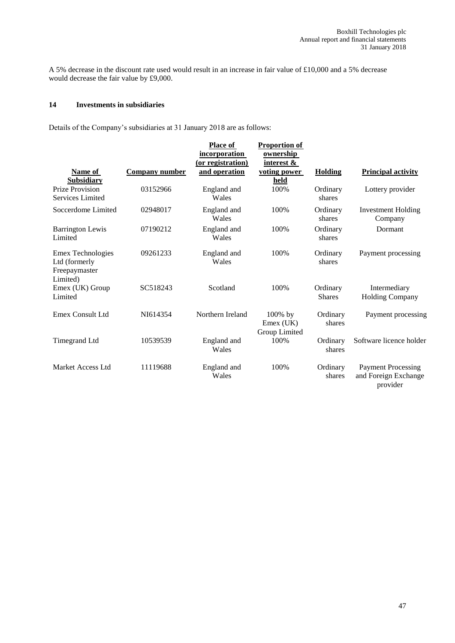A 5% decrease in the discount rate used would result in an increase in fair value of £10,000 and a 5% decrease would decrease the fair value by £9,000.

# **14 Investments in subsidiaries**

Details of the Company's subsidiaries at 31 January 2018 are as follows:

|                                                                        |                       | <b>Place of</b><br>incorporation<br>(or registration) | <b>Proportion of</b><br>ownership<br>interest & |                           |                                                               |
|------------------------------------------------------------------------|-----------------------|-------------------------------------------------------|-------------------------------------------------|---------------------------|---------------------------------------------------------------|
| Name of                                                                | <b>Company number</b> | and operation                                         | voting power                                    | <b>Holding</b>            | <b>Principal activity</b>                                     |
| <b>Subsidiary</b>                                                      |                       |                                                       | held                                            |                           |                                                               |
| Prize Provision<br>Services Limited                                    | 03152966              | England and<br>Wales                                  | 100%                                            | Ordinary<br>shares        | Lottery provider                                              |
| Soccerdome Limited                                                     | 02948017              | England and<br>Wales                                  | 100%                                            | Ordinary<br>shares        | <b>Investment Holding</b><br>Company                          |
| <b>Barrington Lewis</b><br>Limited                                     | 07190212              | England and<br>Wales                                  | 100%                                            | Ordinary<br>shares        | Dormant                                                       |
| <b>Emex Technologies</b><br>Ltd (formerly<br>Freepaymaster<br>Limited) | 09261233              | England and<br>Wales                                  | 100%                                            | Ordinary<br>shares        | Payment processing                                            |
| Emex (UK) Group<br>Limited                                             | SC518243              | Scotland                                              | 100%                                            | Ordinary<br><b>Shares</b> | Intermediary<br><b>Holding Company</b>                        |
| <b>Emex Consult Ltd</b>                                                | NI614354              | Northern Ireland                                      | 100% by<br>Emex (UK)<br>Group Limited           | Ordinary<br>shares        | Payment processing                                            |
| Timegrand Ltd                                                          | 10539539              | England and<br>Wales                                  | 100%                                            | Ordinary<br>shares        | Software licence holder                                       |
| Market Access Ltd                                                      | 11119688              | England and<br>Wales                                  | 100%                                            | Ordinary<br>shares        | <b>Payment Processing</b><br>and Foreign Exchange<br>provider |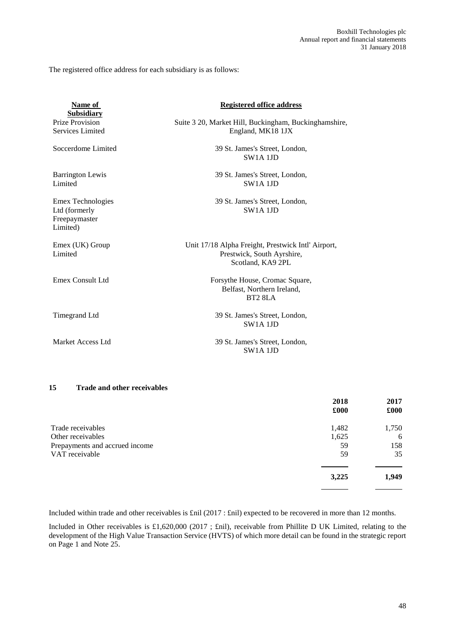The registered office address for each subsidiary is as follows:

| <u>Name of</u><br><b>Subsidiary</b>                             | <b>Registered office address</b>                                                                      |
|-----------------------------------------------------------------|-------------------------------------------------------------------------------------------------------|
| Prize Provision<br>Services Limited                             | Suite 3 20, Market Hill, Buckingham, Buckinghamshire,<br>England, MK18 1JX                            |
| Soccerdome Limited                                              | 39 St. James's Street, London,<br>SW <sub>1</sub> A 1JD                                               |
| <b>Barrington Lewis</b><br>Limited                              | 39 St. James's Street, London,<br>SW1A 1JD                                                            |
| Emex Technologies<br>Ltd (formerly<br>Freepaymaster<br>Limited) | 39 St. James's Street, London,<br>$SW1A$ 1JD                                                          |
| Emex (UK) Group<br>Limited                                      | Unit 17/18 Alpha Freight, Prestwick Intl' Airport,<br>Prestwick, South Ayrshire,<br>Scotland, KA9 2PL |
| Emex Consult Ltd                                                | Forsythe House, Cromac Square,<br>Belfast, Northern Ireland,<br><b>BT2 8LA</b>                        |
| Timegrand Ltd                                                   | 39 St. James's Street, London,<br>SW1A 1JD                                                            |
| Market Access Ltd                                               | 39 St. James's Street, London,<br>$SW1A$ $1ID$                                                        |

# **15 Trade and other receivables**

|                                | 2018<br>£000 | 2017<br>£000 |
|--------------------------------|--------------|--------------|
| Trade receivables              | 1,482        | 1,750        |
| Other receivables              | 1,625        | 6            |
| Prepayments and accrued income | 59           | 158          |
| VAT receivable                 | 59           | 35           |
|                                | 3,225        | 1,949        |
|                                |              |              |

Included within trade and other receivables is £nil (2017 : £nil) expected to be recovered in more than 12 months.

Included in Other receivables is £1,620,000 (2017 ; £nil), receivable from Phillite D UK Limited, relating to the development of the High Value Transaction Service (HVTS) of which more detail can be found in the strategic report on Page 1 and Note 25.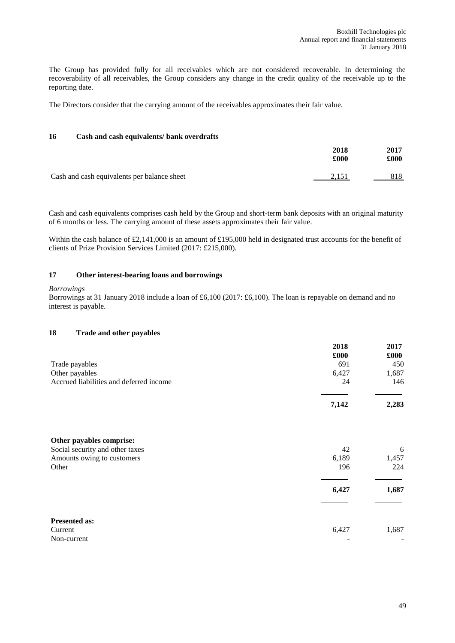The Group has provided fully for all receivables which are not considered recoverable. In determining the recoverability of all receivables, the Group considers any change in the credit quality of the receivable up to the reporting date.

The Directors consider that the carrying amount of the receivables approximates their fair value.

#### **16 Cash and cash equivalents/ bank overdrafts**

|                                             | 2018<br>£000 | 2017<br>£000 |
|---------------------------------------------|--------------|--------------|
| Cash and cash equivalents per balance sheet | 2.151        | 818          |

Cash and cash equivalents comprises cash held by the Group and short-term bank deposits with an original maturity of 6 months or less. The carrying amount of these assets approximates their fair value.

Within the cash balance of  $\text{\pounds}2,141,000$  is an amount of  $\text{\pounds}195,000$  held in designated trust accounts for the benefit of clients of Prize Provision Services Limited (2017: £215,000).

# **17 Other interest-bearing loans and borrowings**

#### *Borrowings*

Borrowings at 31 January 2018 include a loan of £6,100 (2017: £6,100). The loan is repayable on demand and no interest is payable.

# **18 Trade and other payables**

|                                         | 2018  | 2017  |
|-----------------------------------------|-------|-------|
|                                         | £000  | £000  |
| Trade payables                          | 691   | 450   |
| Other payables                          | 6,427 | 1,687 |
| Accrued liabilities and deferred income | 24    | 146   |
|                                         | 7,142 | 2,283 |
|                                         |       |       |
| Other payables comprise:                |       |       |
| Social security and other taxes         | 42    | 6     |
| Amounts owing to customers              | 6,189 | 1,457 |
| Other                                   | 196   | 224   |
|                                         | 6,427 | 1,687 |
| <b>Presented as:</b>                    |       |       |
| Current                                 | 6,427 | 1,687 |
| Non-current                             |       |       |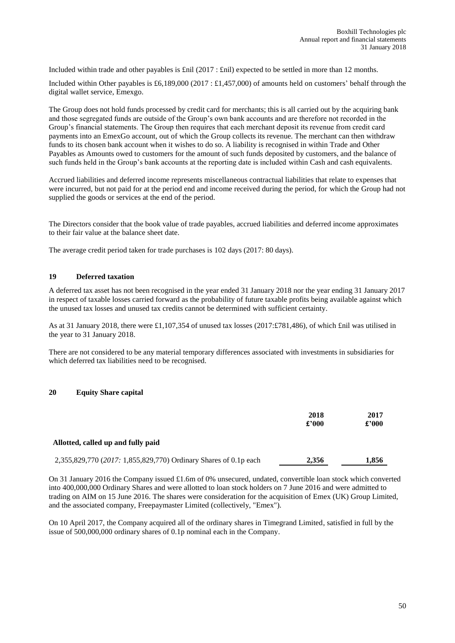Included within trade and other payables is £nil (2017 : £nil) expected to be settled in more than 12 months.

Included within Other payables is  $\pounds 6,189,000$  (2017 :  $\pounds 1,457,000$ ) of amounts held on customers' behalf through the digital wallet service, Emexgo.

The Group does not hold funds processed by credit card for merchants; this is all carried out by the acquiring bank and those segregated funds are outside of the Group's own bank accounts and are therefore not recorded in the Group's financial statements. The Group then requires that each merchant deposit its revenue from credit card payments into an EmexGo account, out of which the Group collects its revenue. The merchant can then withdraw funds to its chosen bank account when it wishes to do so. A liability is recognised in within Trade and Other Payables as Amounts owed to customers for the amount of such funds deposited by customers, and the balance of such funds held in the Group's bank accounts at the reporting date is included within Cash and cash equivalents.

Accrued liabilities and deferred income represents miscellaneous contractual liabilities that relate to expenses that were incurred, but not paid for at the period end and income received during the period, for which the Group had not supplied the goods or services at the end of the period.

The Directors consider that the book value of trade payables, accrued liabilities and deferred income approximates to their fair value at the balance sheet date.

The average credit period taken for trade purchases is 102 days (2017: 80 days).

#### **19 Deferred taxation**

A deferred tax asset has not been recognised in the year ended 31 January 2018 nor the year ending 31 January 2017 in respect of taxable losses carried forward as the probability of future taxable profits being available against which the unused tax losses and unused tax credits cannot be determined with sufficient certainty.

As at 31 January 2018, there were £1,107,354 of unused tax losses (2017:£781,486), of which £nil was utilised in the year to 31 January 2018.

There are not considered to be any material temporary differences associated with investments in subsidiaries for which deferred tax liabilities need to be recognised.

## **20 Equity Share capital**

|                                                                  | 2018<br>£2000 | 2017<br>$\pounds$ '000 |
|------------------------------------------------------------------|---------------|------------------------|
| Allotted, called up and fully paid                               |               |                        |
| 2,355,829,770 (2017: 1,855,829,770) Ordinary Shares of 0.1p each | 2.356         | 1.856                  |

On 31 January 2016 the Company issued £1.6m of 0% unsecured, undated, convertible loan stock which converted into 400,000,000 Ordinary Shares and were allotted to loan stock holders on 7 June 2016 and were admitted to trading on AIM on 15 June 2016. The shares were consideration for the acquisition of Emex (UK) Group Limited, and the associated company, Freepaymaster Limited (collectively, "Emex").

On 10 April 2017, the Company acquired all of the ordinary shares in Timegrand Limited, satisfied in full by the issue of 500,000,000 ordinary shares of 0.1p nominal each in the Company.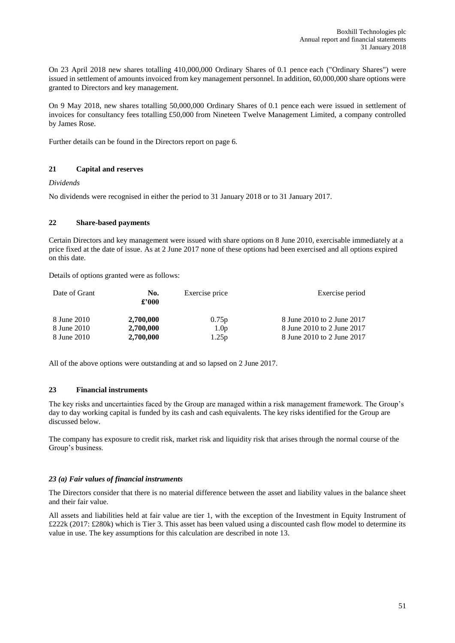On 23 April 2018 new shares totalling 410,000,000 Ordinary Shares of 0.1 pence each ("Ordinary Shares") were issued in settlement of amounts invoiced from key management personnel. In addition, 60,000,000 share options were granted to Directors and key management.

On 9 May 2018, new shares totalling 50,000,000 Ordinary Shares of 0.1 pence each were issued in settlement of invoices for consultancy fees totalling £50,000 from Nineteen Twelve Management Limited, a company controlled by James Rose.

Further details can be found in the Directors report on page 6.

# **21 Capital and reserves**

*Dividends*

No dividends were recognised in either the period to 31 January 2018 or to 31 January 2017.

#### **22 Share-based payments**

Certain Directors and key management were issued with share options on 8 June 2010, exercisable immediately at a price fixed at the date of issue. As at 2 June 2017 none of these options had been exercised and all options expired on this date.

Details of options granted were as follows:

| Date of Grant | No.<br>$\pounds$ '000 | Exercise price   | Exercise period            |
|---------------|-----------------------|------------------|----------------------------|
| 8 June 2010   | 2,700,000             | 0.75p            | 8 June 2010 to 2 June 2017 |
| 8 June 2010   | 2,700,000             | 1.0 <sub>p</sub> | 8 June 2010 to 2 June 2017 |
| 8 June 2010   | 2,700,000             | 1.25p            | 8 June 2010 to 2 June 2017 |

All of the above options were outstanding at and so lapsed on 2 June 2017.

#### **23 Financial instruments**

The key risks and uncertainties faced by the Group are managed within a risk management framework. The Group's day to day working capital is funded by its cash and cash equivalents. The key risks identified for the Group are discussed below.

The company has exposure to credit risk, market risk and liquidity risk that arises through the normal course of the Group's business.

#### *23 (a) Fair values of financial instruments*

The Directors consider that there is no material difference between the asset and liability values in the balance sheet and their fair value.

All assets and liabilities held at fair value are tier 1, with the exception of the Investment in Equity Instrument of £222k (2017: £280k) which is Tier 3. This asset has been valued using a discounted cash flow model to determine its value in use. The key assumptions for this calculation are described in note 13.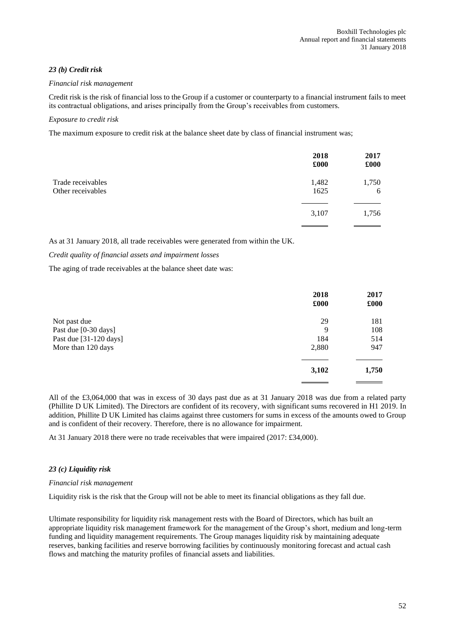# *23 (b) Credit risk*

#### *Financial risk management*

Credit risk is the risk of financial loss to the Group if a customer or counterparty to a financial instrument fails to meet its contractual obligations, and arises principally from the Group's receivables from customers.

#### *Exposure to credit risk*

The maximum exposure to credit risk at the balance sheet date by class of financial instrument was;

|                   | 2018<br>£000 | 2017<br>£000 |
|-------------------|--------------|--------------|
| Trade receivables | 1,482        | 1,750        |
| Other receivables | 1625         | 6            |
|                   |              |              |
|                   | 3,107        | 1,756        |
|                   |              |              |

As at 31 January 2018, all trade receivables were generated from within the UK.

#### *Credit quality of financial assets and impairment losses*

The aging of trade receivables at the balance sheet date was:

|                        | 2018<br>£000 | 2017<br>£000 |
|------------------------|--------------|--------------|
| Not past due           | 29           | 181          |
| Past due [0-30 days]   | 9            | 108          |
| Past due [31-120 days] | 184          | 514          |
| More than 120 days     | 2,880        | 947          |
|                        | 3,102        | 1,750        |
|                        |              |              |

All of the £3,064,000 that was in excess of 30 days past due as at 31 January 2018 was due from a related party (Phillite D UK Limited). The Directors are confident of its recovery, with significant sums recovered in H1 2019. In addition, Phillite D UK Limited has claims against three customers for sums in excess of the amounts owed to Group and is confident of their recovery. Therefore, there is no allowance for impairment.

At 31 January 2018 there were no trade receivables that were impaired (2017: £34,000).

# *23 (c) Liquidity risk*

#### *Financial risk management*

Liquidity risk is the risk that the Group will not be able to meet its financial obligations as they fall due.

Ultimate responsibility for liquidity risk management rests with the Board of Directors, which has built an appropriate liquidity risk management framework for the management of the Group's short, medium and long-term funding and liquidity management requirements. The Group manages liquidity risk by maintaining adequate reserves, banking facilities and reserve borrowing facilities by continuously monitoring forecast and actual cash flows and matching the maturity profiles of financial assets and liabilities.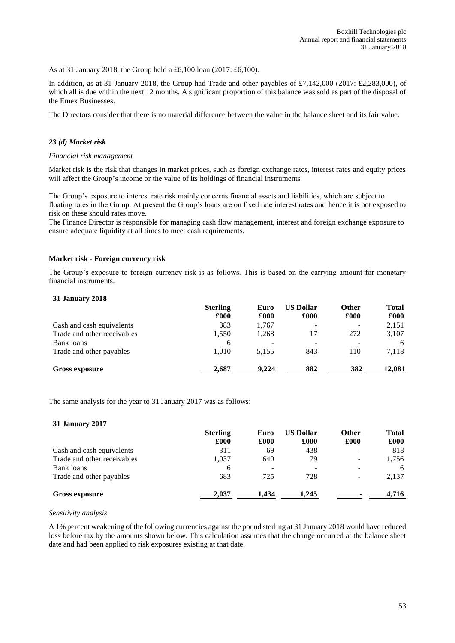As at 31 January 2018, the Group held a £6,100 loan (2017: £6,100).

In addition, as at 31 January 2018, the Group had Trade and other payables of £7,142,000 (2017: £2,283,000), of which all is due within the next 12 months. A significant proportion of this balance was sold as part of the disposal of the Emex Businesses.

The Directors consider that there is no material difference between the value in the balance sheet and its fair value.

## *23 (d) Market risk*

**31 January 2018**

#### *Financial risk management*

Market risk is the risk that changes in market prices, such as foreign exchange rates, interest rates and equity prices will affect the Group's income or the value of its holdings of financial instruments

The Group's exposure to interest rate risk mainly concerns financial assets and liabilities, which are subject to floating rates in the Group. At present the Group's loans are on fixed rate interest rates and hence it is not exposed to risk on these should rates move.

The Finance Director is responsible for managing cash flow management, interest and foreign exchange exposure to ensure adequate liquidity at all times to meet cash requirements.

#### **Market risk - Foreign currency risk**

The Group's exposure to foreign currency risk is as follows. This is based on the carrying amount for monetary financial instruments.

| JI Januar y 2010            |                 |                          |           |              |              |
|-----------------------------|-----------------|--------------------------|-----------|--------------|--------------|
|                             | <b>Sterling</b> | Euro                     | US Dollar | <b>Other</b> | <b>Total</b> |
|                             | £000            | £000                     | £000      | £000         | £000         |
| Cash and cash equivalents   | 383             | 1,767                    |           |              | 2,151        |
| Trade and other receivables | 1,550           | 1,268                    | 17        | 272          | 3,107        |
| <b>Bank</b> loans           | 6               | $\overline{\phantom{0}}$ |           |              | 6            |
| Trade and other payables    | 1.010           | 5.155                    | 843       | 110          | 7.118        |
| <b>Gross exposure</b>       | 2,687           | 9.224                    | 882       | 382          | 12.081       |

The same analysis for the year to 31 January 2017 was as follows:

| 31 January 2017             |                 |                   |                  |                          |              |
|-----------------------------|-----------------|-------------------|------------------|--------------------------|--------------|
|                             | <b>Sterling</b> | Euro              | <b>US Dollar</b> | <b>Other</b>             | <b>Total</b> |
|                             | £000            | £000              | £000             | £000                     | £000         |
| Cash and cash equivalents   | 311             | 69                | 438              | -                        | 818          |
| Trade and other receivables | 1,037           | 640               | 79               | $\overline{\phantom{0}}$ | 1.756        |
| <b>Bank</b> loans           | 6               | $\qquad \qquad -$ | -                |                          | 6            |
| Trade and other payables    | 683             | 725               | 728              | ۰                        | 2,137        |
| <b>Gross exposure</b>       | 2.037           | 1.434             | 1.245            |                          | 4.716        |

#### *Sensitivity analysis*

A 1% percent weakening of the following currencies against the pound sterling at 31 January 2018 would have reduced loss before tax by the amounts shown below. This calculation assumes that the change occurred at the balance sheet date and had been applied to risk exposures existing at that date.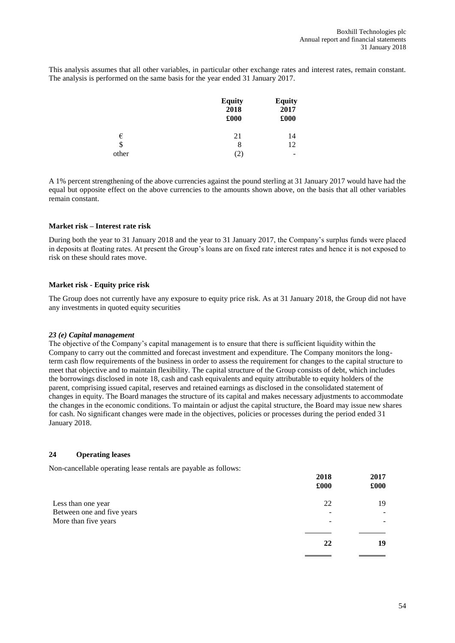This analysis assumes that all other variables, in particular other exchange rates and interest rates, remain constant. The analysis is performed on the same basis for the year ended 31 January 2017.

|       | <b>Equity</b><br>2018<br>£000 | <b>Equity</b><br>2017<br>£000 |
|-------|-------------------------------|-------------------------------|
| €     | 21                            | 14                            |
| \$    | 8                             | 12                            |
| other | (2)                           | -                             |

A 1% percent strengthening of the above currencies against the pound sterling at 31 January 2017 would have had the equal but opposite effect on the above currencies to the amounts shown above, on the basis that all other variables remain constant.

#### **Market risk – Interest rate risk**

During both the year to 31 January 2018 and the year to 31 January 2017, the Company's surplus funds were placed in deposits at floating rates. At present the Group's loans are on fixed rate interest rates and hence it is not exposed to risk on these should rates move.

#### **Market risk - Equity price risk**

The Group does not currently have any exposure to equity price risk. As at 31 January 2018, the Group did not have any investments in quoted equity securities

#### *23 (e) Capital management*

The objective of the Company's capital management is to ensure that there is sufficient liquidity within the Company to carry out the committed and forecast investment and expenditure. The Company monitors the longterm cash flow requirements of the business in order to assess the requirement for changes to the capital structure to meet that objective and to maintain flexibility. The capital structure of the Group consists of debt, which includes the borrowings disclosed in note 18, cash and cash equivalents and equity attributable to equity holders of the parent, comprising issued capital, reserves and retained earnings as disclosed in the consolidated statement of changes in equity. The Board manages the structure of its capital and makes necessary adjustments to accommodate the changes in the economic conditions. To maintain or adjust the capital structure, the Board may issue new shares for cash. No significant changes were made in the objectives, policies or processes during the period ended 31 January 2018.

#### **24 Operating leases**

Non-cancellable operating lease rentals are payable as follows:

| 2018<br>£000 | 2017<br>£000 |
|--------------|--------------|
| 22           | 19           |
| -            | -            |
| -            |              |
| 22           | 19           |
|              |              |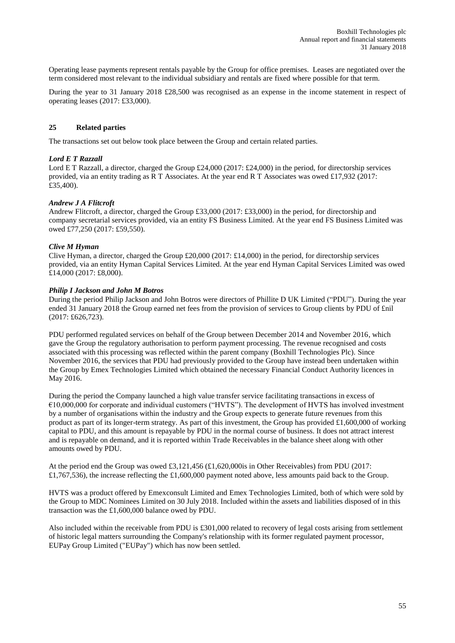Operating lease payments represent rentals payable by the Group for office premises. Leases are negotiated over the term considered most relevant to the individual subsidiary and rentals are fixed where possible for that term.

During the year to 31 January 2018 £28,500 was recognised as an expense in the income statement in respect of operating leases (2017: £33,000).

#### **25 Related parties**

The transactions set out below took place between the Group and certain related parties.

#### *Lord E T Razzall*

Lord E T Razzall, a director, charged the Group £24,000 (2017: £24,000) in the period, for directorship services provided, via an entity trading as R T Associates. At the year end R T Associates was owed £17,932 (2017: £35,400).

#### *Andrew J A Flitcroft*

Andrew Flitcroft, a director, charged the Group £33,000 (2017: £33,000) in the period, for directorship and company secretarial services provided, via an entity FS Business Limited. At the year end FS Business Limited was owed £77,250 (2017: £59,550).

# *Clive M Hyman*

Clive Hyman, a director, charged the Group £20,000 (2017: £14,000) in the period, for directorship services provided, via an entity Hyman Capital Services Limited. At the year end Hyman Capital Services Limited was owed £14,000 (2017: £8,000).

# *Philip I Jackson and John M Botros*

During the period Philip Jackson and John Botros were directors of Phillite D UK Limited ("PDU"). During the year ended 31 January 2018 the Group earned net fees from the provision of services to Group clients by PDU of £nil (2017: £626,723).

PDU performed regulated services on behalf of the Group between December 2014 and November 2016, which gave the Group the regulatory authorisation to perform payment processing. The revenue recognised and costs associated with this processing was reflected within the parent company (Boxhill Technologies Plc). Since November 2016, the services that PDU had previously provided to the Group have instead been undertaken within the Group by Emex Technologies Limited which obtained the necessary Financial Conduct Authority licences in May 2016.

During the period the Company launched a high value transfer service facilitating transactions in excess of €10,000,000 for corporate and individual customers ("HVTS"). The development of HVTS has involved investment by a number of organisations within the industry and the Group expects to generate future revenues from this product as part of its longer-term strategy. As part of this investment, the Group has provided £1,600,000 of working capital to PDU, and this amount is repayable by PDU in the normal course of business. It does not attract interest and is repayable on demand, and it is reported within Trade Receivables in the balance sheet along with other amounts owed by PDU.

At the period end the Group was owed £3,121,456 (£1,620,000is in Other Receivables) from PDU (2017: £1,767,536), the increase reflecting the £1,600,000 payment noted above, less amounts paid back to the Group.

HVTS was a product offered by Emexconsult Limited and Emex Technologies Limited, both of which were sold by the Group to MDC Nominees Limited on 30 July 2018. Included within the assets and liabilities disposed of in this transaction was the £1,600,000 balance owed by PDU.

Also included within the receivable from PDU is £301,000 related to recovery of legal costs arising from settlement of historic legal matters surrounding the Company's relationship with its former regulated payment processor, EUPay Group Limited ("EUPay") which has now been settled.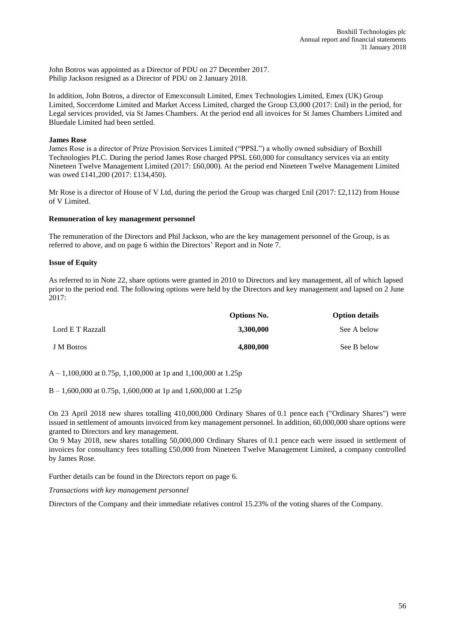John Botros was appointed as a Director of PDU on 27 December 2017. Philip Jackson resigned as a Director of PDU on 2 January 2018.

In addition, John Botros, a director of Emexconsult Limited, Emex Technologies Limited, Emex (UK) Group Limited, Soccerdome Limited and Market Access Limited, charged the Group £3,000 (2017: £nil) in the period, for Legal services provided, via St James Chambers. At the period end all invoices for St James Chambers Limited and Bluedale Limited had been settled.

#### **James Rose**

James Rose is a director of Prize Provision Services Limited ("PPSL") a wholly owned subsidiary of Boxhill Technologies PLC. During the period James Rose charged PPSL £60,000 for consultancy services via an entity Nineteen Twelve Management Limited (2017: £60,000). At the period end Nineteen Twelve Management Limited was owed £141,200 (2017: £134,450).

Mr Rose is a director of House of V Ltd, during the period the Group was charged £nil (2017: £2,112) from House of V Limited.

#### **Remuneration of key management personnel**

The remuneration of the Directors and Phil Jackson, who are the key management personnel of the Group, is as referred to above, and on page 6 within the Directors' Report and in Note 7.

# **Issue of Equity**

As referred to in Note 22, share options were granted in 2010 to Directors and key management, all of which lapsed prior to the period end. The following options were held by the Directors and key management and lapsed on 2 June 2017:

|                  | <b>Options No.</b> | <b>Option details</b> |
|------------------|--------------------|-----------------------|
| Lord E T Razzall | 3,300,000          | See A below           |
| J M Botros       | 4.800.000          | See B below           |

A – 1,100,000 at 0.75p, 1,100,000 at 1p and 1,100,000 at 1.25p

B – 1,600,000 at 0.75p, 1,600,000 at 1p and 1,600,000 at 1.25p

On 23 April 2018 new shares totalling 410,000,000 Ordinary Shares of 0.1 pence each ("Ordinary Shares") were issued in settlement of amounts invoiced from key management personnel. In addition, 60,000,000 share options were granted to Directors and key management.

On 9 May 2018, new shares totalling 50,000,000 Ordinary Shares of 0.1 pence each were issued in settlement of invoices for consultancy fees totalling £50,000 from Nineteen Twelve Management Limited, a company controlled by James Rose.

Further details can be found in the Directors report on page 6.

*Transactions with key management personnel*

Directors of the Company and their immediate relatives control 15.23% of the voting shares of the Company.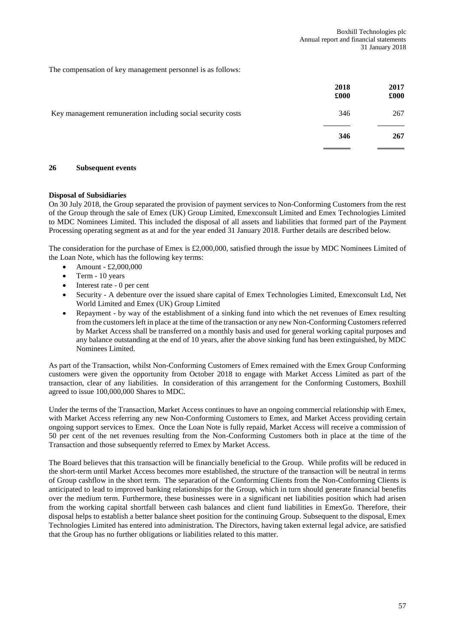The compensation of key management personnel is as follows:

|                                                             | 2018<br>£000 | 2017<br>£000 |
|-------------------------------------------------------------|--------------|--------------|
| Key management remuneration including social security costs | 346          | 267          |
|                                                             | 346          | 267          |
|                                                             |              |              |

### **26 Subsequent events**

#### **Disposal of Subsidiaries**

On 30 July 2018, the Group separated the provision of payment services to Non-Conforming Customers from the rest of the Group through the sale of Emex (UK) Group Limited, Emexconsult Limited and Emex Technologies Limited to MDC Nominees Limited. This included the disposal of all assets and liabilities that formed part of the Payment Processing operating segment as at and for the year ended 31 January 2018. Further details are described below.

The consideration for the purchase of Emex is £2,000,000, satisfied through the issue by MDC Nominees Limited of the Loan Note, which has the following key terms:

- Amount £2,000,000
- Term 10 years
- Interest rate 0 per cent
- Security A debenture over the issued share capital of Emex Technologies Limited, Emexconsult Ltd, Net World Limited and Emex (UK) Group Limited
- Repayment by way of the establishment of a sinking fund into which the net revenues of Emex resulting from the customers left in place at the time of the transaction or any new Non-Conforming Customers referred by Market Access shall be transferred on a monthly basis and used for general working capital purposes and any balance outstanding at the end of 10 years, after the above sinking fund has been extinguished, by MDC Nominees Limited.

As part of the Transaction, whilst Non-Conforming Customers of Emex remained with the Emex Group Conforming customers were given the opportunity from October 2018 to engage with Market Access Limited as part of the transaction, clear of any liabilities. In consideration of this arrangement for the Conforming Customers, Boxhill agreed to issue 100,000,000 Shares to MDC.

Under the terms of the Transaction, Market Access continues to have an ongoing commercial relationship with Emex, with Market Access referring any new Non-Conforming Customers to Emex, and Market Access providing certain ongoing support services to Emex. Once the Loan Note is fully repaid, Market Access will receive a commission of 50 per cent of the net revenues resulting from the Non-Conforming Customers both in place at the time of the Transaction and those subsequently referred to Emex by Market Access.

The Board believes that this transaction will be financially beneficial to the Group. While profits will be reduced in the short-term until Market Access becomes more established, the structure of the transaction will be neutral in terms of Group cashflow in the short term. The separation of the Conforming Clients from the Non-Conforming Clients is anticipated to lead to improved banking relationships for the Group, which in turn should generate financial benefits over the medium term. Furthermore, these businesses were in a significant net liabilities position which had arisen from the working capital shortfall between cash balances and client fund liabilities in EmexGo. Therefore, their disposal helps to establish a better balance sheet position for the continuing Group. Subsequent to the disposal, Emex Technologies Limited has entered into administration. The Directors, having taken external legal advice, are satisfied that the Group has no further obligations or liabilities related to this matter.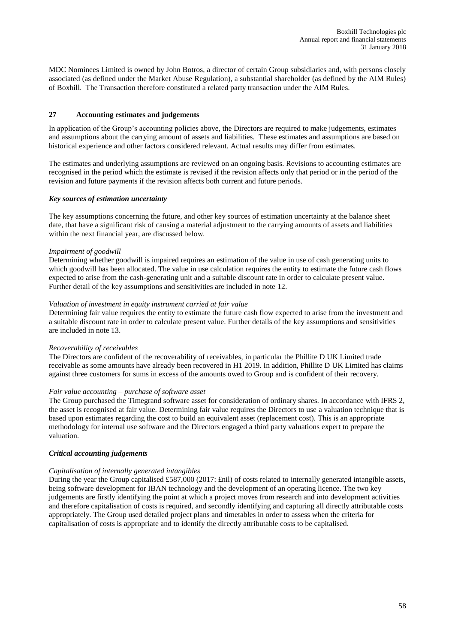MDC Nominees Limited is owned by John Botros, a director of certain Group subsidiaries and, with persons closely associated (as defined under the Market Abuse Regulation), a substantial shareholder (as defined by the AIM Rules) of Boxhill. The Transaction therefore constituted a related party transaction under the AIM Rules.

## **27 Accounting estimates and judgements**

In application of the Group's accounting policies above, the Directors are required to make judgements, estimates and assumptions about the carrying amount of assets and liabilities. These estimates and assumptions are based on historical experience and other factors considered relevant. Actual results may differ from estimates.

The estimates and underlying assumptions are reviewed on an ongoing basis. Revisions to accounting estimates are recognised in the period which the estimate is revised if the revision affects only that period or in the period of the revision and future payments if the revision affects both current and future periods.

# *Key sources of estimation uncertainty*

The key assumptions concerning the future, and other key sources of estimation uncertainty at the balance sheet date, that have a significant risk of causing a material adjustment to the carrying amounts of assets and liabilities within the next financial year, are discussed below.

# *Impairment of goodwill*

Determining whether goodwill is impaired requires an estimation of the value in use of cash generating units to which goodwill has been allocated. The value in use calculation requires the entity to estimate the future cash flows expected to arise from the cash-generating unit and a suitable discount rate in order to calculate present value. Further detail of the key assumptions and sensitivities are included in note 12.

#### *Valuation of investment in equity instrument carried at fair value*

Determining fair value requires the entity to estimate the future cash flow expected to arise from the investment and a suitable discount rate in order to calculate present value. Further details of the key assumptions and sensitivities are included in note 13.

# *Recoverability of receivables*

The Directors are confident of the recoverability of receivables, in particular the Phillite D UK Limited trade receivable as some amounts have already been recovered in H1 2019. In addition, Phillite D UK Limited has claims against three customers for sums in excess of the amounts owed to Group and is confident of their recovery.

# *Fair value accounting – purchase of software asset*

The Group purchased the Timegrand software asset for consideration of ordinary shares. In accordance with IFRS 2, the asset is recognised at fair value. Determining fair value requires the Directors to use a valuation technique that is based upon estimates regarding the cost to build an equivalent asset (replacement cost). This is an appropriate methodology for internal use software and the Directors engaged a third party valuations expert to prepare the valuation.

# *Critical accounting judgements*

# *Capitalisation of internally generated intangibles*

During the year the Group capitalised £587,000 (2017: £nil) of costs related to internally generated intangible assets, being software development for IBAN technology and the development of an operating licence. The two key judgements are firstly identifying the point at which a project moves from research and into development activities and therefore capitalisation of costs is required, and secondly identifying and capturing all directly attributable costs appropriately. The Group used detailed project plans and timetables in order to assess when the criteria for capitalisation of costs is appropriate and to identify the directly attributable costs to be capitalised.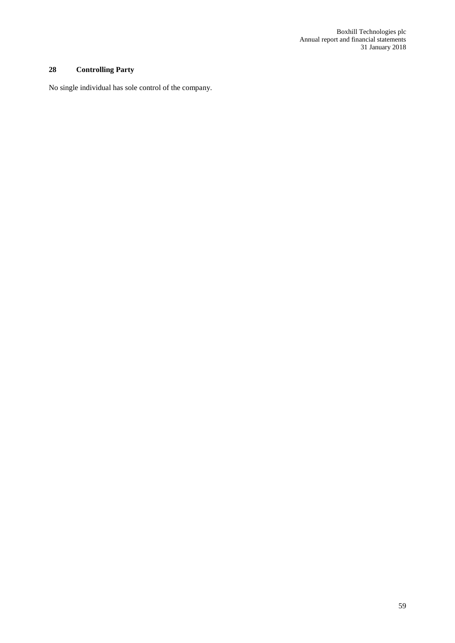# **28 Controlling Party**

No single individual has sole control of the company.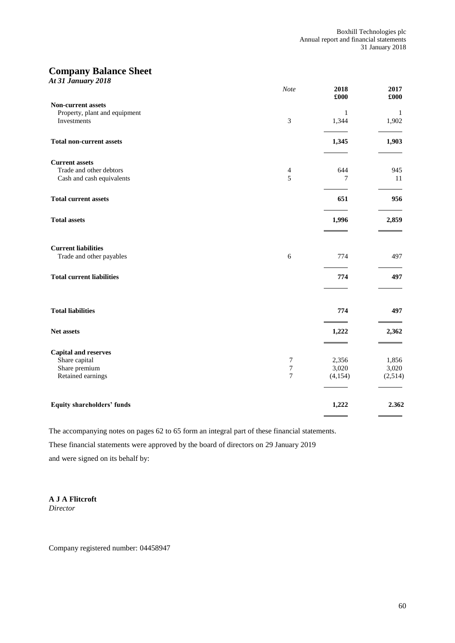# **Company Balance Sheet**

| At 31 January 2018                           |                  |                       |              |
|----------------------------------------------|------------------|-----------------------|--------------|
|                                              | Note             | 2018<br>£000          | 2017<br>£000 |
| Non-current assets                           |                  |                       |              |
| Property, plant and equipment<br>Investments | 3                | $\mathbf{1}$<br>1,344 | 1<br>1,902   |
| <b>Total non-current assets</b>              |                  | 1,345                 | 1,903        |
| <b>Current assets</b>                        |                  |                       |              |
| Trade and other debtors                      | $\overline{4}$   | 644                   | 945          |
| Cash and cash equivalents                    | 5                | 7                     | 11           |
| <b>Total current assets</b>                  |                  | 651                   | 956          |
| <b>Total assets</b>                          |                  | 1,996                 | 2,859        |
| <b>Current liabilities</b>                   |                  |                       |              |
| Trade and other payables                     | 6                | 774                   | 497          |
| <b>Total current liabilities</b>             |                  | 774                   | 497          |
| <b>Total liabilities</b>                     |                  | 774                   | 497          |
| Net assets                                   |                  | 1,222                 | 2,362        |
| <b>Capital and reserves</b>                  |                  |                       |              |
| Share capital                                | 7                | 2,356                 | 1,856        |
| Share premium                                | $\boldsymbol{7}$ | 3,020                 | 3,020        |
| Retained earnings                            | 7                | (4,154)               | (2,514)      |
| <b>Equity shareholders' funds</b>            |                  | 1,222                 | 2.362        |
|                                              |                  |                       |              |

The accompanying notes on pages 62 to 65 form an integral part of these financial statements.

These financial statements were approved by the board of directors on 29 January 2019

and were signed on its behalf by:

**A J A Flitcroft** *Director*

Company registered number: 04458947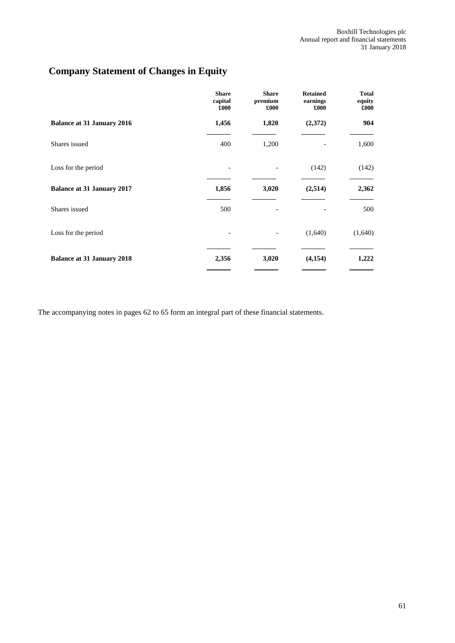# **Company Statement of Changes in Equity**

|                                   | <b>Share</b><br>capital<br>£000 | <b>Share</b><br>premium<br>£000 | <b>Retained</b><br>earnings<br>£000 | <b>Total</b><br>equity<br>£000 |
|-----------------------------------|---------------------------------|---------------------------------|-------------------------------------|--------------------------------|
| <b>Balance at 31 January 2016</b> | 1,456                           | 1,820                           | (2,372)                             | 904                            |
| Shares issued                     | 400                             | 1,200                           |                                     | 1,600                          |
| Loss for the period               |                                 |                                 | (142)                               | (142)                          |
| <b>Balance at 31 January 2017</b> | 1,856                           | 3,020                           | (2,514)                             | 2,362                          |
| Shares issued                     | 500                             |                                 |                                     | 500                            |
| Loss for the period               |                                 |                                 | (1,640)                             | (1,640)                        |
| <b>Balance at 31 January 2018</b> | 2,356                           | 3,020                           | (4,154)                             | 1,222                          |

The accompanying notes in pages 62 to 65 form an integral part of these financial statements.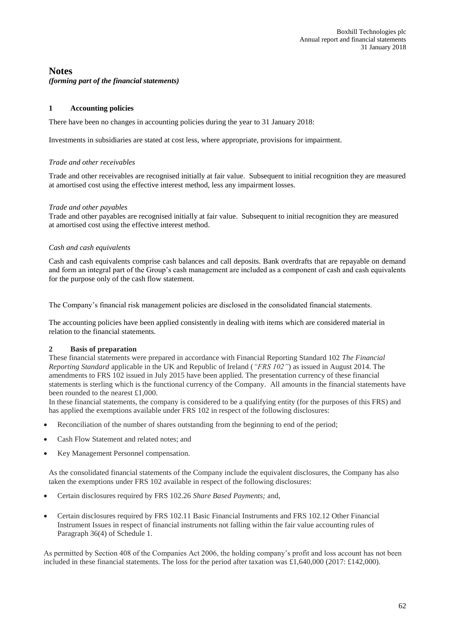# **Notes**

*(forming part of the financial statements)*

# **1 Accounting policies**

There have been no changes in accounting policies during the year to 31 January 2018:

Investments in subsidiaries are stated at cost less, where appropriate, provisions for impairment.

# *Trade and other receivables*

Trade and other receivables are recognised initially at fair value. Subsequent to initial recognition they are measured at amortised cost using the effective interest method, less any impairment losses.

# *Trade and other payables*

Trade and other payables are recognised initially at fair value. Subsequent to initial recognition they are measured at amortised cost using the effective interest method.

# *Cash and cash equivalents*

Cash and cash equivalents comprise cash balances and call deposits. Bank overdrafts that are repayable on demand and form an integral part of the Group's cash management are included as a component of cash and cash equivalents for the purpose only of the cash flow statement.

The Company's financial risk management policies are disclosed in the consolidated financial statements.

The accounting policies have been applied consistently in dealing with items which are considered material in relation to the financial statements.

# **2 Basis of preparation**

These financial statements were prepared in accordance with Financial Reporting Standard 102 *The Financial Reporting Standard* applicable in the UK and Republic of Ireland (*"FRS 102"*) as issued in August 2014. The amendments to FRS 102 issued in July 2015 have been applied. The presentation currency of these financial statements is sterling which is the functional currency of the Company. All amounts in the financial statements have been rounded to the nearest £1,000.

In these financial statements, the company is considered to be a qualifying entity (for the purposes of this FRS) and has applied the exemptions available under FRS 102 in respect of the following disclosures:

- Reconciliation of the number of shares outstanding from the beginning to end of the period;
- Cash Flow Statement and related notes; and
- Key Management Personnel compensation.

As the consolidated financial statements of the Company include the equivalent disclosures, the Company has also taken the exemptions under FRS 102 available in respect of the following disclosures:

- Certain disclosures required by FRS 102.26 *Share Based Payments;* and,
- Certain disclosures required by FRS 102.11 Basic Financial Instruments and FRS 102.12 Other Financial Instrument Issues in respect of financial instruments not falling within the fair value accounting rules of Paragraph 36(4) of Schedule 1.

As permitted by Section 408 of the Companies Act 2006, the holding company's profit and loss account has not been included in these financial statements. The loss for the period after taxation was £1,640,000 (2017: £142,000).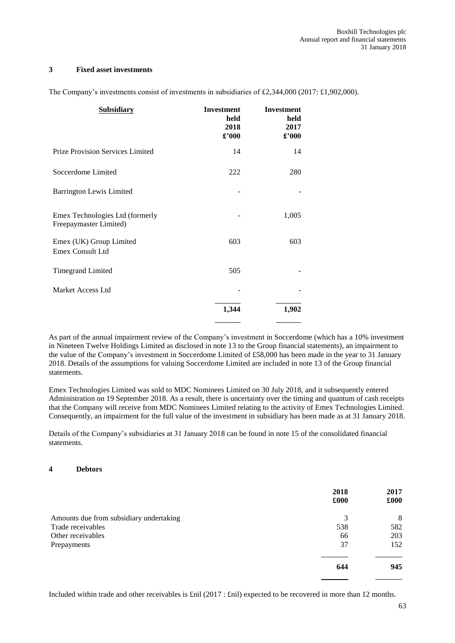### **3 Fixed asset investments**

| <b>Subsidiary</b>                                         | <b>Investment</b><br>held<br>2018<br>£'000 | <b>Investment</b><br>held<br>2017<br>$\pounds$ '000 |
|-----------------------------------------------------------|--------------------------------------------|-----------------------------------------------------|
| <b>Prize Provision Services Limited</b>                   | 14                                         | 14                                                  |
| Soccerdome Limited                                        | 222                                        | 280                                                 |
| <b>Barrington Lewis Limited</b>                           |                                            |                                                     |
| Emex Technologies Ltd (formerly<br>Freepaymaster Limited) |                                            | 1,005                                               |
| Emex (UK) Group Limited<br>Emex Consult Ltd               | 603                                        | 603                                                 |
| <b>Timegrand Limited</b>                                  | 505                                        |                                                     |
| Market Access Ltd                                         |                                            |                                                     |
|                                                           | 1,344                                      | 1,902                                               |

The Company's investments consist of investments in subsidiaries of £2,344,000 (2017: £1,902,000).

As part of the annual impairment review of the Company's investment in Soccerdome (which has a 10% investment in Nineteen Twelve Holdings Limited as disclosed in note 13 to the Group financial statements), an impairment to the value of the Company's investment in Soccerdome Limited of £58,000 has been made in the year to 31 January 2018. Details of the assumptions for valuing Soccerdome Limited are included in note 13 of the Group financial statements.

Emex Technologies Limited was sold to MDC Nominees Limited on 30 July 2018, and it subsequently entered Administration on 19 September 2018. As a result, there is uncertainty over the timing and quantum of cash receipts that the Company will receive from MDC Nominees Limited relating to the activity of Emex Technologies Limited. Consequently, an impairment for the full value of the investment in subsidiary has been made as at 31 January 2018.

Details of the Company's subsidiaries at 31 January 2018 can be found in note 15 of the consolidated financial statements.

#### **4 Debtors**

|                                         | 2018<br>£000 | 2017<br>£000 |
|-----------------------------------------|--------------|--------------|
| Amounts due from subsidiary undertaking | 3            | 8            |
| Trade receivables                       | 538          | 582          |
| Other receivables                       | 66           | 203          |
| Prepayments                             | 37           | 152          |
|                                         | 644          | 945          |

Included within trade and other receivables is £nil (2017 : £nil) expected to be recovered in more than 12 months.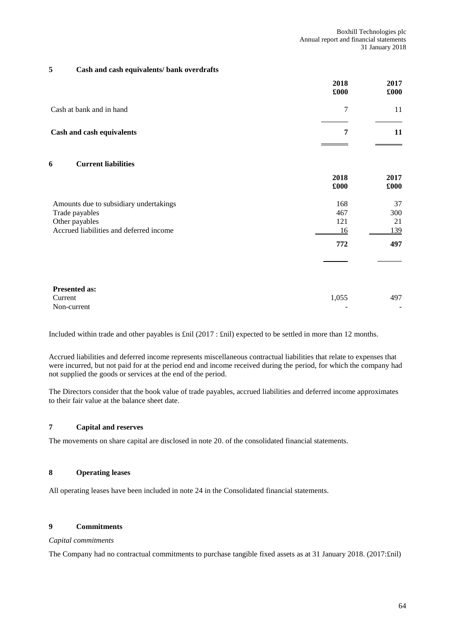#### **5 Cash and cash equivalents/ bank overdrafts**

|                                         | 2018<br>£000 | 2017<br>£000 |
|-----------------------------------------|--------------|--------------|
| Cash at bank and in hand                | 7            | 11           |
| Cash and cash equivalents               | 7            | 11           |
| 6<br><b>Current liabilities</b>         |              |              |
|                                         | 2018<br>£000 | 2017<br>£000 |
| Amounts due to subsidiary undertakings  | 168          | 37           |
| Trade payables                          | 467          | 300          |
| Other payables                          | 121          | 21           |
| Accrued liabilities and deferred income | 16           | 139          |
|                                         | 772          | 497          |
|                                         |              |              |
| Presented as:                           |              |              |
| Current                                 | 1,055        | 497          |
| Non-current                             |              |              |

Included within trade and other payables is £nil (2017 : £nil) expected to be settled in more than 12 months.

Accrued liabilities and deferred income represents miscellaneous contractual liabilities that relate to expenses that were incurred, but not paid for at the period end and income received during the period, for which the company had not supplied the goods or services at the end of the period.

The Directors consider that the book value of trade payables, accrued liabilities and deferred income approximates to their fair value at the balance sheet date.

# **7 Capital and reserves**

The movements on share capital are disclosed in note 20. of the consolidated financial statements.

# **8 Operating leases**

All operating leases have been included in note 24 in the Consolidated financial statements.

#### **9 Commitments**

#### *Capital commitments*

The Company had no contractual commitments to purchase tangible fixed assets as at 31 January 2018. (2017:£nil)